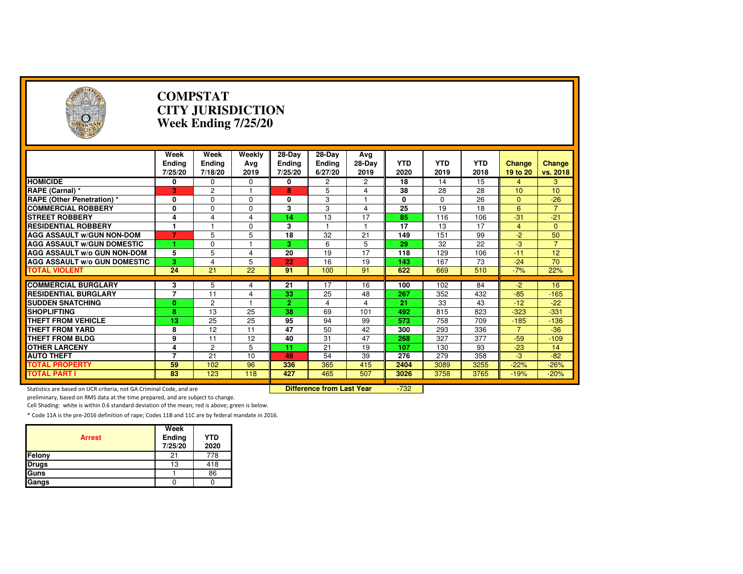| $(\cdot, \cdot)$                                                    |                                  | <b>COMPSTAT</b><br><b>CITY JURISDICTION</b><br>Week Ending 7/25/20 |                                  |                                    |                                    |                       |                    |                    |                    |                           |                    |  |
|---------------------------------------------------------------------|----------------------------------|--------------------------------------------------------------------|----------------------------------|------------------------------------|------------------------------------|-----------------------|--------------------|--------------------|--------------------|---------------------------|--------------------|--|
|                                                                     | Week<br><b>Ending</b><br>7/25/20 | Week<br><b>Ending</b><br>7/18/20                                   | Weekly<br>Avg<br>2019            | 28-Day<br><b>Ending</b><br>7/25/20 | 28-Day<br><b>Ending</b><br>6/27/20 | Avg<br>28-Day<br>2019 | <b>YTD</b><br>2020 | <b>YTD</b><br>2019 | <b>YTD</b><br>2018 | <b>Change</b><br>19 to 20 | Change<br>vs. 2018 |  |
| <b>HOMICIDE</b>                                                     | 0                                | 0                                                                  | 0                                | 0                                  | 2                                  | 2                     | 18                 | 14                 | 15                 | $\overline{4}$            | 3                  |  |
| RAPE (Carnal) *                                                     | 3                                | $\overline{c}$                                                     | 1                                | 8                                  | 5                                  | 4                     | 38                 | 28                 | 28                 | 10                        | 10                 |  |
| <b>RAPE (Other Penetration) *</b>                                   | 0                                | $\Omega$                                                           | $\Omega$                         | 0                                  | 3                                  | 1                     | 0                  | $\Omega$           | 26                 | $\Omega$                  | $-26$              |  |
| <b>COMMERCIAL ROBBERY</b>                                           | 0                                | $\Omega$                                                           | $\Omega$                         | 3                                  | 3                                  | $\overline{4}$        | 25                 | 19                 | 18                 | 6                         | $\overline{7}$     |  |
| <b>STREET ROBBERY</b>                                               | 4                                | 4                                                                  | 4                                | 14                                 | 13                                 | 17                    | 85                 | 116                | 106                | $-31$                     | $-21$              |  |
| <b>RESIDENTIAL ROBBERY</b>                                          | 1                                | $\overline{1}$                                                     | $\Omega$                         | 3                                  |                                    | $\mathbf{1}$          | 17                 | 13                 | 17                 | $\overline{4}$            | $\mathbf{0}$       |  |
| <b>AGG ASSAULT W/GUN NON-DOM</b>                                    | $\overline{7}$                   | 5                                                                  | 5                                | $\overline{18}$                    | 32                                 | 21                    | 149                | 151                | 99                 | $-2$                      | 50                 |  |
| <b>AGG ASSAULT WGUN DOMESTIC</b>                                    |                                  | $\mathbf 0$                                                        |                                  | 3.                                 | 6                                  | 5                     | 29                 | 32                 | 22                 | $-3$                      | $\overline{7}$     |  |
| AGG ASSAULT w/o GUN NON-DOM                                         | 5                                | 5                                                                  | 4                                | 20                                 | 19                                 | 17                    | 118                | 129                | 106                | $-11$                     | 12                 |  |
| <b>AGG ASSAULT W/o GUN DOMESTIC</b>                                 | 3                                | 4                                                                  | 5                                | 22                                 | 16                                 | 19                    | 143                | 167                | 73                 | $-24$                     | 70                 |  |
| <b>TOTAL VIOLENT</b>                                                | 24                               | 21                                                                 | $\overline{22}$                  | 91                                 | 100                                | 91                    | 622                | 669                | 510                | $-7%$                     | 22%                |  |
|                                                                     |                                  |                                                                    |                                  |                                    |                                    |                       |                    |                    |                    |                           |                    |  |
| <b>COMMERCIAL BURGLARY</b>                                          | 3                                | 5                                                                  | 4                                | 21                                 | 17                                 | 16                    | 100                | 102                | 84                 | $-2$                      | 16                 |  |
| <b>RESIDENTIAL BURGLARY</b>                                         | $\overline{7}$                   | 11                                                                 | 4                                | 33                                 | 25                                 | 48                    | 267                | 352                | 432                | $-85$                     | $-165$             |  |
| <b>SUDDEN SNATCHING</b>                                             | $\mathbf{0}$                     | $\overline{2}$                                                     |                                  | $\overline{2}$                     | 4                                  | $\overline{4}$        | 21                 | 33                 | 43                 | $-12$                     | $-22$              |  |
| <b>SHOPLIFTING</b>                                                  | $\overline{\mathbf{8}}$          | 13                                                                 | 25                               | $\overline{38}$                    | 69                                 | 101                   | 492                | 815                | 823                | $-323$                    | $-331$             |  |
| <b>THEFT FROM VEHICLE</b>                                           | 13                               | 25                                                                 | 25                               | 95                                 | 94                                 | 99                    | 573                | 758                | 709                | $-185$                    | $-136$             |  |
| <b>THEFT FROM YARD</b>                                              | 8                                | 12                                                                 | 11                               | 47                                 | 50                                 | 42                    | 300                | 293                | 336                | $\overline{7}$            | $-36$              |  |
| <b>THEFT FROM BLDG</b>                                              | 9                                | 11                                                                 | 12                               | 40                                 | 31                                 | 47                    | 268                | 327                | 377                | $-59$                     | $-109$             |  |
| <b>OTHER LARCENY</b>                                                | 4                                | $\overline{2}$                                                     | 5                                | 11                                 | 21                                 | 19                    | 107                | 130                | 93                 | $-23$                     | 14                 |  |
| <b>AUTO THEFT</b>                                                   | 7                                | 21                                                                 | 10                               | 49                                 | 54                                 | 39                    | 276                | 279                | 358                | $-3$                      | $-82$              |  |
| <b>TOTAL PROPERTY</b>                                               | 59                               | 102                                                                | 96                               | 336                                | 365                                | 415                   | 2404               | 3089               | 3255               | $-22%$                    | $-26%$             |  |
| <b>TOTAL PART I</b>                                                 | 83                               | 123                                                                | 118                              | 427                                | 465                                | 507                   | 3026               | 3758               | 3765               | $-19%$                    | $-20%$             |  |
| Statistics are based on UCR criteria, not GA Criminal Code, and are |                                  |                                                                    | <b>Difference from Last Year</b> |                                    | $-732$                             |                       |                    |                    |                    |                           |                    |  |

preliminary, based on RMS data at the time prepared, and are subject to change.

Cell Shading: white is within 0.6 standard deviation of the mean; red is above; green is below.

| <b>Arrest</b> | Week<br>Ending<br>7/25/20 | <b>YTD</b><br>2020 |
|---------------|---------------------------|--------------------|
| Felony        | 21                        | 778                |
| <b>Drugs</b>  | 13                        | 418                |
| Guns          |                           | 86                 |
| Gangs         |                           |                    |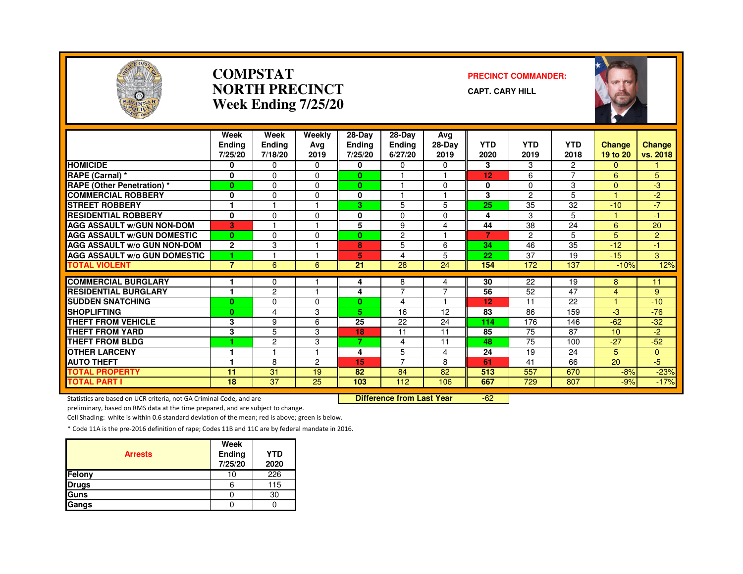

#### **COMPSTATNORTH PRECINCTWeek Ending 7/25/20**

#### **PRECINCT COMMANDER:**

**CAPT. CARY HILL**



|                                     | Week<br><b>Ending</b><br>7/25/20 | Week<br><b>Ending</b><br>7/18/20 | Weekly<br>Avg<br>2019 | 28-Day<br>Ending<br>7/25/20 | 28-Day<br><b>Endina</b><br>6/27/20 | Avg<br>28-Day<br>2019 | <b>YTD</b><br>2020 | <b>YTD</b><br>2019 | <b>YTD</b><br>2018       | <b>Change</b><br>19 to 20 | <b>Change</b><br>vs. 2018 |
|-------------------------------------|----------------------------------|----------------------------------|-----------------------|-----------------------------|------------------------------------|-----------------------|--------------------|--------------------|--------------------------|---------------------------|---------------------------|
| <b>HOMICIDE</b>                     | 0                                | $\Omega$                         | 0                     | 0                           | 0                                  | 0                     | 3                  | 3                  | 2                        | $\Omega$                  |                           |
| RAPE (Carnal) *                     | 0                                | $\mathbf 0$                      | 0                     | 0                           |                                    |                       | 12                 | 6                  | $\overline{\phantom{0}}$ | 6                         | 5                         |
| <b>RAPE (Other Penetration) *</b>   | $\mathbf{0}$                     | $\Omega$                         | 0                     | $\bf{0}$                    |                                    | $\Omega$              | $\bf{0}$           | $\Omega$           | 3                        | $\Omega$                  | $-3$                      |
| <b>COMMERCIAL ROBBERY</b>           | 0                                | $\Omega$                         | <sup>n</sup>          | 0                           |                                    | 1                     | 3                  | 2                  | 5                        | и                         | $-2$                      |
| <b>STREET ROBBERY</b>               | ٠                                |                                  |                       | З.                          | 5                                  | 5                     | 25                 | 35                 | 32                       | $-10$                     | $-7$                      |
| <b>RESIDENTIAL ROBBERY</b>          | 0                                | $\Omega$                         | <sup>0</sup>          | 0                           | $\Omega$                           | 0                     | 4                  | 3                  | 5.                       |                           | -1                        |
| <b>AGG ASSAULT W/GUN NON-DOM</b>    | 3                                |                                  |                       | 5                           | 9                                  | 4                     | 44                 | 38                 | 24                       | 6                         | 20                        |
| <b>AGG ASSAULT W/GUN DOMESTIC</b>   | $\mathbf{0}$                     | $\Omega$                         | $\Omega$              | 0                           | $\overline{2}$                     | $\overline{1}$        | $\overline{7}$     | $\overline{c}$     | 5                        | 5                         | $\overline{2}$            |
| <b>AGG ASSAULT W/o GUN NON-DOM</b>  | $\mathbf{2}$                     | 3                                |                       | 8                           | 5                                  | 6                     | 34                 | 46                 | 35                       | $-12$                     | $\blacktriangleleft$      |
| <b>AGG ASSAULT W/o GUN DOMESTIC</b> | 1                                |                                  |                       | 5                           | 4                                  | 5                     | 22                 | 37                 | 19                       | $-15$                     | 3                         |
| <b>TOTAL VIOLENT</b>                | $\overline{7}$                   | 6                                | 6                     | 21                          | 28                                 | 24                    | 154                | 172                | 137                      | $-10%$                    | 12%                       |
| <b>COMMERCIAL BURGLARY</b>          |                                  |                                  |                       |                             |                                    |                       | 30                 | 22                 | 19                       |                           | 11                        |
| <b>RESIDENTIAL BURGLARY</b>         | ٠                                | 0<br>$\overline{c}$              |                       | 4<br>4                      | 8<br>$\overline{7}$                | 4<br>$\overline{7}$   | 56                 | 52                 | 47                       | 8<br>4                    | 9                         |
| <b>SUDDEN SNATCHING</b>             | 0                                | 0                                | 0                     | 0                           | 4                                  |                       | 12                 | 11                 | 22                       |                           | $-10$                     |
| <b>SHOPLIFTING</b>                  | $\bf{0}$                         | 4                                | 3                     | 5.                          | 16                                 | 12                    | 83                 | 86                 | 159                      | $-3$                      | $-76$                     |
| <b>THEFT FROM VEHICLE</b>           | 3                                | 9                                | 6                     | 25                          | 22                                 | 24                    | 114                | 176                | 146                      | $-62$                     | $-32$                     |
| <b>THEFT FROM YARD</b>              | 3                                | 5                                | 3                     | 18                          | 11                                 | 11                    | 85                 | 75                 | 87                       | 10                        | $-2$                      |
| <b>THEFT FROM BLDG</b>              | 1                                | $\overline{c}$                   | 3                     | 7                           | 4                                  | 11                    | 48                 | 75                 | 100                      | $-27$                     | $-52$                     |
| <b>OTHER LARCENY</b>                |                                  |                                  |                       | 4                           | 5                                  | 4                     | 24                 | 19                 | 24                       | 5                         | $\Omega$                  |
| <b>AUTO THEFT</b>                   |                                  | 8                                | $\overline{c}$        | 15                          | 7                                  | 8                     | 61                 | 41                 | 66                       | 20                        | $-5$                      |
| <b>TOTAL PROPERTY</b>               | 11                               | 31                               | 19                    | 82                          | 84                                 | 82                    | 513                | 557                | 670                      | $-8%$                     | $-23%$                    |
| <b>TOTAL PART I</b>                 | $\overline{18}$                  | $\overline{37}$                  | $\overline{25}$       | 103                         | 112                                | 106                   | 667                | $\overline{729}$   | 807                      | $-9%$                     | $-17%$                    |

Statistics are based on UCR criteria, not GA Criminal Code, and are **Difference from Last Year** 

-62

preliminary, based on RMS data at the time prepared, and are subject to change.

Cell Shading: white is within 0.6 standard deviation of the mean; red is above; green is below.

| <b>Arrests</b> | Week<br>Ending<br>7/25/20 | <b>YTD</b><br>2020 |
|----------------|---------------------------|--------------------|
| <b>Felony</b>  | 10                        | 226                |
| <b>Drugs</b>   | 6                         | 115                |
| Guns           |                           | 30                 |
| Gangs          |                           |                    |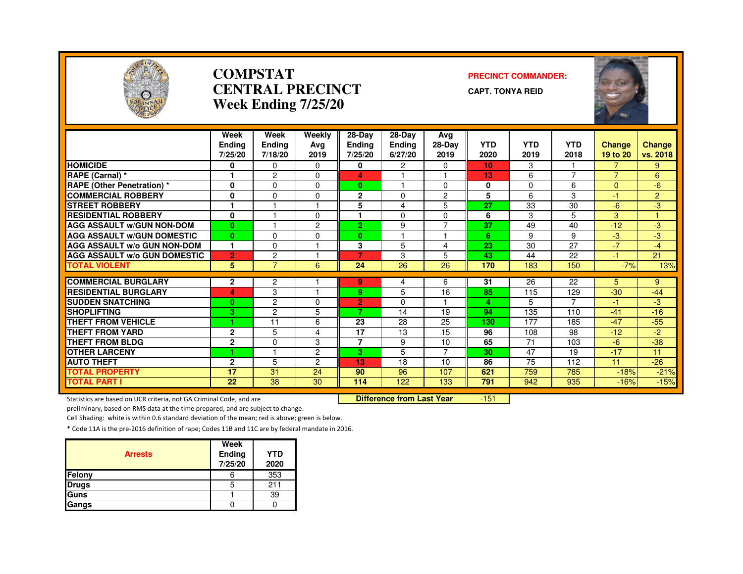

#### **COMPSTATCENTRAL PRECINCTWeek Ending 7/25/20**

#### **PRECINCT COMMANDER:**

**CAPT. TONYA REID**



|                                                                     | Week<br><b>Endina</b> | Week<br><b>Endina</b> | Weekly<br>Ava  | 28-Day<br><b>Ending</b> | 28-Day<br>Endina                 | Avg<br>28-Day  | <b>YTD</b>      | <b>YTD</b>  | <b>YTD</b>     | <b>Change</b>  | <b>Change</b>  |
|---------------------------------------------------------------------|-----------------------|-----------------------|----------------|-------------------------|----------------------------------|----------------|-----------------|-------------|----------------|----------------|----------------|
|                                                                     | 7/25/20               | 7/18/20               | 2019           | 7/25/20                 | 6/27/20                          | 2019           | 2020            | 2019        | 2018           | 19 to 20       | vs. 2018       |
| <b>HOMICIDE</b>                                                     | 0                     | $\Omega$              | $\Omega$       | 0                       | $\overline{2}$                   | $\Omega$       | 10 <sub>1</sub> | 3           |                | 7              | 9              |
| RAPE (Carnal) *                                                     |                       | $\overline{c}$        | 0              | 4                       |                                  |                | 13              | 6           | $\overline{ }$ | $\overline{7}$ | 6              |
| <b>RAPE (Other Penetration) *</b>                                   | $\mathbf{0}$          | $\mathbf 0$           | 0              | $\mathbf{0}$            |                                  | $\mathbf 0$    | $\mathbf 0$     | $\mathbf 0$ | 6              | $\overline{0}$ | $-6$           |
| <b>COMMERCIAL ROBBERY</b>                                           | 0                     | $\mathbf 0$           | 0              | $\mathbf{2}$            | $\mathbf 0$                      | 2              | 5               | 6           | 3              | $-1$           | $\overline{2}$ |
| <b>STREET ROBBERY</b>                                               | 1                     |                       |                | 5                       | 4                                | 5              | 27              | 33          | 30             | $-6$           | لې.            |
| <b>RESIDENTIAL ROBBERY</b>                                          | $\bf{0}$              |                       | $\Omega$       |                         | $\Omega$                         | $\Omega$       | 6               | 3           | 5              | 3              |                |
| <b>AGG ASSAULT W/GUN NON-DOM</b>                                    | $\bf{0}$              |                       | $\overline{2}$ | $\overline{2}$          | 9                                | $\overline{7}$ | 37              | 49          | 40             | $-12$          | $-3$           |
| <b>AGG ASSAULT W/GUN DOMESTIC</b>                                   | $\mathbf{0}$          | $\Omega$              | $\Omega$       | $\mathbf{0}$            |                                  |                | 6               | 9           | 9              | $-3$           | $-3$           |
| <b>AGG ASSAULT W/o GUN NON-DOM</b>                                  | 1                     | $\mathbf 0$           |                | 3                       | 5                                | 4              | 23              | 30          | 27             | $-7$           | $-4$           |
| <b>AGG ASSAULT W/o GUN DOMESTIC</b>                                 | 2                     | $\overline{c}$        |                | $\overline{7}$          | 3                                | 5              | 43              | 44          | 22             | $-1$           | 21             |
| <b>TOTAL VIOLENT</b>                                                | 5                     | $\overline{7}$        | 6              | 24                      | $\overline{26}$                  | 26             | 170             | 183         | 150            | $-7%$          | 13%            |
| <b>COMMERCIAL BURGLARY</b>                                          | $\mathbf{2}$          | $\overline{c}$        |                | 9                       | 4                                | 6              | 31              | 26          | 22             | 5              | 9              |
| <b>RESIDENTIAL BURGLARY</b>                                         | 4                     | 3                     |                | 9.                      | 5                                | 16             | 85              | 115         | 129            | $-30$          | $-44$          |
| <b>SUDDEN SNATCHING</b>                                             | $\bf{0}$              | $\overline{2}$        | $\Omega$       | $\overline{2}$          | $\Omega$                         |                | 4               | 5           | $\overline{7}$ | $-1$           | $-3$           |
| <b>SHOPLIFTING</b>                                                  | 3                     | $\overline{c}$        | 5              | 7                       | 14                               | 19             | 94              | 135         | 110            | $-41$          | $-16$          |
| <b>THEFT FROM VEHICLE</b>                                           |                       | 11                    | 6              | 23                      | 28                               | 25             | 130             | 177         | 185            | $-47$          | $-55$          |
| <b>THEFT FROM YARD</b>                                              | $\mathbf{2}$          | 5                     | 4              | 17                      | 13                               | 15             | 96              | 108         | 98             | $-12$          | $-2$           |
| <b>THEFT FROM BLDG</b>                                              | $\mathbf{2}$          | $\mathbf{0}$          | 3              | $\overline{7}$          | 9                                | 10             | 65              | 71          | 103            | $-6$           | $-38$          |
| <b>OTHER LARCENY</b>                                                |                       |                       | $\overline{2}$ | 3                       | 5                                |                | 30              | 47          | 19             | $-17$          | 11             |
| <b>AUTO THEFT</b>                                                   | $\mathbf{2}$          | 5                     | $\overline{2}$ | 13                      | 18                               | 10             | 86              | 75          | 112            | 11             | $-26$          |
| <b>TOTAL PROPERTY</b>                                               | 17                    | 31                    | 24             | 90                      | 96                               | 107            | 621             | 759         | 785            | $-18%$         | $-21%$         |
| <b>TOTAL PART I</b>                                                 | 22                    | 38                    | 30             | 114                     | 122                              | 133            | 791             | 942         | 935            | $-16%$         | $-15%$         |
| Statistics are based on UCR criteria, not GA Criminal Code, and are |                       |                       |                |                         | <b>Difference from Last Year</b> |                | $-151$          |             |                |                |                |

Statistics are based on UCR criteria, not GA Criminal Code, and are **Difference from Last Year** 

preliminary, based on RMS data at the time prepared, and are subject to change.

Cell Shading: white is within 0.6 standard deviation of the mean; red is above; green is below.

| <b>Arrests</b> | Week<br>Ending<br>7/25/20 | <b>YTD</b><br>2020 |
|----------------|---------------------------|--------------------|
| Felony         | 6                         | 353                |
| <b>Drugs</b>   | h                         | 211                |
| Guns           |                           | 39                 |
| Gangs          |                           |                    |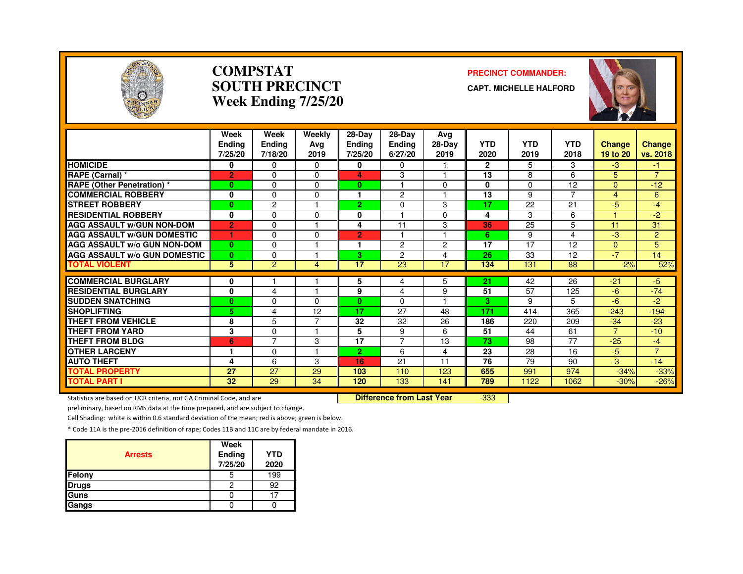

#### **COMPSTATSOUTH PRECINCTWeek Ending 7/25/20**

#### **PRECINCT COMMANDER:**

**CAPT. MICHELLE HALFORD**



|                                     | Week<br>Endina<br>7/25/20 | Week<br>Ending<br>7/18/20 | Weekly<br>Avg<br>2019 | 28-Day<br>Endina<br>7/25/20 | $28$ -Day<br><b>Ending</b><br>6/27/20 | Avg<br>28-Day<br>2019 | <b>YTD</b><br>2020 | <b>YTD</b><br>2019 | <b>YTD</b><br>2018 | Change<br>19 to 20 | Change<br>vs. 2018 |
|-------------------------------------|---------------------------|---------------------------|-----------------------|-----------------------------|---------------------------------------|-----------------------|--------------------|--------------------|--------------------|--------------------|--------------------|
| <b>HOMICIDE</b>                     | 0                         | $\mathbf{0}$              | $\Omega$              | 0                           | $\Omega$                              |                       | $\mathbf{2}$       | 5                  | 3                  | $-3$               | -1.                |
| RAPE (Carnal) *                     | $\overline{2}$            | $\Omega$                  | $\Omega$              | 4                           | 3                                     | 1                     | 13                 | 8                  | 6                  | 5                  | $\overline{7}$     |
| <b>RAPE (Other Penetration)</b> *   | $\mathbf{0}$              | $\Omega$                  | $\Omega$              | 0                           |                                       | $\Omega$              | 0                  | 0                  | 12                 | $\Omega$           | $-12$              |
| <b>COMMERCIAL ROBBERY</b>           | 0                         | $\Omega$                  | O                     | 1                           | 2                                     |                       | 13                 | 9                  | 7                  | 4                  | 6                  |
| <b>STREET ROBBERY</b>               | $\bf{0}$                  | $\overline{c}$            |                       | 2.                          | 0                                     | 3                     | 17                 | 22                 | 21                 | $-5$               | $-4$               |
| <b>RESIDENTIAL ROBBERY</b>          | $\bf{0}$                  | $\Omega$                  | $\Omega$              | 0                           |                                       | $\Omega$              | 4                  | 3                  | 6                  |                    | $-2$               |
| <b>AGG ASSAULT W/GUN NON-DOM</b>    | $\overline{2}$            | 0                         |                       | 4                           | 11                                    | 3                     | 36                 | 25                 | 5                  | 11                 | 31                 |
| <b>AGG ASSAULT W/GUN DOMESTIC</b>   | ٠                         | 0                         | $\Omega$              | $\overline{2}$              |                                       | н                     | 6                  | 9                  | 4                  | -3                 | 2                  |
| AGG ASSAULT w/o GUN NON-DOM         | $\bf{0}$                  | $\Omega$                  |                       | ٩                           | $\overline{2}$                        | $\overline{c}$        | 17                 | 17                 | 12                 | $\Omega$           | 5                  |
| <b>AGG ASSAULT w/o GUN DOMESTIC</b> | $\bf{0}$                  | $\mathbf{0}$              |                       | 3                           | $\overline{c}$                        | $\overline{4}$        | 26                 | 33                 | 12                 | $-7$               | 14                 |
| <b>TOTAL VIOLENT</b>                | 5                         | 2                         | 4                     | 17                          | 23                                    | 17                    | 134                | 131                | 88                 | 2%                 | 52%                |
| <b>COMMERCIAL BURGLARY</b>          | 0                         |                           |                       | 5                           | 4                                     | 5                     | 21                 | 42                 | 26                 | $-21$              | $-5$               |
| <b>RESIDENTIAL BURGLARY</b>         | 0                         | 4                         | $\overline{ }$        | 9                           | 4                                     | 9                     | 51                 | 57                 | 125                | -6                 | $-74$              |
| <b>SUDDEN SNATCHING</b>             | $\bf{0}$                  | $\Omega$                  | <sup>0</sup>          | 0                           | $\Omega$                              |                       | 3                  | 9                  | 5                  | -6                 | -2                 |
| <b>SHOPLIFTING</b>                  | 5                         | 4                         | 12                    | 17                          | 27                                    | 48                    | 171                | 414                | 365                | $-243$             | $-194$             |
| THEFT FROM VEHICLE                  | 8                         | 5                         | ⇁                     | 32                          | 32                                    | 26                    | 186                | 220                | 209                | $-34$              | $-23$              |
| <b>THEFT FROM YARD</b>              | 3                         | $\mathbf{0}$              |                       | 5                           | 9                                     | 6                     | 51                 | 44                 | 61                 | $\overline{7}$     | $-10$              |
| <b>THEFT FROM BLDG</b>              | 6                         | $\overline{7}$            | 3                     | 17                          | $\overline{7}$                        | 13                    | 73                 | 98                 | 77                 | $-25$              | $-4$               |
| <b>OTHER LARCENY</b>                | 1                         | $\Omega$                  |                       | $\overline{2}$              | 6                                     | 4                     | 23                 | 28                 | 16                 | $-5$               | $\overline{7}$     |
| <b>AUTO THEFT</b>                   | 4                         | 6                         | 3                     | 16                          | 21                                    | 11                    | 76                 | 79                 | 90                 | -3                 | $-14$              |
| <b>TOTAL PROPERTY</b>               | 27                        | 27                        | 29                    | 103                         | 110                                   | 123                   | 655                | 991                | 974                | $-34%$             | $-33%$             |
| <b>TOTAL PART I</b>                 | 32                        | 29                        | 34                    | 120                         | 133                                   | 141                   | 789                | 1122               | 1062               | $-30%$             | $-26%$             |

Statistics are based on UCR criteria, not GA Criminal Code, and are **Difference from Last Year** 

-333

preliminary, based on RMS data at the time prepared, and are subject to change.

Cell Shading: white is within 0.6 standard deviation of the mean; red is above; green is below.

| <b>Arrests</b> | Week<br><b>Ending</b><br>7/25/20 | <b>YTD</b><br>2020 |
|----------------|----------------------------------|--------------------|
| Felony         | 5                                | 199                |
| <b>Drugs</b>   | 2                                | 92                 |
| <b>Guns</b>    |                                  |                    |
| Gangs          |                                  |                    |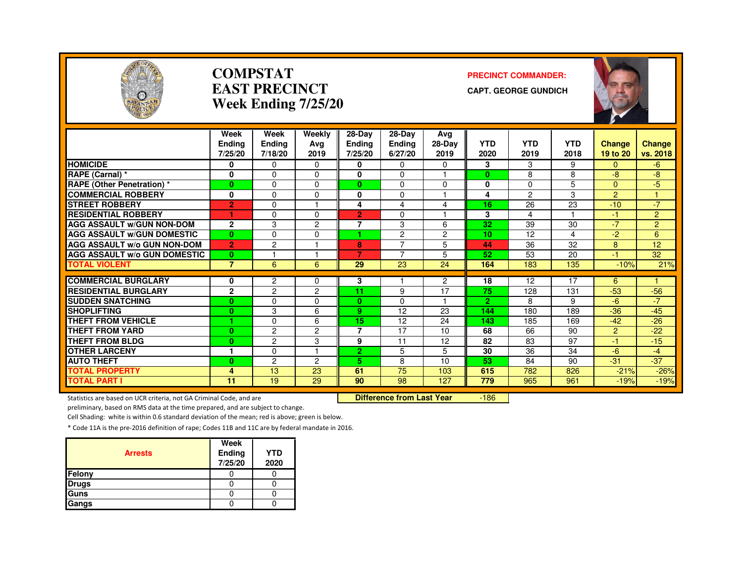

#### **COMPSTATEAST PRECINCTWeek Ending 7/25/20**

#### **PRECINCT COMMANDER:**

**CAPT. GEORGE GUNDICH**



|                                     | Week               | Week           | Weekly                     | $28-Dav$          | 28-Dav                | Avg            |                       |                |            |                |                |
|-------------------------------------|--------------------|----------------|----------------------------|-------------------|-----------------------|----------------|-----------------------|----------------|------------|----------------|----------------|
|                                     | <b>Endina</b>      | <b>Ending</b>  | Avg                        | Ending            | <b>Ending</b>         | 28-Day         | <b>YTD</b>            | <b>YTD</b>     | <b>YTD</b> | <b>Change</b>  | <b>Change</b>  |
|                                     | 7/25/20            | 7/18/20        | 2019                       | 7/25/20           | 6/27/20               | 2019           | 2020                  | 2019           | 2018       | 19 to 20       | vs. 2018       |
| <b>HOMICIDE</b>                     | 0                  | 0              | $\Omega$                   | 0                 | 0                     | $\Omega$       | 3                     | 3              | 9          | 0              | $-6$           |
| RAPE (Carnal) *                     | 0                  | 0              | $\Omega$                   | 0                 | $\Omega$              |                | $\bf{0}$              | 8              | 8          | -8             | -8             |
| <b>RAPE (Other Penetration) *</b>   | $\mathbf{0}$       | 0              | $\Omega$                   | $\mathbf{0}$      | $\Omega$              | $\Omega$       | $\bf{0}$              | $\Omega$       | 5          | $\Omega$       | $-5$           |
| <b>COMMERCIAL ROBBERY</b>           | 0                  | 0              | $\Omega$                   | 0                 | 0                     |                | 4                     | $\overline{c}$ | 3          | $\overline{2}$ |                |
| <b>STREET ROBBERY</b>               | $\overline{2}$     | 0              |                            | 4                 | 4                     | 4              | 16                    | 26             | 23         | $-10$          | $-7$           |
| <b>RESIDENTIAL ROBBERY</b>          |                    | 0              | $\Omega$                   | $\overline{2}$    | $\Omega$              |                | 3                     | $\overline{4}$ |            | $-1$           | $\overline{2}$ |
| <b>AGG ASSAULT w/GUN NON-DOM</b>    | $\mathbf{2}$       | 3              | $\overline{c}$             | 7                 | 3                     | 6              | 32                    | 39             | 30         | $-7$           | $\overline{2}$ |
| <b>AGG ASSAULT W/GUN DOMESTIC</b>   | $\mathbf{0}$       | 0              | $\Omega$                   | ٠                 | 2                     | $\overline{c}$ | 10                    | 12             | 4          | $-2$           | 6              |
| <b>AGG ASSAULT W/o GUN NON-DOM</b>  | $\overline{2}$     | $\overline{c}$ |                            | 8                 | $\overline{7}$        | 5              | 44                    | 36             | 32         | 8              | 12             |
| <b>AGG ASSAULT W/o GUN DOMESTIC</b> | $\mathbf{0}$       |                |                            | $\overline{7}$    | 7                     | 5              | 52                    | 53             | 20         | -1             | 32             |
| <b>TOTAL VIOLENT</b>                | $\overline{7}$     | 6              | 6                          | 29                | 23                    | 24             | 164                   | 183            | 135        | $-10%$         | 21%            |
| <b>COMMERCIAL BURGLARY</b>          |                    |                |                            | 3                 |                       | $\overline{2}$ | 18                    | 12             | 17         | 6              |                |
| <b>RESIDENTIAL BURGLARY</b>         | 0<br>$\mathbf{2}$  | 2<br>2         | $\Omega$<br>$\overline{c}$ | 11                | 9                     | 17             | 75                    | 128            | 131        | $-53$          | $-56$          |
| <b>SUDDEN SNATCHING</b>             |                    |                |                            |                   |                       | 1              |                       |                | 9          | $-6$           | $-7$           |
| <b>SHOPLIFTING</b>                  | $\mathbf{0}$       | 0              | $\Omega$                   | $\mathbf{0}$<br>9 | $\Omega$<br>12        | 23             | $\overline{2}$<br>144 | 8              | 189        | $-36$          | $-45$          |
| <b>THEFT FROM VEHICLE</b>           | $\mathbf{0}$<br>4. | 3              | 6<br>6                     | 15                |                       |                | 143                   | 180            |            | $-42$          | $-26$          |
| <b>THEFT FROM YARD</b>              |                    | 0              |                            | 7                 | 12<br>$\overline{17}$ | 24<br>10       | 68                    | 185<br>66      | 169<br>90  |                | $-22$          |
|                                     | $\mathbf{0}$       | 2              | 2                          |                   |                       |                |                       |                | 97         | $\overline{c}$ |                |
| <b>THEFT FROM BLDG</b>              | $\mathbf{0}$       | $\overline{c}$ | 3                          | 9                 | 11                    | 12             | 82                    | 83             |            | $-1$           | $-15$          |
| <b>OTHER LARCENY</b>                | 1                  | 0              |                            | $\overline{2}$    | 5                     | 5              | 30                    | 36             | 34         | $-6$           | $-4$           |
| <b>AUTO THEFT</b>                   | $\bf{0}$           | 2              | 2                          | 5.                | 8                     | 10             | 53                    | 84             | 90         | $-31$          | $-37$          |
| <b>TOTAL PROPERTY</b>               | 4                  | 13             | 23                         | 61                | 75                    | 103            | 615                   | 782            | 826        | $-21%$         | $-26%$         |
| <b>TOTAL PART I</b>                 | 11                 | 19             | 29                         | 90                | 98                    | 127            | 779                   | 965            | 961        | $-19%$         | $-19%$         |

Statistics are based on UCR criteria, not GA Criminal Code, and are **Difference from Last Year** 

-186

preliminary, based on RMS data at the time prepared, and are subject to change.

Cell Shading: white is within 0.6 standard deviation of the mean; red is above; green is below.

| <b>Arrests</b> | Week<br>Ending<br>7/25/20 | <b>YTD</b><br>2020 |
|----------------|---------------------------|--------------------|
| Felony         |                           |                    |
| <b>Drugs</b>   |                           |                    |
| Guns           |                           |                    |
| Gangs          |                           |                    |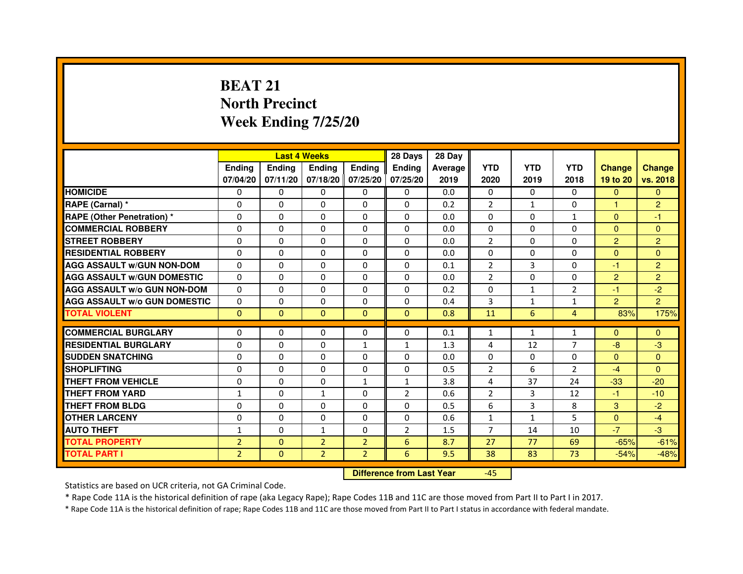# **BEAT 21 North PrecinctWeek Ending 7/25/20**

|                                     |                |               | <b>Last 4 Weeks</b> |                   | 28 Days        | 28 Day  |                |              |                |                |                |
|-------------------------------------|----------------|---------------|---------------------|-------------------|----------------|---------|----------------|--------------|----------------|----------------|----------------|
|                                     | <b>Ending</b>  | <b>Endina</b> | <b>Ending</b>       | <b>Ending</b>     | <b>Endina</b>  | Average | <b>YTD</b>     | <b>YTD</b>   | <b>YTD</b>     | <b>Change</b>  | <b>Change</b>  |
|                                     | 07/04/20       | 07/11/20      |                     | 07/18/20 07/25/20 | 07/25/20       | 2019    | 2020           | 2019         | 2018           | 19 to 20       | vs. 2018       |
| <b>HOMICIDE</b>                     | $\Omega$       | $\mathbf{0}$  | $\mathbf{0}$        | $\Omega$          | $\mathbf{0}$   | 0.0     | $\mathbf{0}$   | $\Omega$     | $\Omega$       | $\Omega$       | $\mathbf{0}$   |
| RAPE (Carnal) *                     | 0              | $\Omega$      | $\Omega$            | $\Omega$          | $\Omega$       | 0.2     | $\overline{2}$ | $\mathbf{1}$ | $\Omega$       | $\mathbf{1}$   | $\overline{2}$ |
| <b>RAPE (Other Penetration)*</b>    | 0              | $\mathbf{0}$  | 0                   | $\mathbf{0}$      | 0              | 0.0     | 0              | 0            | $\mathbf{1}$   | $\Omega$       | $-1$           |
| <b>COMMERCIAL ROBBERY</b>           | 0              | 0             | $\Omega$            | $\Omega$          | $\Omega$       | 0.0     | $\Omega$       | $\Omega$     | $\Omega$       | $\Omega$       | $\Omega$       |
| <b>STREET ROBBERY</b>               | 0              | 0             | 0                   | 0                 | 0              | 0.0     | $\overline{2}$ | 0            | $\Omega$       | $\overline{2}$ | $\overline{2}$ |
| <b>RESIDENTIAL ROBBERY</b>          | 0              | 0             | 0                   | $\Omega$          | 0              | 0.0     | 0              | $\Omega$     | $\Omega$       | $\Omega$       | $\Omega$       |
| <b>AGG ASSAULT W/GUN NON-DOM</b>    | $\Omega$       | $\Omega$      | $\Omega$            | $\Omega$          | $\Omega$       | 0.1     | $\overline{2}$ | 3            | $\Omega$       | $-1$           | $\overline{2}$ |
| <b>AGG ASSAULT W/GUN DOMESTIC</b>   | 0              | 0             | $\Omega$            | 0                 | $\Omega$       | 0.0     | $\overline{2}$ | $\Omega$     | $\Omega$       | $\overline{2}$ | $\overline{2}$ |
| <b>AGG ASSAULT W/o GUN NON-DOM</b>  | $\Omega$       | 0             | 0                   | $\Omega$          | $\Omega$       | 0.2     | $\Omega$       | $\mathbf{1}$ | $\overline{2}$ | $-1$           | $-2$           |
| <b>AGG ASSAULT W/o GUN DOMESTIC</b> | $\Omega$       | $\Omega$      | 0                   | $\Omega$          | $\Omega$       | 0.4     | 3              | $\mathbf{1}$ | $\mathbf{1}$   | $\overline{2}$ | $\overline{2}$ |
| <b>TOTAL VIOLENT</b>                | $\Omega$       | $\Omega$      | $\Omega$            | $\mathbf{0}$      | $\mathbf{0}$   | 0.8     | 11             | 6            | $\overline{4}$ | 83%            | 175%           |
|                                     |                |               |                     |                   |                |         |                |              |                |                |                |
| <b>COMMERCIAL BURGLARY</b>          | $\Omega$       | 0             | 0                   | 0                 | $\Omega$       | 0.1     | $\mathbf{1}$   | $\mathbf{1}$ | $\mathbf{1}$   | $\Omega$       | $\Omega$       |
| <b>RESIDENTIAL BURGLARY</b>         | 0              | $\Omega$      | 0                   | 1                 | $\mathbf{1}$   | 1.3     | 4              | 12           | 7              | $-8$           | $-3$           |
| <b>SUDDEN SNATCHING</b>             | 0              | 0             | $\Omega$            | $\Omega$          | $\Omega$       | 0.0     | $\Omega$       | $\Omega$     | $\Omega$       | $\Omega$       | $\Omega$       |
| <b>SHOPLIFTING</b>                  | 0              | $\Omega$      | $\Omega$            | $\Omega$          | $\Omega$       | 0.5     | $\overline{2}$ | 6            | $\overline{2}$ | $-4$           | $\Omega$       |
| THEFT FROM VEHICLE                  | 0              | $\Omega$      | $\Omega$            | $\mathbf{1}$      | $\mathbf{1}$   | 3.8     | 4              | 37           | 24             | $-33$          | $-20$          |
| <b>THEFT FROM YARD</b>              | $\mathbf{1}$   | 0             | $\mathbf{1}$        | 0                 | $\overline{2}$ | 0.6     | $\overline{2}$ | 3            | 12             | $-1$           | $-10$          |
| <b>THEFT FROM BLDG</b>              | 0              | 0             | 0                   | 0                 | 0              | 0.5     | 6              | 3            | 8              | 3              | $-2$           |
| <b>OTHER LARCENY</b>                | 0              | 0             | $\Omega$            | 0                 | $\Omega$       | 0.6     | 1              | $\mathbf{1}$ | 5              | $\Omega$       | $-4$           |
| <b>AUTO THEFT</b>                   | $\mathbf{1}$   | 0             | $\mathbf{1}$        | $\Omega$          | $\overline{2}$ | 1.5     | $\overline{7}$ | 14           | 10             | $-7$           | $-3$           |
| <b>TOTAL PROPERTY</b>               | $\overline{2}$ | $\mathbf 0$   | $\overline{2}$      | $\overline{2}$    | 6              | 8.7     | 27             | 77           | 69             | $-65%$         | $-61%$         |
| <b>TOTAL PART I</b>                 | $\overline{2}$ | $\mathbf{0}$  | $\overline{2}$      | $\overline{2}$    | 6              | 9.5     | 38             | 83           | 73             | $-54%$         | $-48%$         |

 **Difference from Last Year**

-45

Statistics are based on UCR criteria, not GA Criminal Code.

\* Rape Code 11A is the historical definition of rape (aka Legacy Rape); Rape Codes 11B and 11C are those moved from Part II to Part I in 2017.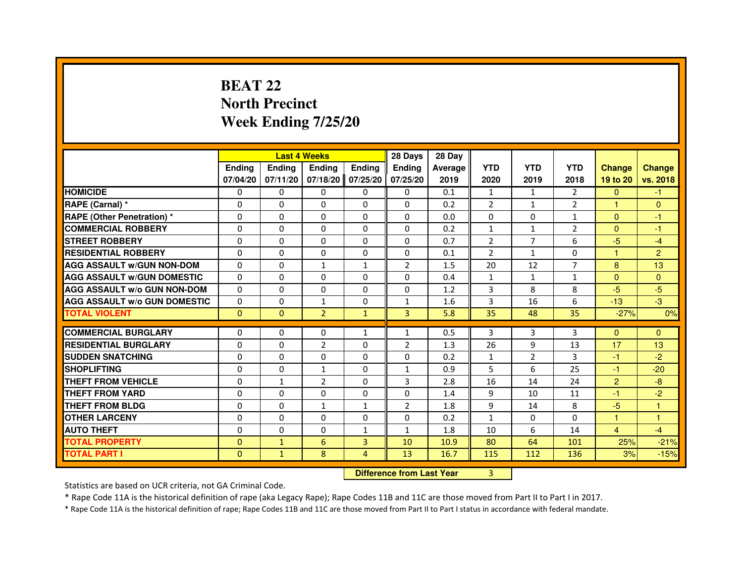# **BEAT 22 North PrecinctWeek Ending 7/25/20**

|                                     |               |               | <b>Last 4 Weeks</b>              |               | 28 Days        | 28 Day  |                |                |                |                |                |
|-------------------------------------|---------------|---------------|----------------------------------|---------------|----------------|---------|----------------|----------------|----------------|----------------|----------------|
|                                     | <b>Ending</b> | <b>Ending</b> | <b>Ending</b>                    | <b>Ending</b> | <b>Ending</b>  | Average | <b>YTD</b>     | <b>YTD</b>     | <b>YTD</b>     | <b>Change</b>  | <b>Change</b>  |
|                                     | 07/04/20      | 07/11/20      | 07/18/20                         | 07/25/20      | 07/25/20       | 2019    | 2020           | 2019           | 2018           | 19 to 20       | vs. 2018       |
| <b>HOMICIDE</b>                     | 0             | $\Omega$      | $\Omega$                         | 0             | 0              | 0.1     | $\mathbf{1}$   | $\mathbf{1}$   | $\mathcal{P}$  | $\mathbf{0}$   | $-1$           |
| RAPE (Carnal) *                     | 0             | 0             | 0                                | 0             | 0              | 0.2     | 2              | $\mathbf{1}$   | 2              | 1              | $\mathbf{0}$   |
| RAPE (Other Penetration) *          | $\Omega$      | 0             | $\Omega$                         | $\Omega$      | $\Omega$       | 0.0     | $\Omega$       | $\Omega$       | 1              | $\Omega$       | $-1$           |
| <b>COMMERCIAL ROBBERY</b>           | $\Omega$      | $\Omega$      | $\Omega$                         | $\Omega$      | $\Omega$       | 0.2     | $\mathbf{1}$   | $\mathbf{1}$   | $\overline{2}$ | $\Omega$       | $-1$           |
| <b>STREET ROBBERY</b>               | $\Omega$      | $\Omega$      | $\Omega$                         | $\Omega$      | $\Omega$       | 0.7     | $\overline{2}$ | $\overline{7}$ | 6              | $-5$           | $-4$           |
| <b>RESIDENTIAL ROBBERY</b>          | 0             | 0             | $\Omega$                         | 0             | 0              | 0.1     | $\overline{2}$ | $\mathbf{1}$   | $\Omega$       | 1              | $\overline{2}$ |
| <b>AGG ASSAULT W/GUN NON-DOM</b>    | $\Omega$      | $\Omega$      | $\mathbf{1}$                     | $\mathbf{1}$  | $\overline{2}$ | 1.5     | 20             | 12             | $\overline{7}$ | 8              | 13             |
| <b>AGG ASSAULT W/GUN DOMESTIC</b>   | $\Omega$      | $\Omega$      | $\Omega$                         | $\Omega$      | $\Omega$       | 0.4     | $\mathbf{1}$   | $\mathbf{1}$   | $\mathbf{1}$   | $\Omega$       | $\overline{0}$ |
| <b>AGG ASSAULT W/o GUN NON-DOM</b>  | $\Omega$      | $\Omega$      | $\Omega$                         | $\Omega$      | $\Omega$       | 1.2     | 3              | 8              | 8              | $-5$           | $-5$           |
| <b>AGG ASSAULT W/o GUN DOMESTIC</b> | $\Omega$      | $\Omega$      | $\mathbf{1}$                     | $\Omega$      | $\mathbf{1}$   | 1.6     | 3              | 16             | 6              | $-13$          | $-3$           |
| <b>TOTAL VIOLENT</b>                | $\mathbf{0}$  | $\mathbf{0}$  | $\overline{2}$                   | $\mathbf{1}$  | 3              | 5.8     | 35             | 48             | 35             | $-27%$         | 0%             |
| <b>COMMERCIAL BURGLARY</b>          | 0             | 0             | 0                                | 1             | $\mathbf{1}$   | 0.5     | 3              | 3              | 3              | $\Omega$       | $\Omega$       |
| <b>RESIDENTIAL BURGLARY</b>         | 0             | $\Omega$      | $\overline{2}$                   | $\Omega$      | $\overline{2}$ | 1.3     | 26             | 9              | 13             | 17             | 13             |
| <b>SUDDEN SNATCHING</b>             | $\Omega$      | $\Omega$      | $\Omega$                         | $\Omega$      | $\Omega$       | 0.2     | $\mathbf{1}$   | $\overline{2}$ | 3              | $-1$           | $-2$           |
| <b>SHOPLIFTING</b>                  | 0             | $\Omega$      | $\mathbf{1}$                     | 0             | $\mathbf{1}$   | 0.9     | 5              | 6              | 25             | $-1$           | $-20$          |
| THEFT FROM VEHICLE                  | 0             | $\mathbf{1}$  | $\overline{2}$                   | $\Omega$      | 3              | 2.8     | 16             | 14             | 24             | $\overline{2}$ | $-8$           |
| <b>THEFT FROM YARD</b>              | $\Omega$      | $\Omega$      | $\Omega$                         | $\Omega$      | $\Omega$       | 1.4     | 9              | 10             | 11             | $-1$           | $-2$           |
| <b>THEFT FROM BLDG</b>              | $\Omega$      | $\Omega$      | $\mathbf{1}$                     | $\mathbf{1}$  | $\overline{2}$ | 1.8     | 9              | 14             | 8              | $-5$           | $\mathbf{1}$   |
| <b>OTHER LARCENY</b>                | 0             | $\Omega$      | 0                                | 0             | 0              | 0.2     | $\mathbf{1}$   | 0              | $\Omega$       | 1              | 1              |
| <b>AUTO THEFT</b>                   | $\Omega$      | $\Omega$      | $\Omega$                         | $\mathbf{1}$  | $\mathbf{1}$   | 1.8     | 10             | 6              | 14             | $\overline{4}$ | $-4$           |
| <b>TOTAL PROPERTY</b>               | $\Omega$      | $\mathbf{1}$  | 6                                | 3             | 10             | 10.9    | 80             | 64             | 101            | 25%            | $-21%$         |
| <b>TOTAL PART I</b>                 | $\mathbf{0}$  | $\mathbf{1}$  | 8                                | 4             | 13             | 16.7    | 115            | 112            | 136            | 3%             | $-15%$         |
|                                     |               |               | <b>Difference from Last Year</b> |               | 3              |         |                |                |                |                |                |

 **Difference from Last Year**

Statistics are based on UCR criteria, not GA Criminal Code.

\* Rape Code 11A is the historical definition of rape (aka Legacy Rape); Rape Codes 11B and 11C are those moved from Part II to Part I in 2017.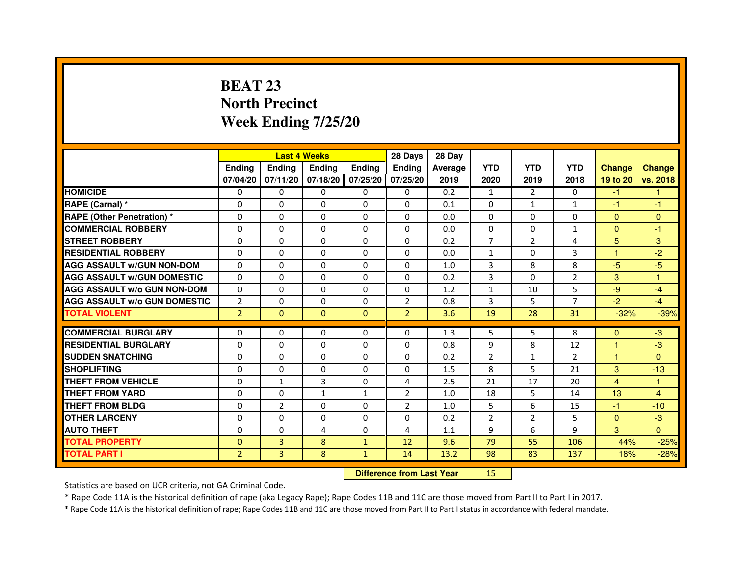# **BEAT 23 North PrecinctWeek Ending 7/25/20**

|                                     |                |                                  | <b>Last 4 Weeks</b> |               | 28 Days        | 28 Day  |                |                |                |               |                |
|-------------------------------------|----------------|----------------------------------|---------------------|---------------|----------------|---------|----------------|----------------|----------------|---------------|----------------|
|                                     | <b>Ending</b>  | <b>Ending</b>                    | <b>Ending</b>       | <b>Ending</b> | <b>Ending</b>  | Average | <b>YTD</b>     | <b>YTD</b>     | <b>YTD</b>     | <b>Change</b> | <b>Change</b>  |
|                                     | 07/04/20       | 07/11/20                         | 07/18/20            | 07/25/20      | 07/25/20       | 2019    | 2020           | 2019           | 2018           | 19 to 20      | vs. 2018       |
| <b>HOMICIDE</b>                     | 0              | $\Omega$                         | $\Omega$            | 0             | 0              | 0.2     | $\mathbf{1}$   | $\mathcal{P}$  | $\Omega$       | $-1$          | $\mathbf{1}$   |
| RAPE (Carnal) *                     | 0              | 0                                | 0                   | 0             | 0              | 0.1     | 0              | $\mathbf{1}$   | $\mathbf{1}$   | $-1$          | $-1$           |
| RAPE (Other Penetration) *          | $\Omega$       | 0                                | $\Omega$            | $\Omega$      | $\Omega$       | 0.0     | $\Omega$       | $\Omega$       | $\Omega$       | $\Omega$      | $\mathbf{0}$   |
| <b>COMMERCIAL ROBBERY</b>           | $\Omega$       | $\Omega$                         | $\Omega$            | $\Omega$      | $\Omega$       | 0.0     | $\Omega$       | $\Omega$       | $\mathbf{1}$   | $\Omega$      | $-1$           |
| <b>STREET ROBBERY</b>               | $\Omega$       | $\Omega$                         | $\Omega$            | $\Omega$      | $\Omega$       | 0.2     | $\overline{7}$ | $\overline{2}$ | $\overline{a}$ | 5             | 3              |
| <b>RESIDENTIAL ROBBERY</b>          | 0              | 0                                | $\Omega$            | 0             | 0              | 0.0     | $\mathbf{1}$   | 0              | 3              | 1             | $-2$           |
| <b>AGG ASSAULT W/GUN NON-DOM</b>    | $\Omega$       | $\Omega$                         | $\Omega$            | $\Omega$      | $\Omega$       | 1.0     | $\overline{3}$ | 8              | 8              | $-5$          | $-5$           |
| <b>AGG ASSAULT W/GUN DOMESTIC</b>   | $\Omega$       | $\Omega$                         | $\Omega$            | $\Omega$      | $\Omega$       | 0.2     | 3              | $\Omega$       | $\overline{2}$ | 3             | $\mathbf{1}$   |
| <b>AGG ASSAULT W/o GUN NON-DOM</b>  | $\Omega$       | $\Omega$                         | $\Omega$            | $\Omega$      | $\Omega$       | 1.2     | $\mathbf{1}$   | 10             | 5              | $-9$          | $-4$           |
| <b>AGG ASSAULT W/o GUN DOMESTIC</b> | $\overline{2}$ | $\Omega$                         | 0                   | $\Omega$      | 2              | 0.8     | 3              | 5              | $\overline{7}$ | $-2$          | $-4$           |
| <b>TOTAL VIOLENT</b>                | $\overline{2}$ | $\mathbf{0}$                     | $\mathbf{0}$        | $\mathbf{0}$  | $\overline{2}$ | 3.6     | 19             | 28             | 31             | $-32%$        | $-39%$         |
| <b>COMMERCIAL BURGLARY</b>          | 0              | 0                                | 0                   | 0             | 0              | 1.3     | 5              | 5              | 8              | $\Omega$      | $-3$           |
| <b>RESIDENTIAL BURGLARY</b>         | 0              | $\Omega$                         | $\Omega$            | $\Omega$      | $\Omega$       | 0.8     | 9              | 8              | 12             | 1             | $-3$           |
| <b>SUDDEN SNATCHING</b>             | $\Omega$       | $\Omega$                         | $\Omega$            | $\Omega$      | $\Omega$       | 0.2     | $\overline{2}$ | $\mathbf{1}$   | $\overline{2}$ | $\mathbf{1}$  | $\Omega$       |
| <b>SHOPLIFTING</b>                  | 0              | $\Omega$                         | 0                   | 0             | 0              | 1.5     | 8              | 5              | 21             | 3             | $-13$          |
| THEFT FROM VEHICLE                  | 0              | $\mathbf{1}$                     | 3                   | 0             | 4              | 2.5     | 21             | 17             | 20             | 4             | 1              |
| <b>THEFT FROM YARD</b>              | $\Omega$       | $\Omega$                         | $\mathbf{1}$        | $\mathbf{1}$  | $\overline{2}$ | 1.0     | 18             | 5              | 14             | 13            | $\overline{4}$ |
| <b>THEFT FROM BLDG</b>              | $\Omega$       | $\overline{2}$                   | $\Omega$            | $\Omega$      | $\overline{2}$ | 1.0     | 5              | 6              | 15             | $-1$          | $-10$          |
| <b>OTHER LARCENY</b>                | 0              | $\Omega$                         | 0                   | 0             | 0              | 0.2     | $\overline{2}$ | $\overline{2}$ | 5              | $\mathbf{0}$  | $-3$           |
| <b>AUTO THEFT</b>                   | $\Omega$       | $\Omega$                         | 4                   | $\Omega$      | 4              | 1.1     | 9              | 6              | 9              | 3             | $\Omega$       |
| <b>TOTAL PROPERTY</b>               | $\Omega$       | 3                                | 8                   | $\mathbf{1}$  | 12             | 9.6     | 79             | 55             | 106            | 44%           | $-25%$         |
| <b>TOTAL PART I</b>                 | $\overline{2}$ | 3                                | 8                   | $\mathbf{1}$  | 14             | 13.2    | 98             | 83             | 137            | 18%           | $-28%$         |
|                                     |                | <b>Difference from Last Year</b> |                     | 15            |                |         |                |                |                |               |                |

 **Difference from Last Year**

Statistics are based on UCR criteria, not GA Criminal Code.

\* Rape Code 11A is the historical definition of rape (aka Legacy Rape); Rape Codes 11B and 11C are those moved from Part II to Part I in 2017.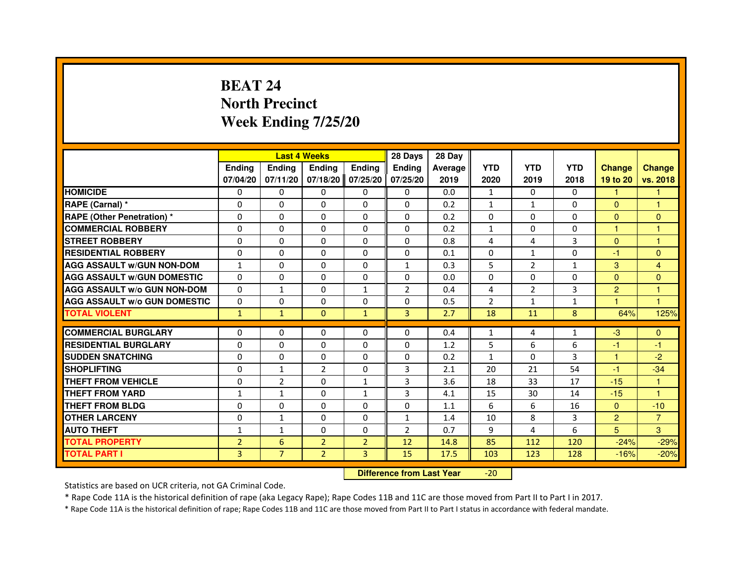# **BEAT 24 North PrecinctWeek Ending 7/25/20**

|                                     |                | <b>Last 4 Weeks</b> |                                  |                | 28 Days        | 28 Day  |                |                |              |                |                      |
|-------------------------------------|----------------|---------------------|----------------------------------|----------------|----------------|---------|----------------|----------------|--------------|----------------|----------------------|
|                                     | <b>Ending</b>  | Ending              | <b>Ending</b>                    | <b>Ending</b>  | Ending         | Average | <b>YTD</b>     | <b>YTD</b>     | <b>YTD</b>   | <b>Change</b>  | <b>Change</b>        |
|                                     | 07/04/20       | 07/11/20            | 07/18/20                         | 07/25/20       | 07/25/20       | 2019    | 2020           | 2019           | 2018         | 19 to 20       | vs. 2018             |
| <b>HOMICIDE</b>                     | 0              | $\Omega$            | 0                                | 0              | $\Omega$       | 0.0     | $\mathbf{1}$   | $\Omega$       | $\Omega$     | 1.             | 1                    |
| RAPE (Carnal) *                     | 0              | 0                   | 0                                | 0              | 0              | 0.2     | $\mathbf{1}$   | $\mathbf{1}$   | 0            | $\mathbf{0}$   | 1                    |
| RAPE (Other Penetration) *          | 0              | $\Omega$            | $\Omega$                         | $\Omega$       | $\Omega$       | 0.2     | $\Omega$       | $\Omega$       | $\Omega$     | $\Omega$       | $\mathbf{0}$         |
| <b>COMMERCIAL ROBBERY</b>           | 0              | $\Omega$            | $\Omega$                         | $\Omega$       | $\Omega$       | 0.2     | $\mathbf{1}$   | $\Omega$       | $\Omega$     | $\mathbf{1}$   | $\mathbf{1}$         |
| <b>STREET ROBBERY</b>               | $\Omega$       | $\Omega$            | $\Omega$                         | $\Omega$       | $\Omega$       | 0.8     | 4              | 4              | 3            | $\Omega$       | 1                    |
| <b>RESIDENTIAL ROBBERY</b>          | 0              | 0                   | 0                                | 0              | 0              | 0.1     | 0              | $\mathbf{1}$   | 0            | $-1$           | $\mathbf{0}$         |
| <b>AGG ASSAULT w/GUN NON-DOM</b>    | $\mathbf{1}$   | $\Omega$            | $\Omega$                         | $\Omega$       | $\mathbf{1}$   | 0.3     | 5              | $\overline{2}$ | $\mathbf{1}$ | 3              | $\overline{4}$       |
| <b>AGG ASSAULT W/GUN DOMESTIC</b>   | $\Omega$       | $\Omega$            | $\Omega$                         | $\Omega$       | $\Omega$       | 0.0     | $\Omega$       | $\Omega$       | 0            | $\Omega$       | $\Omega$             |
| <b>AGG ASSAULT W/o GUN NON-DOM</b>  | $\Omega$       | $\mathbf{1}$        | $\Omega$                         | $\mathbf{1}$   | $\overline{2}$ | 0.4     | 4              | 2              | 3            | $\overline{2}$ | $\mathbf{1}$         |
| <b>AGG ASSAULT w/o GUN DOMESTIC</b> | $\Omega$       | $\Omega$            | $\Omega$                         | $\Omega$       | $\Omega$       | 0.5     | $\overline{2}$ | $\mathbf{1}$   | $\mathbf{1}$ | 4              | $\blacktriangleleft$ |
| <b>TOTAL VIOLENT</b>                | $\mathbf{1}$   | $\mathbf{1}$        | $\mathbf{0}$                     | $\mathbf{1}$   | 3              | 2.7     | 18             | 11             | 8            | 64%            | 125%                 |
| <b>COMMERCIAL BURGLARY</b>          | 0              | 0                   | 0                                | 0              | 0              | 0.4     | $\mathbf{1}$   | 4              | $\mathbf{1}$ | $-3$           | $\mathbf{0}$         |
| <b>RESIDENTIAL BURGLARY</b>         | 0              | $\Omega$            | $\Omega$                         | $\Omega$       | 0              | 1.2     | 5              | 6              | 6            | $-1$           | $-1$                 |
| <b>SUDDEN SNATCHING</b>             | $\Omega$       | $\Omega$            | $\Omega$                         | $\Omega$       | $\Omega$       | 0.2     | $\mathbf{1}$   | $\Omega$       | 3            | $\mathbf{1}$   | $-2$                 |
| <b>SHOPLIFTING</b>                  | 0              | $\mathbf{1}$        | $\overline{2}$                   | 0              | 3              | 2.1     | 20             | 21             | 54           | $-1$           | $-34$                |
| <b>THEFT FROM VEHICLE</b>           | 0              | $\overline{2}$      | $\Omega$                         | $\mathbf{1}$   | 3              | 3.6     | 18             | 33             | 17           | $-15$          | $\mathbf{1}$         |
| <b>THEFT FROM YARD</b>              | $\mathbf{1}$   | $\mathbf{1}$        | $\Omega$                         | $\mathbf{1}$   | 3              | 4.1     | 15             | 30             | 14           | $-15$          | $\mathbf{1}$         |
| <b>THEFT FROM BLDG</b>              | $\Omega$       | $\Omega$            | $\Omega$                         | $\Omega$       | $\Omega$       | 1.1     | 6              | 6              | 16           | $\mathbf{0}$   | $-10$                |
| <b>OTHER LARCENY</b>                | 0              | 1                   | 0                                | $\Omega$       | $\mathbf{1}$   | 1.4     | 10             | 8              | 3            | $\overline{2}$ | $\overline{7}$       |
| <b>AUTO THEFT</b>                   | $\mathbf{1}$   | $\mathbf{1}$        | $\Omega$                         | $\Omega$       | $\overline{2}$ | 0.7     | 9              | 4              | 6            | 5              | 3                    |
| <b>TOTAL PROPERTY</b>               | $\overline{2}$ | 6                   | $\overline{2}$                   | $\overline{2}$ | 12             | 14.8    | 85             | 112            | 120          | $-24%$         | $-29%$               |
| <b>TOTAL PART I</b>                 | $\overline{3}$ | $\overline{7}$      | $\overline{2}$                   | 3              | 15             | 17.5    | 103            | 123            | 128          | $-16%$         | $-20%$               |
|                                     |                |                     | <b>Difference from Last Year</b> |                | $-20$          |         |                |                |              |                |                      |

 **Difference from Last Year**

Statistics are based on UCR criteria, not GA Criminal Code.

\* Rape Code 11A is the historical definition of rape (aka Legacy Rape); Rape Codes 11B and 11C are those moved from Part II to Part I in 2017.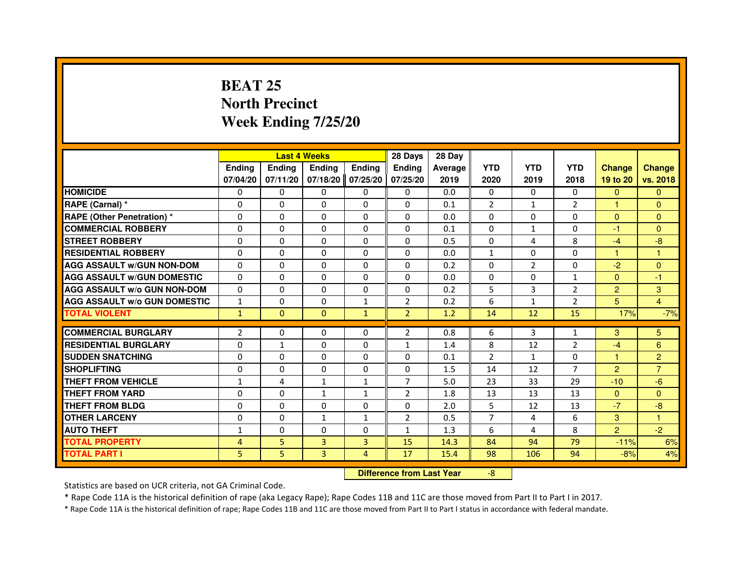# **BEAT 25 North PrecinctWeek Ending 7/25/20**

|                                     |                |                                  | <b>Last 4 Weeks</b> |                | 28 Days        | 28 Day  |                |                |                |                      |                |
|-------------------------------------|----------------|----------------------------------|---------------------|----------------|----------------|---------|----------------|----------------|----------------|----------------------|----------------|
|                                     | <b>Ending</b>  | <b>Ending</b>                    | <b>Ending</b>       | <b>Ending</b>  | Ending         | Average | <b>YTD</b>     | <b>YTD</b>     | <b>YTD</b>     | <b>Change</b>        | <b>Change</b>  |
|                                     | 07/04/20       | 07/11/20                         | 07/18/20            | 07/25/20       | 07/25/20       | 2019    | 2020           | 2019           | 2018           | 19 to 20             | vs. 2018       |
| <b>HOMICIDE</b>                     | $\Omega$       | $\Omega$                         | 0                   | $\mathbf{0}$   | 0              | 0.0     | $\Omega$       | $\Omega$       | $\Omega$       | $\mathbf{0}$         | $\mathbf{0}$   |
| RAPE (Carnal) *                     | 0              | $\Omega$                         | $\Omega$            | $\Omega$       | $\Omega$       | 0.1     | $\overline{2}$ | $\mathbf{1}$   | $\overline{2}$ | 1                    | $\Omega$       |
| <b>RAPE (Other Penetration) *</b>   | $\Omega$       | $\Omega$                         | $\Omega$            | $\Omega$       | $\Omega$       | 0.0     | $\Omega$       | $\Omega$       | $\Omega$       | $\Omega$             | $\Omega$       |
| <b>COMMERCIAL ROBBERY</b>           | $\Omega$       | $\mathbf{0}$                     | $\mathbf{0}$        | $\Omega$       | $\Omega$       | 0.1     | $\Omega$       | $\mathbf{1}$   | $\Omega$       | $-1$                 | $\Omega$       |
| <b>STREET ROBBERY</b>               | $\Omega$       | $\Omega$                         | $\Omega$            | $\Omega$       | $\Omega$       | 0.5     | $\Omega$       | 4              | 8              | $-4$                 | $-8$           |
| <b>RESIDENTIAL ROBBERY</b>          | $\Omega$       | $\Omega$                         | $\Omega$            | $\Omega$       | $\Omega$       | 0.0     | $\mathbf{1}$   | $\Omega$       | $\Omega$       | $\blacktriangleleft$ | 1              |
| <b>AGG ASSAULT w/GUN NON-DOM</b>    | $\Omega$       | $\Omega$                         | $\Omega$            | $\Omega$       | $\Omega$       | 0.2     | $\Omega$       | $\overline{2}$ | $\Omega$       | $-2$                 | $\Omega$       |
| <b>AGG ASSAULT W/GUN DOMESTIC</b>   | $\Omega$       | $\Omega$                         | $\Omega$            | $\Omega$       | $\Omega$       | 0.0     | $\Omega$       | $\Omega$       | $\mathbf{1}$   | $\Omega$             | $-1$           |
| <b>AGG ASSAULT w/o GUN NON-DOM</b>  | 0              | 0                                | 0                   | 0              | 0              | 0.2     | 5              | 3              | 2              | 2                    | 3              |
| <b>AGG ASSAULT W/o GUN DOMESTIC</b> | $\mathbf{1}$   | $\Omega$                         | $\Omega$            | $\mathbf{1}$   | $\overline{2}$ | 0.2     | 6              | $\mathbf{1}$   | 2              | 5                    | $\overline{4}$ |
| <b>TOTAL VIOLENT</b>                | $\mathbf{1}$   | $\mathbf{0}$                     | $\mathbf{0}$        | $\mathbf{1}$   | $\overline{2}$ | 1.2     | 14             | 12             | 15             | 17%                  | $-7%$          |
| <b>COMMERCIAL BURGLARY</b>          | $\overline{2}$ | $\Omega$                         | $\Omega$            | $\Omega$       | $\overline{2}$ | 0.8     | 6              | 3              | $\mathbf{1}$   | 3                    | 5              |
| <b>RESIDENTIAL BURGLARY</b>         | $\Omega$       | $\mathbf{1}$                     | $\Omega$            | $\Omega$       | 1              | 1.4     | 8              | 12             | $\overline{2}$ | $-4$                 | 6              |
| <b>SUDDEN SNATCHING</b>             | $\Omega$       | $\Omega$                         | $\Omega$            | $\Omega$       | $\Omega$       | 0.1     | $\mathcal{P}$  | $\mathbf{1}$   | $\Omega$       | $\mathbf{1}$         | $\overline{2}$ |
| <b>SHOPLIFTING</b>                  | 0              | 0                                | 0                   | 0              | 0              | 1.5     | 14             | 12             | $\overline{7}$ | $\overline{2}$       | $\overline{7}$ |
| <b>THEFT FROM VEHICLE</b>           | 1              | 4                                | $\mathbf{1}$        | 1              | $\overline{7}$ | 5.0     | 23             | 33             | 29             | $-10$                | $-6$           |
| <b>THEFT FROM YARD</b>              | 0              | $\Omega$                         | $\mathbf{1}$        | $\mathbf{1}$   | $\overline{2}$ | 1.8     | 13             | 13             | 13             | $\overline{0}$       | $\mathbf{0}$   |
| <b>THEFT FROM BLDG</b>              | $\Omega$       | $\Omega$                         | $\Omega$            | $\Omega$       | $\Omega$       | 2.0     | 5              | 12             | 13             | $-7$                 | $-8$           |
| <b>OTHER LARCENY</b>                | $\Omega$       | $\Omega$                         | $\mathbf{1}$        | $\mathbf{1}$   | $\overline{2}$ | 0.5     | $\overline{7}$ | 4              | 6              | 3                    | 1              |
| <b>AUTO THEFT</b>                   | $\mathbf{1}$   | $\Omega$                         | $\Omega$            | $\Omega$       | $\mathbf{1}$   | 1.3     | 6              | 4              | 8              | 2                    | $-2$           |
| <b>TOTAL PROPERTY</b>               | $\overline{4}$ | 5                                | $\overline{3}$      | $\overline{3}$ | 15             | 14.3    | 84             | 94             | 79             | $-11%$               | 6%             |
| <b>TOTAL PART I</b>                 | 5              | 5                                | 3                   | $\overline{4}$ | 17             | 15.4    | 98             | 106            | 94             | $-8%$                | 4%             |
|                                     |                | <b>Difference from Last Year</b> |                     | $-8$           |                |         |                |                |                |                      |                |

 **Difference from Last Year**

Statistics are based on UCR criteria, not GA Criminal Code.

\* Rape Code 11A is the historical definition of rape (aka Legacy Rape); Rape Codes 11B and 11C are those moved from Part II to Part I in 2017.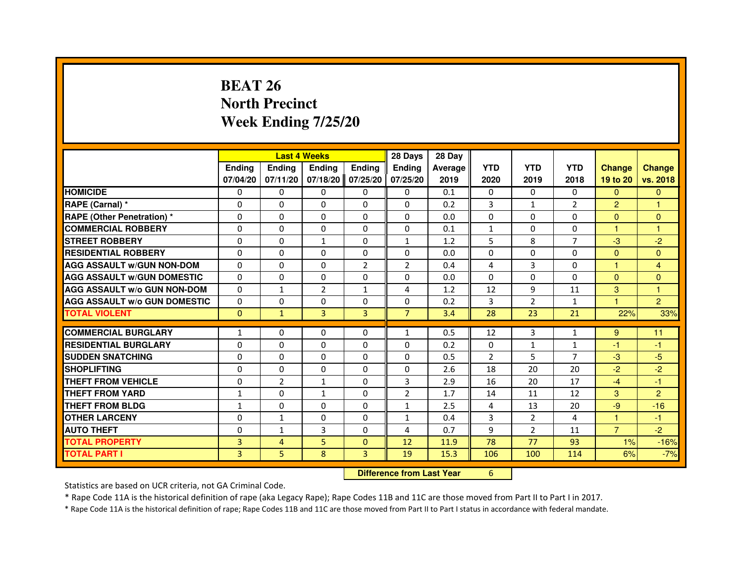# **BEAT 26 North PrecinctWeek Ending 7/25/20**

|                                     |                |                                  | <b>Last 4 Weeks</b> |                | 28 Days        | 28 Day  |                |                |                |                |                |
|-------------------------------------|----------------|----------------------------------|---------------------|----------------|----------------|---------|----------------|----------------|----------------|----------------|----------------|
|                                     | <b>Ending</b>  | <b>Ending</b>                    | <b>Ending</b>       | <b>Ending</b>  | Ending         | Average | <b>YTD</b>     | <b>YTD</b>     | <b>YTD</b>     | <b>Change</b>  | <b>Change</b>  |
|                                     | 07/04/20       | 07/11/20                         | 07/18/20            | 07/25/20       | 07/25/20       | 2019    | 2020           | 2019           | 2018           | 19 to 20       | vs. 2018       |
| <b>HOMICIDE</b>                     | $\Omega$       | $\Omega$                         | $\Omega$            | $\Omega$       | $\Omega$       | 0.1     | $\Omega$       | $\Omega$       | $\Omega$       | $\Omega$       | $\mathbf{0}$   |
| RAPE (Carnal) *                     | 0              | $\Omega$                         | $\Omega$            | $\Omega$       | $\Omega$       | 0.2     | 3              | $\mathbf{1}$   | $\overline{2}$ | $\overline{2}$ | 1              |
| <b>RAPE (Other Penetration) *</b>   | $\Omega$       | $\Omega$                         | $\Omega$            | $\Omega$       | $\Omega$       | 0.0     | $\Omega$       | $\Omega$       | $\Omega$       | $\Omega$       | $\mathbf{0}$   |
| <b>COMMERCIAL ROBBERY</b>           | 0              | $\Omega$                         | $\Omega$            | $\Omega$       | 0              | 0.1     | $\mathbf{1}$   | $\Omega$       | $\Omega$       | $\mathbf{1}$   | $\mathbf{1}$   |
| <b>STREET ROBBERY</b>               | $\Omega$       | $\Omega$                         | $\mathbf{1}$        | $\Omega$       | $\mathbf{1}$   | 1.2     | 5              | 8              | $\overline{7}$ | $-3$           | $-2$           |
| <b>RESIDENTIAL ROBBERY</b>          | $\Omega$       | $\Omega$                         | $\Omega$            | $\Omega$       | $\Omega$       | 0.0     | $\Omega$       | $\Omega$       | $\Omega$       | $\Omega$       | $\Omega$       |
| <b>AGG ASSAULT w/GUN NON-DOM</b>    | $\Omega$       | $\Omega$                         | $\Omega$            | $\overline{2}$ | $\overline{2}$ | 0.4     | 4              | 3              | $\Omega$       | 1              | $\overline{4}$ |
| <b>AGG ASSAULT w/GUN DOMESTIC</b>   | $\Omega$       | $\Omega$                         | $\Omega$            | $\Omega$       | $\Omega$       | 0.0     | $\Omega$       | $\Omega$       | $\Omega$       | $\Omega$       | $\mathbf{0}$   |
| <b>AGG ASSAULT w/o GUN NON-DOM</b>  | $\Omega$       | $\mathbf{1}$                     | $\overline{2}$      | 1              | 4              | 1.2     | 12             | 9              | 11             | 3              | 1              |
| <b>AGG ASSAULT w/o GUN DOMESTIC</b> | $\Omega$       | 0                                | $\Omega$            | $\Omega$       | $\Omega$       | 0.2     | 3              | 2              | $\mathbf{1}$   | $\overline{1}$ | $\overline{2}$ |
| <b>TOTAL VIOLENT</b>                | $\mathbf{0}$   | $\mathbf{1}$                     | 3                   | 3              | $\overline{7}$ | 3.4     | 28             | 23             | 21             | 22%            | 33%            |
| <b>COMMERCIAL BURGLARY</b>          | 1              | 0                                | 0                   | 0              | $\mathbf{1}$   | 0.5     | 12             | 3              | $\mathbf{1}$   | 9              | 11             |
| <b>RESIDENTIAL BURGLARY</b>         | $\Omega$       | $\Omega$                         | $\Omega$            | $\Omega$       | $\Omega$       | 0.2     | $\mathbf 0$    | $\mathbf{1}$   | $\mathbf{1}$   | $-1$           | -1             |
| <b>SUDDEN SNATCHING</b>             | $\Omega$       | $\Omega$                         | $\Omega$            | $\Omega$       | $\Omega$       | 0.5     | $\overline{2}$ | 5              | $\overline{7}$ | $-3$           | $-5$           |
| <b>SHOPLIFTING</b>                  | 0              | 0                                | 0                   | 0              | 0              | 2.6     | 18             | 20             | 20             | $-2$           | $-2$           |
| <b>THEFT FROM VEHICLE</b>           | $\Omega$       | $\overline{2}$                   | $\mathbf{1}$        | $\Omega$       | 3              | 2.9     | 16             | 20             | 17             | $-4$           | -1             |
| <b>THEFT FROM YARD</b>              | $\mathbf{1}$   | 0                                | $\mathbf{1}$        | 0              | $\overline{2}$ | 1.7     | 14             | 11             | 12             | 3              | $\overline{2}$ |
| <b>THEFT FROM BLDG</b>              | $\mathbf{1}$   | $\Omega$                         | $\Omega$            | $\Omega$       | $\mathbf{1}$   | 2.5     | 4              | 13             | 20             | $-9$           | $-16$          |
| <b>OTHER LARCENY</b>                | $\Omega$       | $\mathbf{1}$                     | $\Omega$            | $\Omega$       | $\mathbf{1}$   | 0.4     | 3              | $\overline{2}$ | 4              | 1              | $-1$           |
| <b>AUTO THEFT</b>                   | $\Omega$       | $\mathbf{1}$                     | $\overline{3}$      | $\Omega$       | 4              | 0.7     | 9              | $\overline{2}$ | 11             | $\overline{7}$ | $-2$           |
| <b>TOTAL PROPERTY</b>               | $\overline{3}$ | $\overline{4}$                   | 5                   | $\Omega$       | 12             | 11.9    | 78             | 77             | 93             | 1%             | $-16%$         |
| <b>TOTAL PART I</b>                 | $\overline{3}$ | 5                                | 8                   | 3              | 19             | 15.3    | 106            | 100            | 114            | 6%             | $-7%$          |
|                                     |                | <b>Difference from Last Year</b> |                     | 6              |                |         |                |                |                |                |                |

 **Difference from Last Year**

Statistics are based on UCR criteria, not GA Criminal Code.

\* Rape Code 11A is the historical definition of rape (aka Legacy Rape); Rape Codes 11B and 11C are those moved from Part II to Part I in 2017.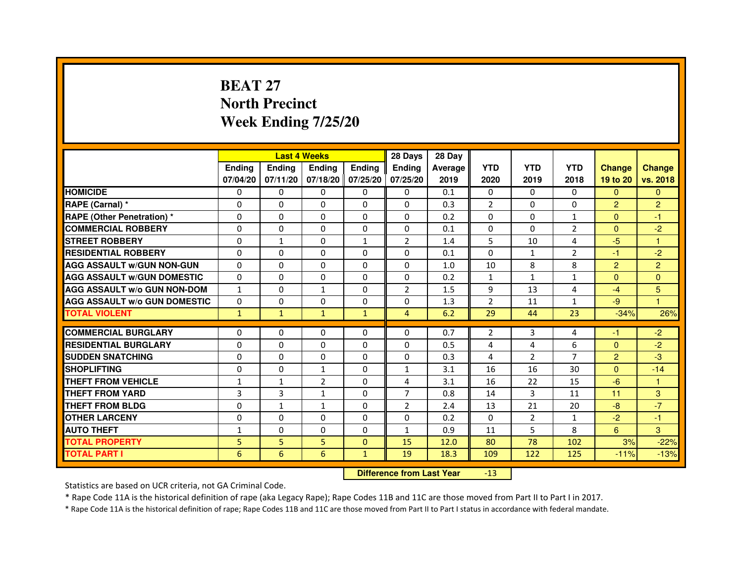# **BEAT 27 North PrecinctWeek Ending 7/25/20**

|                                     |               |               | <b>Last 4 Weeks</b> |                   | 28 Days        | 28 Day  |                |                |                |                             |                |
|-------------------------------------|---------------|---------------|---------------------|-------------------|----------------|---------|----------------|----------------|----------------|-----------------------------|----------------|
|                                     | <b>Ending</b> | <b>Ending</b> | <b>Ending</b>       | <b>Ending</b>     | <b>Ending</b>  | Average | <b>YTD</b>     | <b>YTD</b>     | <b>YTD</b>     | <b>Change</b>               | <b>Change</b>  |
|                                     | 07/04/20      | 07/11/20      |                     | 07/18/20 07/25/20 | 07/25/20       | 2019    | 2020           | 2019           | 2018           | 19 to 20                    | vs. 2018       |
| <b>HOMICIDE</b>                     | $\Omega$      | $\mathbf{0}$  | $\mathbf{0}$        | $\Omega$          | $\Omega$       | 0.1     | $\mathbf{0}$   | $\Omega$       | $\Omega$       | $\mathbf{0}$                | $\mathbf{0}$   |
| RAPE (Carnal) *                     | 0             | $\Omega$      | 0                   | $\Omega$          | $\Omega$       | 0.3     | $\overline{2}$ | $\Omega$       | $\Omega$       | $\overline{2}$              | $\overline{2}$ |
| <b>RAPE (Other Penetration) *</b>   | 0             | 0             | 0                   | $\mathbf{0}$      | 0              | 0.2     | 0              | 0              | $\mathbf{1}$   | $\Omega$                    | $-1$           |
| <b>COMMERCIAL ROBBERY</b>           | 0             | 0             | $\Omega$            | $\Omega$          | $\Omega$       | 0.1     | $\Omega$       | $\Omega$       | $\overline{2}$ | $\Omega$                    | $-2$           |
| <b>STREET ROBBERY</b>               | 0             | $\mathbf{1}$  | 0                   | $\mathbf{1}$      | $\overline{2}$ | 1.4     | 5              | 10             | 4              | $-5$                        | 1              |
| <b>RESIDENTIAL ROBBERY</b>          | 0             | 0             | $\Omega$            | $\Omega$          | $\Omega$       | 0.1     | $\Omega$       | $\mathbf{1}$   | 2              | $-1$                        | $-2$           |
| <b>AGG ASSAULT W/GUN NON-GUN</b>    | $\Omega$      | $\Omega$      | $\Omega$            | $\Omega$          | $\Omega$       | 1.0     | 10             | 8              | 8              | $\overline{2}$              | $\overline{2}$ |
| <b>AGG ASSAULT W/GUN DOMESTIC</b>   | $\Omega$      | $\Omega$      | $\Omega$            | 0                 | $\Omega$       | 0.2     | $\mathbf{1}$   | $\mathbf{1}$   | $\mathbf{1}$   | $\Omega$                    | $\Omega$       |
| <b>AGG ASSAULT W/o GUN NON-DOM</b>  | 1             | 0             | 1                   | 0                 | $\overline{2}$ | 1.5     | 9              | 13             | 4              | -4                          | 5              |
| <b>AGG ASSAULT w/o GUN DOMESTIC</b> | $\Omega$      | 0             | 0                   | 0                 | 0              | 1.3     | $\overline{2}$ | 11             | $\mathbf{1}$   | $-9$                        | 1              |
| <b>TOTAL VIOLENT</b>                | $\mathbf{1}$  | $\mathbf{1}$  | $\mathbf{1}$        | $\mathbf{1}$      | $\overline{4}$ | 6.2     | 29             | 44             | 23             | $-34%$                      | 26%            |
|                                     |               |               |                     |                   |                |         |                |                |                |                             |                |
| <b>COMMERCIAL BURGLARY</b>          | 0             | 0             | 0                   | 0                 | $\Omega$       | 0.7     | $\overline{2}$ | 3              | 4              | $\blacktriangle \mathbf{r}$ | $-2$           |
| <b>RESIDENTIAL BURGLARY</b>         | 0             | 0             | 0                   | $\Omega$          | $\Omega$       | 0.5     | 4              | 4              | 6              | $\Omega$                    | $-2$           |
| <b>SUDDEN SNATCHING</b>             | 0             | $\Omega$      | $\Omega$            | $\Omega$          | $\Omega$       | 0.3     | $\overline{4}$ | 2              | 7              | $\overline{2}$              | $-3$           |
| <b>SHOPLIFTING</b>                  | $\Omega$      | $\mathbf 0$   | $\mathbf{1}$        | $\Omega$          | $\mathbf{1}$   | 3.1     | 16             | 16             | 30             | $\Omega$                    | $-14$          |
| <b>THEFT FROM VEHICLE</b>           | $\mathbf{1}$  | $\mathbf{1}$  | $\overline{2}$      | $\Omega$          | $\overline{a}$ | 3.1     | 16             | 22             | 15             | $-6$                        | $\mathbf{1}$   |
| <b>THEFT FROM YARD</b>              | 3             | 3             | $\mathbf{1}$        | 0                 | $\overline{7}$ | 0.8     | 14             | 3              | 11             | 11                          | 3              |
| THEFT FROM BLDG                     | 0             | 1             | 1                   | 0                 | $\overline{2}$ | 2.4     | 13             | 21             | 20             | $-8$                        | $-7$           |
| <b>OTHER LARCENY</b>                | 0             | 0             | 0                   | 0                 | 0              | 0.2     | 0              | $\overline{2}$ | $\mathbf{1}$   | $-2$                        | $-1$           |
| <b>AUTO THEFT</b>                   | $\mathbf{1}$  | 0             | $\Omega$            | $\Omega$          | $\mathbf{1}$   | 0.9     | 11             | 5              | 8              | 6                           | 3              |
| <b>TOTAL PROPERTY</b>               | 5             | 5             | 5                   | $\mathbf{0}$      | 15             | 12.0    | 80             | 78             | 102            | 3%                          | $-22%$         |
| <b>TOTAL PART I</b>                 | 6             | 6             | 6                   | $\mathbf{1}$      | 19             | 18.3    | 109            | 122            | 125            | $-11%$                      | $-13%$         |

 **Difference from Last Year**-13

Statistics are based on UCR criteria, not GA Criminal Code.

\* Rape Code 11A is the historical definition of rape (aka Legacy Rape); Rape Codes 11B and 11C are those moved from Part II to Part I in 2017.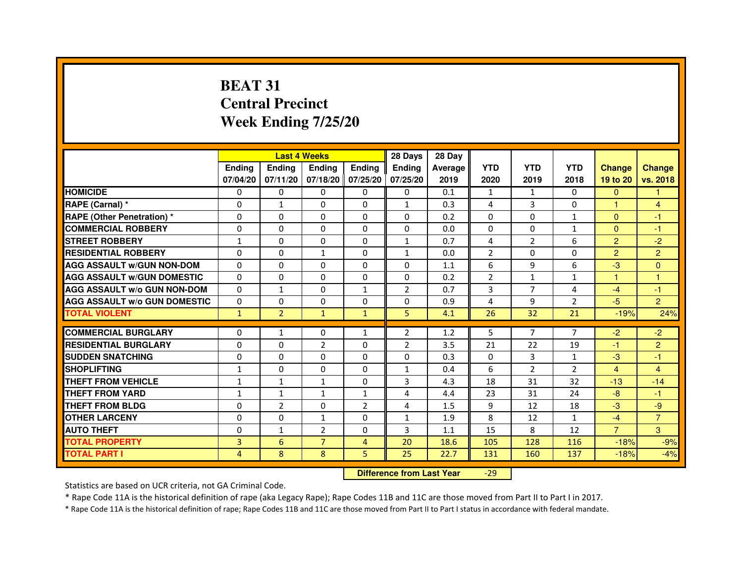# **BEAT 31 Central PrecinctWeek Ending 7/25/20**

|                                     |               | <b>Last 4 Weeks</b> |                |                   | 28 Days        | 28 Day  |                |                |                |                |                |
|-------------------------------------|---------------|---------------------|----------------|-------------------|----------------|---------|----------------|----------------|----------------|----------------|----------------|
|                                     | <b>Ending</b> | <b>Endina</b>       | <b>Endina</b>  | Ending            | <b>Endina</b>  | Average | <b>YTD</b>     | <b>YTD</b>     | <b>YTD</b>     | <b>Change</b>  | <b>Change</b>  |
|                                     | 07/04/20      | 07/11/20            |                | 07/18/20 07/25/20 | 07/25/20       | 2019    | 2020           | 2019           | 2018           | 19 to 20       | vs. 2018       |
| <b>HOMICIDE</b>                     | 0             | 0                   | $\mathbf{0}$   | 0                 | 0              | 0.1     | 1              | 1              | $\mathbf{0}$   | $\mathbf{0}$   |                |
| RAPE (Carnal) *                     | $\Omega$      | $\mathbf{1}$        | $\Omega$       | $\Omega$          | $\mathbf{1}$   | 0.3     | 4              | 3              | $\Omega$       | $\mathbf{1}$   | $\overline{4}$ |
| <b>RAPE (Other Penetration) *</b>   | 0             | $\Omega$            | $\Omega$       | $\Omega$          | $\Omega$       | 0.2     | $\Omega$       | $\Omega$       | $\mathbf{1}$   | $\Omega$       | $-1$           |
| <b>COMMERCIAL ROBBERY</b>           | 0             | 0                   | 0              | 0                 | $\Omega$       | 0.0     | $\Omega$       | 0              | $\mathbf{1}$   | $\Omega$       | $-1$           |
| <b>STREET ROBBERY</b>               | $\mathbf{1}$  | 0                   | 0              | 0                 | $\mathbf{1}$   | 0.7     | 4              | $\overline{2}$ | 6              | $\overline{2}$ | $-2$           |
| <b>RESIDENTIAL ROBBERY</b>          | 0             | $\Omega$            | 1              | $\Omega$          | $\mathbf{1}$   | 0.0     | $\overline{2}$ | $\Omega$       | $\Omega$       | $\overline{2}$ | $\overline{2}$ |
| <b>AGG ASSAULT W/GUN NON-DOM</b>    | $\Omega$      | $\Omega$            | $\Omega$       | $\Omega$          | $\Omega$       | 1.1     | 6              | 9              | 6              | -3             | $\mathbf{0}$   |
| <b>AGG ASSAULT W/GUN DOMESTIC</b>   | 0             | 0                   | 0              | 0                 | 0              | 0.2     | $\overline{2}$ | $\mathbf{1}$   | $\mathbf{1}$   | 1              | 1              |
| <b>AGG ASSAULT W/o GUN NON-DOM</b>  | 0             | $\mathbf{1}$        | 0              | $\mathbf{1}$      | $\overline{2}$ | 0.7     | 3              | 7              | 4              | $-4$           | $-1$           |
| <b>AGG ASSAULT W/o GUN DOMESTIC</b> | $\Omega$      | 0                   | 0              | 0                 | 0              | 0.9     | 4              | 9              | $\overline{2}$ | $-5$           | $\overline{2}$ |
| <b>TOTAL VIOLENT</b>                | $\mathbf{1}$  | $\overline{2}$      | $\mathbf{1}$   | $\mathbf{1}$      | 5              | 4.1     | 26             | 32             | 21             | $-19%$         | 24%            |
|                                     |               |                     |                |                   |                |         |                |                |                |                |                |
| <b>COMMERCIAL BURGLARY</b>          | 0             | 1                   | 0              | $\mathbf{1}$      | 2              | 1.2     | 5              | 7              | $\overline{7}$ | $-2$           | $-2$           |
| <b>RESIDENTIAL BURGLARY</b>         | 0             | $\Omega$            | $\overline{2}$ | $\Omega$          | 2              | 3.5     | 21             | 22             | 19             | $-1$           | $\overline{c}$ |
| <b>SUDDEN SNATCHING</b>             | 0             | 0                   | 0              | $\Omega$          | $\Omega$       | 0.3     | $\Omega$       | 3              | $\mathbf{1}$   | $-3$           | $-1$           |
| <b>SHOPLIFTING</b>                  | $\mathbf{1}$  | 0                   | 0              | $\Omega$          | $\mathbf{1}$   | 0.4     | 6              | $\overline{2}$ | $\overline{2}$ | $\overline{4}$ | 4              |
| <b>THEFT FROM VEHICLE</b>           | $\mathbf{1}$  | $\mathbf{1}$        | $\mathbf{1}$   | $\mathbf{0}$      | 3              | 4.3     | 18             | 31             | 32             | $-13$          | $-14$          |
| <b>THEFT FROM YARD</b>              | 1             | $\mathbf{1}$        | $\mathbf{1}$   | $\mathbf{1}$      | $\overline{a}$ | 4.4     | 23             | 31             | 24             | $-8$           | $-1$           |
| <b>THEFT FROM BLDG</b>              | 0             | $\overline{2}$      | 0              | $\overline{2}$    | 4              | 1.5     | 9              | 12             | 18             | $-3$           | -9             |
| <b>OTHER LARCENY</b>                | 0             | 0                   | 1              | $\Omega$          | $\mathbf{1}$   | 1.9     | 8              | 12             | $\mathbf{1}$   | $-4$           | $\overline{7}$ |
| <b>AUTO THEFT</b>                   | $\mathbf 0$   | 1                   | $\overline{2}$ | $\Omega$          | 3              | 1.1     | 15             | 8              | 12             | $\overline{7}$ | 3              |
| <b>TOTAL PROPERTY</b>               | 3             | 6                   | $\overline{7}$ | 4                 | 20             | 18.6    | 105            | 128            | 116            | $-18%$         | $-9%$          |
| <b>TOTAL PART I</b>                 | 4             | 8                   | 8              | 5                 | 25             | 22.7    | 131            | 160            | 137            | $-18%$         | $-4%$          |

 **Difference from Last Year**-29

Statistics are based on UCR criteria, not GA Criminal Code.

\* Rape Code 11A is the historical definition of rape (aka Legacy Rape); Rape Codes 11B and 11C are those moved from Part II to Part I in 2017.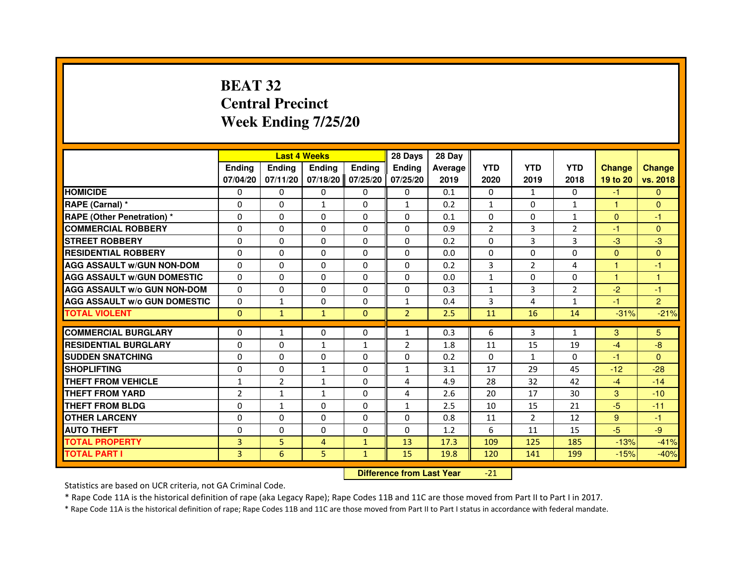# **BEAT 32 Central PrecinctWeek Ending 7/25/20**

|                                     |                |                | <b>Last 4 Weeks</b>              |              | 28 Days        | 28 Day  |                |                |                |               |                |
|-------------------------------------|----------------|----------------|----------------------------------|--------------|----------------|---------|----------------|----------------|----------------|---------------|----------------|
|                                     | <b>Ending</b>  | <b>Ending</b>  | Ending                           | Ending       | Ending         | Average | <b>YTD</b>     | <b>YTD</b>     | <b>YTD</b>     | <b>Change</b> | <b>Change</b>  |
|                                     | 07/04/20       | 07/11/20       | 07/18/20                         | 07/25/20     | 07/25/20       | 2019    | 2020           | 2019           | 2018           | 19 to 20      | vs. 2018       |
| <b>HOMICIDE</b>                     | 0              | $\Omega$       | 0                                | 0            | $\mathbf{0}$   | 0.1     | 0              | $\mathbf{1}$   | $\Omega$       | $-1$          | $\mathbf{0}$   |
| RAPE (Carnal) *                     | 0              | 0              | 1                                | 0            | 1              | 0.2     | 1              | 0              | $\mathbf{1}$   | $\mathbf{1}$  | $\mathbf{0}$   |
| RAPE (Other Penetration) *          | 0              | 0              | $\Omega$                         | $\Omega$     | $\mathbf{0}$   | 0.1     | $\Omega$       | $\Omega$       | $\mathbf{1}$   | $\Omega$      | $-1$           |
| <b>COMMERCIAL ROBBERY</b>           | 0              | $\Omega$       | $\Omega$                         | $\Omega$     | 0              | 0.9     | $\overline{2}$ | 3              | $\overline{2}$ | $-1$          | $\mathbf{0}$   |
| <b>STREET ROBBERY</b>               | $\Omega$       | $\Omega$       | $\Omega$                         | $\Omega$     | $\mathbf{0}$   | 0.2     | $\Omega$       | 3              | 3              | $-3$          | $-3$           |
| <b>RESIDENTIAL ROBBERY</b>          | 0              | 0              | 0                                | 0            | 0              | 0.0     | 0              | 0              | $\Omega$       | $\mathbf{0}$  | $\mathbf{0}$   |
| <b>AGG ASSAULT w/GUN NON-DOM</b>    | $\Omega$       | $\Omega$       | 0                                | $\Omega$     | $\Omega$       | 0.2     | 3              | $\overline{2}$ | 4              | $\mathbf{1}$  | $-1$           |
| <b>AGG ASSAULT W/GUN DOMESTIC</b>   | $\Omega$       | $\Omega$       | $\Omega$                         | $\Omega$     | $\Omega$       | 0.0     | $\mathbf{1}$   | $\Omega$       | $\Omega$       | $\mathbf{1}$  | $\mathbf{1}$   |
| <b>AGG ASSAULT W/o GUN NON-DOM</b>  | $\Omega$       | $\Omega$       | $\Omega$                         | $\Omega$     | $\mathbf{0}$   | 0.3     | $\mathbf{1}$   | 3              | 2              | $-2$          | $-1$           |
| <b>AGG ASSAULT w/o GUN DOMESTIC</b> | $\Omega$       | $\mathbf{1}$   | 0                                | $\Omega$     | $\mathbf{1}$   | 0.4     | 3              | 4              | $\mathbf{1}$   | $-1$          | $\overline{2}$ |
| <b>TOTAL VIOLENT</b>                | $\mathbf{0}$   | $\mathbf{1}$   | $\mathbf{1}$                     | $\mathbf{0}$ | $\overline{2}$ | 2.5     | 11             | 16             | 14             | $-31%$        | $-21%$         |
| <b>COMMERCIAL BURGLARY</b>          | 0              | $\mathbf{1}$   | 0                                | 0            | 1              | 0.3     | 6              | 3              | $\mathbf{1}$   | 3             | 5              |
| <b>RESIDENTIAL BURGLARY</b>         | 0              | $\Omega$       | 1                                | 1            | $\overline{2}$ | 1.8     | 11             | 15             | 19             | $-4$          | -8             |
| <b>SUDDEN SNATCHING</b>             | $\Omega$       | $\Omega$       | $\Omega$                         | $\Omega$     | $\Omega$       | 0.2     | $\Omega$       | $\mathbf{1}$   | $\Omega$       | $-1$          | $\Omega$       |
| <b>SHOPLIFTING</b>                  | 0              | $\Omega$       | 1                                | $\Omega$     | 1              | 3.1     | 17             | 29             | 45             | $-12$         | $-28$          |
| <b>THEFT FROM VEHICLE</b>           | 1              | $\overline{2}$ | $\mathbf{1}$                     | $\Omega$     | 4              | 4.9     | 28             | 32             | 42             | $-4$          | $-14$          |
| <b>THEFT FROM YARD</b>              | $\overline{2}$ | $\mathbf{1}$   | $\mathbf{1}$                     | $\Omega$     | 4              | 2.6     | 20             | 17             | 30             | 3             | $-10$          |
| <b>THEFT FROM BLDG</b>              | $\Omega$       | $\mathbf{1}$   | $\Omega$                         | $\Omega$     | $\mathbf{1}$   | 2.5     | 10             | 15             | 21             | $-5$          | $-11$          |
| <b>OTHER LARCENY</b>                | 0              | $\Omega$       | 0                                | $\Omega$     | $\mathbf{0}$   | 0.8     | 11             | $\overline{2}$ | 12             | 9             | $-1$           |
| <b>AUTO THEFT</b>                   | $\Omega$       | $\Omega$       | $\Omega$                         | $\Omega$     | $\mathbf{0}$   | 1.2     | 6              | 11             | 15             | $-5$          | $-9$           |
| <b>TOTAL PROPERTY</b>               | $\overline{3}$ | 5              | $\overline{4}$                   | $\mathbf{1}$ | 13             | 17.3    | 109            | 125            | 185            | $-13%$        | $-41%$         |
| <b>TOTAL PART I</b>                 | 3              | 6              | 5                                | $\mathbf{1}$ | 15             | 19.8    | 120            | 141            | 199            | $-15%$        | $-40%$         |
|                                     |                |                | <b>Difference from Last Year</b> |              | $-21$          |         |                |                |                |               |                |

 **Difference from Last Year**

Statistics are based on UCR criteria, not GA Criminal Code.

\* Rape Code 11A is the historical definition of rape (aka Legacy Rape); Rape Codes 11B and 11C are those moved from Part II to Part I in 2017.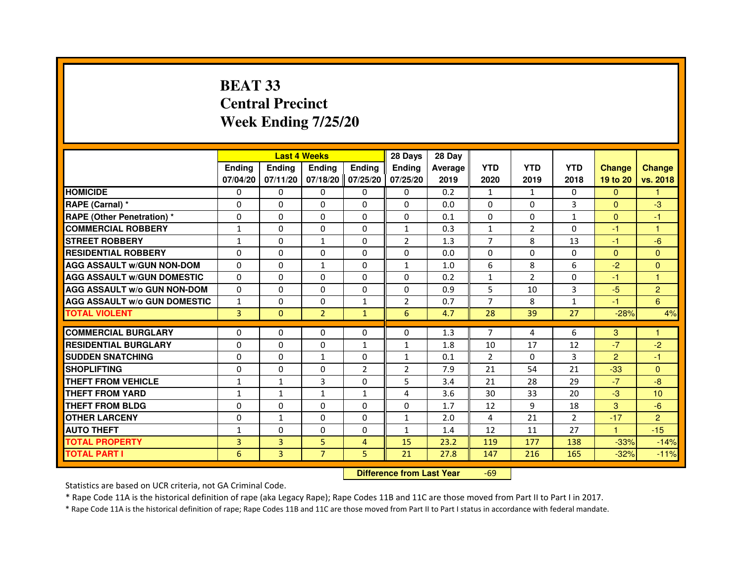# **BEAT 33 Central PrecinctWeek Ending 7/25/20**

|                                     |                | <b>Last 4 Weeks</b> |                                  |                   | 28 Days        | 28 Day  |                |                |                |                |                |
|-------------------------------------|----------------|---------------------|----------------------------------|-------------------|----------------|---------|----------------|----------------|----------------|----------------|----------------|
|                                     | <b>Ending</b>  | Ending              | <b>Ending</b>                    | <b>Ending</b>     | <b>Ending</b>  | Average | <b>YTD</b>     | <b>YTD</b>     | <b>YTD</b>     | <b>Change</b>  | <b>Change</b>  |
|                                     | 07/04/20       | 07/11/20            |                                  | 07/18/20 07/25/20 | 07/25/20       | 2019    | 2020           | 2019           | 2018           | 19 to 20       | vs. 2018       |
| <b>HOMICIDE</b>                     | 0              | $\mathbf{0}$        | $\Omega$                         | $\Omega$          | 0              | 0.2     | $\mathbf{1}$   | $\mathbf{1}$   | $\Omega$       | $\Omega$       | $\mathbf{1}$   |
| RAPE (Carnal) *                     | 0              | 0                   | 0                                | 0                 | $\Omega$       | 0.0     | 0              | 0              | 3              | $\mathbf{0}$   | $-3$           |
| <b>RAPE (Other Penetration) *</b>   | $\Omega$       | 0                   | $\Omega$                         | $\mathbf{0}$      | 0              | 0.1     | $\Omega$       | $\Omega$       | $\mathbf{1}$   | $\Omega$       | $-1$           |
| <b>COMMERCIAL ROBBERY</b>           | $\mathbf{1}$   | 0                   | $\mathbf{0}$                     | $\mathbf{0}$      | $\mathbf{1}$   | 0.3     | $\mathbf{1}$   | $\overline{2}$ | $\Omega$       | $-1$           | $\mathbf{1}$   |
| <b>STREET ROBBERY</b>               | $\mathbf{1}$   | $\Omega$            | $\mathbf{1}$                     | $\Omega$          | 2              | 1.3     | $\overline{7}$ | 8              | 13             | $-1$           | $-6$           |
| <b>RESIDENTIAL ROBBERY</b>          | 0              | 0                   | $\Omega$                         | $\mathbf{0}$      | $\Omega$       | 0.0     | $\Omega$       | $\Omega$       | $\Omega$       | $\mathbf{0}$   | $\mathbf{0}$   |
| <b>AGG ASSAULT w/GUN NON-DOM</b>    | $\Omega$       | $\Omega$            | $\mathbf{1}$                     | $\mathbf{0}$      | $\mathbf{1}$   | 1.0     | 6              | 8              | 6              | $-2$           | $\Omega$       |
| <b>AGG ASSAULT W/GUN DOMESTIC</b>   | $\Omega$       | $\Omega$            | $\Omega$                         | $\Omega$          | $\Omega$       | 0.2     | $\mathbf{1}$   | $\overline{2}$ | $\Omega$       | $-1$           | $\mathbf{1}$   |
| <b>AGG ASSAULT W/o GUN NON-DOM</b>  | $\Omega$       | $\Omega$            | $\Omega$                         | $\mathbf{0}$      | $\Omega$       | 0.9     | 5              | 10             | 3              | $-5$           | $\overline{2}$ |
| <b>AGG ASSAULT w/o GUN DOMESTIC</b> | $\mathbf{1}$   | $\Omega$            | 0                                | $\mathbf{1}$      | 2              | 0.7     | $\overline{7}$ | 8              | $\mathbf{1}$   | $-1$           | 6              |
| <b>TOTAL VIOLENT</b>                | $\overline{3}$ | $\mathbf{0}$        | $\overline{2}$                   | $\mathbf{1}$      | 6              | 4.7     | 28             | 39             | 27             | $-28%$         | 4%             |
| <b>COMMERCIAL BURGLARY</b>          | 0              | 0                   | 0                                | $\mathbf{0}$      | 0              | 1.3     | 7              | 4              | 6              | 3              | $\mathbf{1}$   |
| <b>RESIDENTIAL BURGLARY</b>         | $\mathbf 0$    | 0                   | $\Omega$                         | 1                 | $\mathbf{1}$   | 1.8     | 10             | 17             | 12             | $-7$           | $-2$           |
| <b>SUDDEN SNATCHING</b>             | $\Omega$       | $\Omega$            | $\mathbf{1}$                     | $\Omega$          | $\mathbf{1}$   | 0.1     | $\overline{2}$ | $\Omega$       | 3              | $\overline{2}$ | $-1$           |
| <b>SHOPLIFTING</b>                  | $\Omega$       | $\Omega$            | 0                                | $\overline{2}$    | $\overline{2}$ | 7.9     | 21             | 54             | 21             | $-33$          | $\mathbf{0}$   |
| <b>THEFT FROM VEHICLE</b>           | $\mathbf{1}$   | $\mathbf{1}$        | 3                                | 0                 | 5              | 3.4     | 21             | 28             | 29             | $-7$           | $-8$           |
| <b>THEFT FROM YARD</b>              | $\mathbf{1}$   | $\mathbf{1}$        | $\mathbf{1}$                     | $\mathbf{1}$      | 4              | 3.6     | 30             | 33             | 20             | $-3$           | 10             |
| <b>THEFT FROM BLDG</b>              | 0              | $\Omega$            | 0                                | $\mathbf{0}$      | $\Omega$       | 1.7     | 12             | 9              | 18             | 3              | $-6$           |
| <b>OTHER LARCENY</b>                | $\Omega$       | $\mathbf{1}$        | $\Omega$                         | $\mathbf{0}$      | $\mathbf{1}$   | 2.0     | 4              | 21             | $\overline{2}$ | $-17$          | $\overline{2}$ |
| <b>AUTO THEFT</b>                   | $\mathbf{1}$   | $\Omega$            | $\mathbf{0}$                     | $\mathbf{0}$      | $\mathbf{1}$   | 1.4     | 12             | 11             | 27             | $\mathbf{1}$   | $-15$          |
| <b>TOTAL PROPERTY</b>               | 3              | 3                   | 5                                | $\overline{4}$    | 15             | 23.2    | 119            | 177            | 138            | $-33%$         | $-14%$         |
| <b>TOTAL PART I</b>                 | 6              | 3                   | $\overline{7}$                   | 5                 | 21             | 27.8    | 147            | 216            | 165            | $-32%$         | $-11%$         |
|                                     |                |                     | <b>Difference from Last Year</b> |                   | $-69$          |         |                |                |                |                |                |

 **Difference from Last Year**

Statistics are based on UCR criteria, not GA Criminal Code.

\* Rape Code 11A is the historical definition of rape (aka Legacy Rape); Rape Codes 11B and 11C are those moved from Part II to Part I in 2017.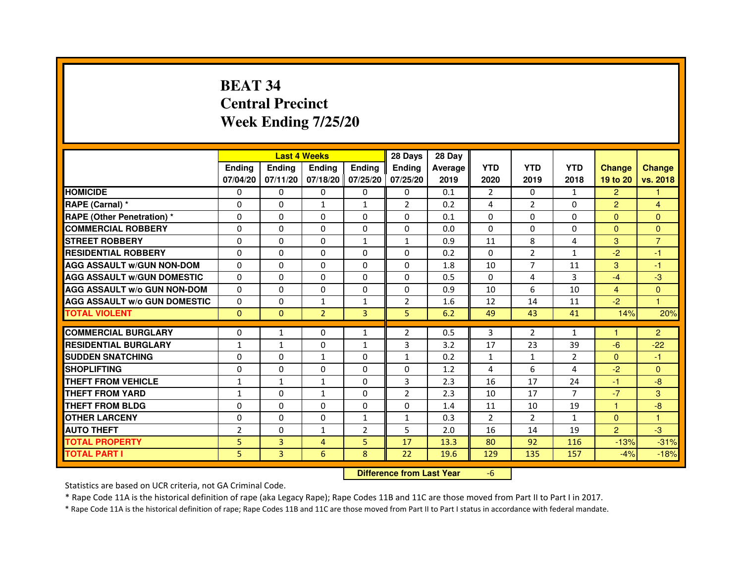# **BEAT 34 Central PrecinctWeek Ending 7/25/20**

|                                     |                |               | <b>Last 4 Weeks</b>              |                | 28 Days        | 28 Day  |                |                |                |                |                      |
|-------------------------------------|----------------|---------------|----------------------------------|----------------|----------------|---------|----------------|----------------|----------------|----------------|----------------------|
|                                     | <b>Ending</b>  | <b>Ending</b> | <b>Ending</b>                    | <b>Ending</b>  | <b>Ending</b>  | Average | <b>YTD</b>     | <b>YTD</b>     | <b>YTD</b>     | <b>Change</b>  | <b>Change</b>        |
|                                     | 07/04/20       | 07/11/20      | 07/18/20 07/25/20                |                | 07/25/20       | 2019    | 2020           | 2019           | 2018           | 19 to 20       | vs. 2018             |
| <b>HOMICIDE</b>                     | 0              | $\Omega$      | $\Omega$                         | $\Omega$       | 0              | 0.1     | $\overline{2}$ | $\Omega$       | $\mathbf{1}$   | $\overline{2}$ | $\mathbf{1}$         |
| RAPE (Carnal) *                     | 0              | 0             | $\mathbf{1}$                     | $\mathbf{1}$   | $\overline{2}$ | 0.2     | 4              | $\overline{2}$ | 0              | $\overline{2}$ | 4                    |
| <b>RAPE (Other Penetration) *</b>   | 0              | $\mathbf 0$   | $\Omega$                         | $\mathbf{0}$   | 0              | 0.1     | $\Omega$       | $\Omega$       | $\Omega$       | $\Omega$       | $\mathbf{0}$         |
| <b>COMMERCIAL ROBBERY</b>           | $\Omega$       | $\Omega$      | $\Omega$                         | $\mathbf{0}$   | $\Omega$       | 0.0     | $\Omega$       | $\Omega$       | $\Omega$       | $\Omega$       | $\mathbf{0}$         |
| <b>STREET ROBBERY</b>               | $\Omega$       | $\Omega$      | $\Omega$                         | $\mathbf{1}$   | $\mathbf{1}$   | 0.9     | 11             | 8              | 4              | 3              | $\overline{7}$       |
| <b>RESIDENTIAL ROBBERY</b>          | $\Omega$       | $\Omega$      | $\Omega$                         | $\mathbf{0}$   | $\Omega$       | 0.2     | $\Omega$       | $\overline{2}$ | $\mathbf{1}$   | $-2$           | $-1$                 |
| <b>AGG ASSAULT w/GUN NON-DOM</b>    | $\Omega$       | $\mathbf 0$   | $\Omega$                         | $\Omega$       | $\Omega$       | 1.8     | 10             | $\overline{7}$ | 11             | 3              | $-1$                 |
| <b>AGG ASSAULT w/GUN DOMESTIC</b>   | $\Omega$       | $\Omega$      | $\Omega$                         | $\Omega$       | $\Omega$       | 0.5     | $\Omega$       | 4              | 3              | $-4$           | $-3$                 |
| <b>AGG ASSAULT W/o GUN NON-DOM</b>  | $\mathbf{0}$   | 0             | 0                                | $\mathbf{0}$   | 0              | 0.9     | 10             | 6              | 10             | $\overline{4}$ | $\mathbf{0}$         |
| <b>AGG ASSAULT w/o GUN DOMESTIC</b> | $\Omega$       | 0             | 1                                | $\mathbf{1}$   | $\overline{2}$ | 1.6     | 12             | 14             | 11             | $-2$           | $\blacktriangleleft$ |
| <b>TOTAL VIOLENT</b>                | $\mathbf{0}$   | $\mathbf{0}$  | $\overline{2}$                   | 3              | 5              | 6.2     | 49             | 43             | 41             | 14%            | 20%                  |
| <b>COMMERCIAL BURGLARY</b>          | $\Omega$       | $\mathbf{1}$  | 0                                | $\mathbf{1}$   | $\overline{2}$ | 0.5     | 3              | $\overline{2}$ | $\mathbf{1}$   |                | $\overline{2}$       |
| <b>RESIDENTIAL BURGLARY</b>         | $\mathbf{1}$   | $\mathbf{1}$  | $\Omega$                         | $\mathbf{1}$   | 3              | 3.2     | 17             | 23             | 39             | $-6$           | $-22$                |
| <b>SUDDEN SNATCHING</b>             | 0              | $\Omega$      | $\mathbf{1}$                     | $\Omega$       | $\mathbf{1}$   | 0.2     | $\mathbf{1}$   | $\mathbf{1}$   | $\overline{2}$ | $\Omega$       | $-1$                 |
| <b>SHOPLIFTING</b>                  | 0              | 0             | 0                                | $\mathbf{0}$   | 0              | 1.2     | 4              | 6              | 4              | $-2$           | $\mathbf{0}$         |
| <b>THEFT FROM VEHICLE</b>           | $\mathbf{1}$   | $\mathbf{1}$  | $\mathbf{1}$                     | $\Omega$       | 3              | 2.3     | 16             | 17             | 24             | $-1$           | $-8$                 |
| <b>THEFT FROM YARD</b>              | $\mathbf{1}$   | 0             | $\mathbf{1}$                     | $\mathbf 0$    | $\overline{2}$ | 2.3     | 10             | 17             | $\overline{7}$ | $-7$           | 3                    |
| <b>THEFT FROM BLDG</b>              | 0              | $\Omega$      | 0                                | $\Omega$       | 0              | 1.4     | 11             | 10             | 19             | $\mathbf{1}$   | $-8$                 |
| <b>OTHER LARCENY</b>                | $\mathbf 0$    | $\Omega$      | 0                                | $\mathbf{1}$   | $\mathbf{1}$   | 0.3     | $\overline{2}$ | $\overline{2}$ | $\mathbf{1}$   | $\Omega$       | 1                    |
| <b>AUTO THEFT</b>                   | $\overline{2}$ | $\Omega$      | $\mathbf{1}$                     | $\overline{2}$ | 5              | 2.0     | 16             | 14             | 19             | $\overline{2}$ | $-3$                 |
| <b>TOTAL PROPERTY</b>               | 5              | 3             | 4                                | 5              | 17             | 13.3    | 80             | 92             | 116            | $-13%$         | $-31%$               |
| <b>TOTAL PART I</b>                 | 5              | 3             | 6                                | 8              | 22             | 19.6    | 129            | 135            | 157            | $-4%$          | $-18%$               |
|                                     |                |               | <b>Difference from Last Year</b> |                | $-6$           |         |                |                |                |                |                      |

 **Difference from Last Year**

Statistics are based on UCR criteria, not GA Criminal Code.

\* Rape Code 11A is the historical definition of rape (aka Legacy Rape); Rape Codes 11B and 11C are those moved from Part II to Part I in 2017.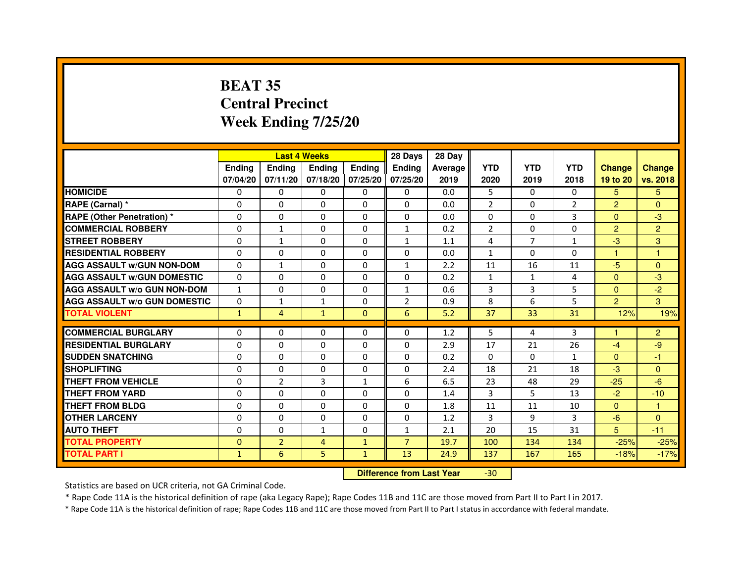# **BEAT 35 Central PrecinctWeek Ending 7/25/20**

|                                     |               | <b>Last 4 Weeks</b> |                                  |                   | 28 Days        | 28 Day  |                |                |                |                |                |
|-------------------------------------|---------------|---------------------|----------------------------------|-------------------|----------------|---------|----------------|----------------|----------------|----------------|----------------|
|                                     | <b>Ending</b> | <b>Ending</b>       | <b>Ending</b>                    | <b>Ending</b>     | <b>Ending</b>  | Average | <b>YTD</b>     | <b>YTD</b>     | <b>YTD</b>     | <b>Change</b>  | <b>Change</b>  |
|                                     | 07/04/20      | 07/11/20            |                                  | 07/18/20 07/25/20 | 07/25/20       | 2019    | 2020           | 2019           | 2018           | 19 to 20       | vs. 2018       |
| <b>HOMICIDE</b>                     | $\mathbf{0}$  | $\Omega$            | $\Omega$                         | $\Omega$          | 0              | 0.0     | 5              | $\Omega$       | $\Omega$       | 5              | 5              |
| RAPE (Carnal) *                     | 0             | $\Omega$            | 0                                | $\Omega$          | $\mathbf{0}$   | 0.0     | $\overline{2}$ | $\Omega$       | $\overline{2}$ | $\overline{2}$ | $\Omega$       |
| <b>RAPE (Other Penetration) *</b>   | $\mathbf 0$   | 0                   | $\Omega$                         | $\Omega$          | $\Omega$       | 0.0     | $\Omega$       | $\Omega$       | 3              | $\Omega$       | $-3$           |
| <b>COMMERCIAL ROBBERY</b>           | $\mathbf 0$   | $\mathbf{1}$        | $\Omega$                         | $\mathbf{0}$      | $\mathbf{1}$   | 0.2     | $\overline{2}$ | $\mathbf{0}$   | $\Omega$       | $\overline{2}$ | $\overline{2}$ |
| <b>STREET ROBBERY</b>               | $\Omega$      | $\mathbf{1}$        | 0                                | $\Omega$          | $\mathbf{1}$   | 1.1     | 4              | $\overline{7}$ | $\mathbf{1}$   | $-3$           | 3              |
| <b>RESIDENTIAL ROBBERY</b>          | 0             | $\Omega$            | 0                                | $\Omega$          | $\Omega$       | 0.0     | $\mathbf{1}$   | $\Omega$       | $\Omega$       | $\mathbf{1}$   | 1              |
| <b>AGG ASSAULT W/GUN NON-DOM</b>    | $\Omega$      | 1                   | $\Omega$                         | $\Omega$          | $\mathbf{1}$   | 2.2     | 11             | 16             | 11             | $-5$           | $\Omega$       |
| <b>AGG ASSAULT W/GUN DOMESTIC</b>   | $\Omega$      | $\Omega$            | $\Omega$                         | $\Omega$          | $\Omega$       | 0.2     | $\mathbf{1}$   | $\mathbf{1}$   | 4              | $\Omega$       | $-3$           |
| <b>AGG ASSAULT W/o GUN NON-DOM</b>  | $\mathbf{1}$  | 0                   | 0                                | $\mathbf{0}$      | $\mathbf{1}$   | 0.6     | 3              | 3              | 5              | $\Omega$       | $-2$           |
| <b>AGG ASSAULT W/o GUN DOMESTIC</b> | $\Omega$      | 1                   | 1                                | $\mathbf{0}$      | $\overline{2}$ | 0.9     | 8              | 6              | 5              | $\overline{2}$ | 3              |
| <b>TOTAL VIOLENT</b>                | $\mathbf{1}$  | 4                   | $\mathbf{1}$                     | $\mathbf{0}$      | 6              | 5.2     | 37             | 33             | 31             | 12%            | 19%            |
| <b>COMMERCIAL BURGLARY</b>          | 0             | 0                   | 0                                | $\mathbf{0}$      | 0              | 1.2     | 5              | 4              | 3              | 1              | $\overline{2}$ |
| <b>RESIDENTIAL BURGLARY</b>         | $\Omega$      | $\Omega$            | $\Omega$                         | $\mathbf{0}$      | $\mathbf{0}$   | 2.9     | 17             | 21             | 26             | $-4$           | -9             |
| <b>SUDDEN SNATCHING</b>             | $\Omega$      | $\Omega$            | $\Omega$                         | $\Omega$          | $\Omega$       | 0.2     | $\Omega$       | $\Omega$       | $\mathbf{1}$   | $\Omega$       | $-1$           |
| <b>SHOPLIFTING</b>                  | 0             | 0                   | 0                                | $\mathbf{0}$      | $\Omega$       | 2.4     | 18             | 21             | 18             | $-3$           | $\Omega$       |
| THEFT FROM VEHICLE                  | 0             | $\overline{2}$      | 3                                | $\mathbf{1}$      | 6              | 6.5     | 23             | 48             | 29             | $-25$          | $-6$           |
| THEFT FROM YARD                     | $\mathbf 0$   | 0                   | $\Omega$                         | 0                 | $\Omega$       | 1.4     | 3              | 5              | 13             | $-2$           | $-10$          |
| <b>THEFT FROM BLDG</b>              | 0             | $\Omega$            | 0                                | $\mathbf{0}$      | $\Omega$       | 1.8     | 11             | 11             | 10             | $\Omega$       | $\mathbf{1}$   |
| <b>OTHER LARCENY</b>                | 0             | $\Omega$            | 0                                | $\mathbf{0}$      | $\Omega$       | 1.2     | 3              | 9              | 3              | $-6$           | $\Omega$       |
| <b>AUTO THEFT</b>                   | $\Omega$      | $\Omega$            | $\mathbf{1}$                     | $\mathbf{0}$      | $\mathbf{1}$   | 2.1     | 20             | 15             | 31             | 5              | $-11$          |
| <b>TOTAL PROPERTY</b>               | $\Omega$      | $\overline{2}$      | $\overline{4}$                   | $\mathbf{1}$      | $\overline{7}$ | 19.7    | 100            | 134            | 134            | $-25%$         | $-25%$         |
| <b>TOTAL PART I</b>                 | $\mathbf{1}$  | 6                   | 5                                | $\mathbf{1}$      | 13             | 24.9    | 137            | 167            | 165            | $-18%$         | $-17%$         |
|                                     |               |                     | <b>Difference from Last Year</b> |                   | $-30$          |         |                |                |                |                |                |

 **Difference from Last Year**

Statistics are based on UCR criteria, not GA Criminal Code.

\* Rape Code 11A is the historical definition of rape (aka Legacy Rape); Rape Codes 11B and 11C are those moved from Part II to Part I in 2017.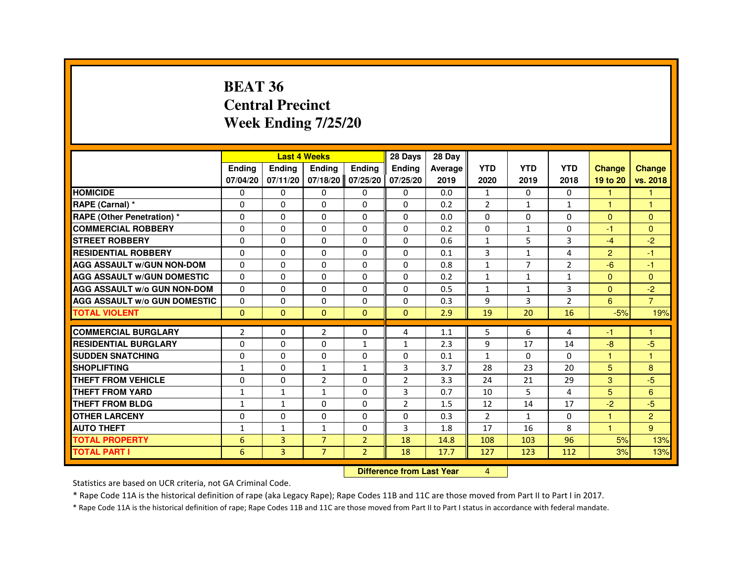#### **BEAT 36 Central PrecinctWeek Ending 7/25/20**

|                                     |                |                | <b>Last 4 Weeks</b> |                   | 28 Days        | 28 Day  |                |                |                |                      |                |
|-------------------------------------|----------------|----------------|---------------------|-------------------|----------------|---------|----------------|----------------|----------------|----------------------|----------------|
|                                     | <b>Ending</b>  | <b>Ending</b>  | <b>Ending</b>       | <b>Ending</b>     | <b>Endina</b>  | Average | <b>YTD</b>     | <b>YTD</b>     | <b>YTD</b>     | <b>Change</b>        | <b>Change</b>  |
|                                     | 07/04/20       | 07/11/20       |                     | 07/18/20 07/25/20 | 07/25/20       | 2019    | 2020           | 2019           | 2018           | 19 to 20             | vs. 2018       |
| <b>HOMICIDE</b>                     | $\Omega$       | $\Omega$       | $\Omega$            | $\Omega$          | $\mathbf{0}$   | 0.0     | $\mathbf{1}$   | $\mathbf{0}$   | $\mathbf{0}$   | $\blacktriangleleft$ | -1             |
| RAPE (Carnal) *                     | 0              | 0              | $\Omega$            | $\Omega$          | $\Omega$       | 0.2     | $\overline{2}$ | $\mathbf{1}$   | $\mathbf{1}$   | -1                   | 1              |
| RAPE (Other Penetration) *          | 0              | 0              | 0                   | 0                 | 0              | 0.0     | 0              | 0              | 0              | $\Omega$             | $\Omega$       |
| <b>COMMERCIAL ROBBERY</b>           | $\Omega$       | $\Omega$       | $\Omega$            | $\Omega$          | $\Omega$       | 0.2     | 0              | $\mathbf{1}$   | $\Omega$       | -1                   | $\Omega$       |
| <b>STREET ROBBERY</b>               | $\Omega$       | $\Omega$       | 0                   | $\Omega$          | $\Omega$       | 0.6     | $\mathbf{1}$   | 5              | 3              | $-4$                 | $-2$           |
| <b>RESIDENTIAL ROBBERY</b>          | $\Omega$       | $\Omega$       | $\Omega$            | $\Omega$          | $\Omega$       | 0.1     | 3              | $\mathbf{1}$   | 4              | 2                    | $-1$           |
| <b>AGG ASSAULT W/GUN NON-DOM</b>    | $\Omega$       | $\Omega$       | $\Omega$            | $\Omega$          | $\Omega$       | 0.8     | $\mathbf{1}$   | $\overline{7}$ | $\overline{2}$ | $-6$                 | $-1$           |
| <b>AGG ASSAULT W/GUN DOMESTIC</b>   | $\Omega$       | 0              | 0                   | 0                 | 0              | 0.2     | $\mathbf{1}$   | $\mathbf{1}$   | $\mathbf{1}$   | $\Omega$             | $\Omega$       |
| <b>AGG ASSAULT W/o GUN NON-DOM</b>  | $\Omega$       | $\Omega$       | $\Omega$            | $\Omega$          | $\Omega$       | 0.5     | $\mathbf{1}$   | $\mathbf{1}$   | 3              | $\Omega$             | $-2$           |
| <b>AGG ASSAULT W/o GUN DOMESTIC</b> | $\Omega$       | 0              | 0                   | 0                 | 0              | 0.3     | 9              | 3              | $\overline{2}$ | 6                    | $\overline{7}$ |
| <b>TOTAL VIOLENT</b>                | $\mathbf{0}$   | $\mathbf{0}$   | $\mathbf{0}$        | $\mathbf{0}$      | $\Omega$       | 2.9     | 19             | 20             | 16             | $-5%$                | 19%            |
|                                     |                |                |                     |                   |                |         |                |                |                |                      |                |
| <b>COMMERCIAL BURGLARY</b>          | $\overline{2}$ | 0              | $\overline{2}$      | 0                 | 4              | 1.1     | 5              | 6              | 4              | -1                   | -1             |
| <b>RESIDENTIAL BURGLARY</b>         | 0              | 0              | 0                   | $\mathbf{1}$      | $\mathbf{1}$   | 2.3     | 9              | 17             | 14             | $-8$                 | $-5$           |
| <b>SUDDEN SNATCHING</b>             | 0              | $\Omega$       | 0                   | $\Omega$          | 0              | 0.1     | 1              | $\Omega$       | $\Omega$       | $\overline{1}$       | $\overline{1}$ |
| <b>SHOPLIFTING</b>                  | 1              | 0              | $\mathbf{1}$        | $\mathbf{1}$      | 3              | 3.7     | 28             | 23             | 20             | 5                    | 8              |
| <b>THEFT FROM VEHICLE</b>           | 0              | 0              | $\overline{2}$      | $\Omega$          | 2              | 3.3     | 24             | 21             | 29             | 3                    | $-5$           |
| <b>THEFT FROM YARD</b>              | 1              | 1              | 1                   | 0                 | 3              | 0.7     | 10             | 5              | 4              | 5                    | 6              |
| <b>THEFT FROM BLDG</b>              | $\mathbf{1}$   | $\mathbf{1}$   | 0                   | 0                 | $\overline{2}$ | 1.5     | 12             | 14             | 17             | $-2$                 | $-5$           |
| <b>OTHER LARCENY</b>                | 0              | 0              | 0                   | $\Omega$          | $\Omega$       | 0.3     | $\overline{2}$ | $\mathbf{1}$   | $\Omega$       | $\overline{1}$       | 2              |
| <b>AUTO THEFT</b>                   | 1              | $\mathbf{1}$   | $\mathbf{1}$        | $\Omega$          | 3              | 1.8     | 17             | 16             | 8              | 1                    | 9              |
| <b>TOTAL PROPERTY</b>               | 6              | $\overline{3}$ | $\overline{7}$      | $\overline{2}$    | 18             | 14.8    | 108            | 103            | 96             | 5%                   | 13%            |
| <b>TOTAL PART I</b>                 | 6              | 3              | $\overline{7}$      | $\overline{2}$    | 18             | 17.7    | 127            | 123            | 112            | 3%                   | 13%            |

**Difference from Last Year** 4

Statistics are based on UCR criteria, not GA Criminal Code.

\* Rape Code 11A is the historical definition of rape (aka Legacy Rape); Rape Codes 11B and 11C are those moved from Part II to Part I in 2017.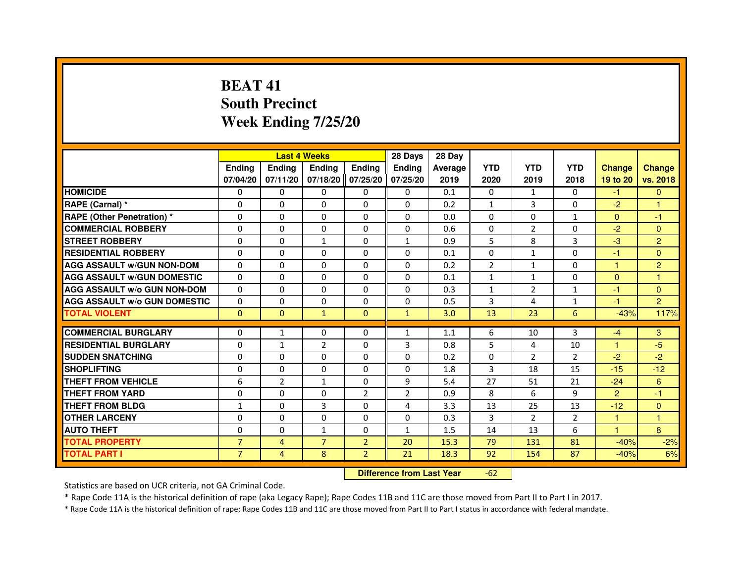# **BEAT 41 South PrecinctWeek Ending 7/25/20**

|                                     |                |                | <b>Last 4 Weeks</b>              |                | 28 Days        | 28 Day  |                |                |                |                |                |
|-------------------------------------|----------------|----------------|----------------------------------|----------------|----------------|---------|----------------|----------------|----------------|----------------|----------------|
|                                     | <b>Ending</b>  | <b>Ending</b>  | <b>Ending</b>                    | <b>Ending</b>  | Ending         | Average | <b>YTD</b>     | <b>YTD</b>     | <b>YTD</b>     | <b>Change</b>  | <b>Change</b>  |
|                                     | 07/04/20       | 07/11/20       | 07/18/20                         | 07/25/20       | 07/25/20       | 2019    | 2020           | 2019           | 2018           | 19 to 20       | vs. 2018       |
| <b>HOMICIDE</b>                     | $\Omega$       | $\Omega$       | 0                                | $\Omega$       | 0              | 0.1     | $\Omega$       | $\mathbf{1}$   | $\Omega$       | $-1$           | $\mathbf{0}$   |
| RAPE (Carnal) *                     | 0              | $\Omega$       | $\Omega$                         | $\Omega$       | $\Omega$       | 0.2     | 1              | 3              | $\Omega$       | $-2$           | 1              |
| <b>RAPE (Other Penetration) *</b>   | $\Omega$       | $\Omega$       | $\Omega$                         | $\Omega$       | $\Omega$       | 0.0     | $\Omega$       | $\Omega$       | $\mathbf{1}$   | $\mathbf{0}$   | $-1$           |
| <b>COMMERCIAL ROBBERY</b>           | $\Omega$       | $\mathbf{0}$   | $\mathbf{0}$                     | $\Omega$       | 0              | 0.6     | 0              | $\overline{2}$ | $\Omega$       | $-2$           | $\Omega$       |
| <b>STREET ROBBERY</b>               | $\Omega$       | $\Omega$       | $\mathbf{1}$                     | $\Omega$       | $\mathbf{1}$   | 0.9     | 5              | 8              | 3              | $-3$           | $\overline{2}$ |
| <b>RESIDENTIAL ROBBERY</b>          | $\Omega$       | $\Omega$       | $\Omega$                         | $\Omega$       | $\Omega$       | 0.1     | $\Omega$       | 1              | $\Omega$       | $-1$           | $\Omega$       |
| <b>AGG ASSAULT w/GUN NON-DOM</b>    | $\Omega$       | $\Omega$       | $\Omega$                         | $\Omega$       | $\Omega$       | 0.2     | $\overline{2}$ | $\mathbf{1}$   | $\Omega$       | $\mathbf{1}$   | $\overline{2}$ |
| <b>AGG ASSAULT W/GUN DOMESTIC</b>   | $\Omega$       | $\Omega$       | $\Omega$                         | $\Omega$       | $\Omega$       | 0.1     | $\mathbf{1}$   | $\mathbf{1}$   | $\Omega$       | $\Omega$       | $\mathbf{1}$   |
| <b>AGG ASSAULT w/o GUN NON-DOM</b>  | 0              | 0              | 0                                | 0              | 0              | 0.3     | $\mathbf{1}$   | 2              | $\mathbf{1}$   | $-1$           | $\mathbf{0}$   |
| <b>AGG ASSAULT W/o GUN DOMESTIC</b> | $\Omega$       | 0              | $\Omega$                         | $\Omega$       | $\Omega$       | 0.5     | 3              | 4              | $\mathbf{1}$   | $-1$           | $\overline{2}$ |
| <b>TOTAL VIOLENT</b>                | $\mathbf{0}$   | $\mathbf{0}$   | $\mathbf{1}$                     | $\mathbf{0}$   | $\mathbf{1}$   | 3.0     | 13             | 23             | 6              | $-43%$         | 117%           |
| <b>COMMERCIAL BURGLARY</b>          | $\Omega$       | $\mathbf{1}$   | $\Omega$                         | 0              | $\mathbf{1}$   | 1.1     | 6              | 10             | 3              | $-4$           | 3              |
| <b>RESIDENTIAL BURGLARY</b>         | $\Omega$       | $\mathbf{1}$   | $\overline{2}$                   | $\Omega$       | 3              | 0.8     | 5              | 4              | 10             | $\mathbf{1}$   | $-5$           |
| <b>SUDDEN SNATCHING</b>             | $\Omega$       | $\Omega$       | $\Omega$                         | $\Omega$       | $\Omega$       | 0.2     | $\Omega$       | $\mathcal{P}$  | $\mathcal{P}$  | $-2$           | $-2$           |
| <b>SHOPLIFTING</b>                  | 0              | 0              | 0                                | 0              | 0              | 1.8     | 3              | 18             | 15             | $-15$          | $-12$          |
| <b>THEFT FROM VEHICLE</b>           | 6              | $\overline{2}$ | $\mathbf{1}$                     | $\Omega$       | 9              | 5.4     | 27             | 51             | 21             | $-24$          | 6              |
| <b>THEFT FROM YARD</b>              | 0              | 0              | 0                                | $\overline{2}$ | $\overline{2}$ | 0.9     | 8              | 6              | 9              | $\overline{2}$ | $-1$           |
| <b>THEFT FROM BLDG</b>              | $\mathbf{1}$   | $\Omega$       | $\overline{3}$                   | $\Omega$       | 4              | 3.3     | 13             | 25             | 13             | $-12$          | $\mathbf{0}$   |
| <b>OTHER LARCENY</b>                | $\Omega$       | $\Omega$       | $\Omega$                         | $\Omega$       | $\Omega$       | 0.3     | 3              | $\overline{2}$ | $\overline{2}$ | 1              | 1              |
| <b>AUTO THEFT</b>                   | $\Omega$       | $\Omega$       | $\mathbf{1}$                     | $\Omega$       | $\mathbf{1}$   | 1.5     | 14             | 13             | 6              | $\mathbf{1}$   | 8              |
| <b>TOTAL PROPERTY</b>               | $\overline{7}$ | $\overline{4}$ | $\overline{7}$                   | $\overline{2}$ | 20             | 15.3    | 79             | 131            | 81             | $-40%$         | $-2%$          |
| <b>TOTAL PART I</b>                 | $\overline{7}$ | $\overline{4}$ | 8                                | $\overline{2}$ | 21             | 18.3    | 92             | 154            | 87             | $-40%$         | 6%             |
|                                     |                |                | <b>Difference from Last Year</b> |                | $-62$          |         |                |                |                |                |                |

 **Difference from Last Year**

Statistics are based on UCR criteria, not GA Criminal Code.

\* Rape Code 11A is the historical definition of rape (aka Legacy Rape); Rape Codes 11B and 11C are those moved from Part II to Part I in 2017.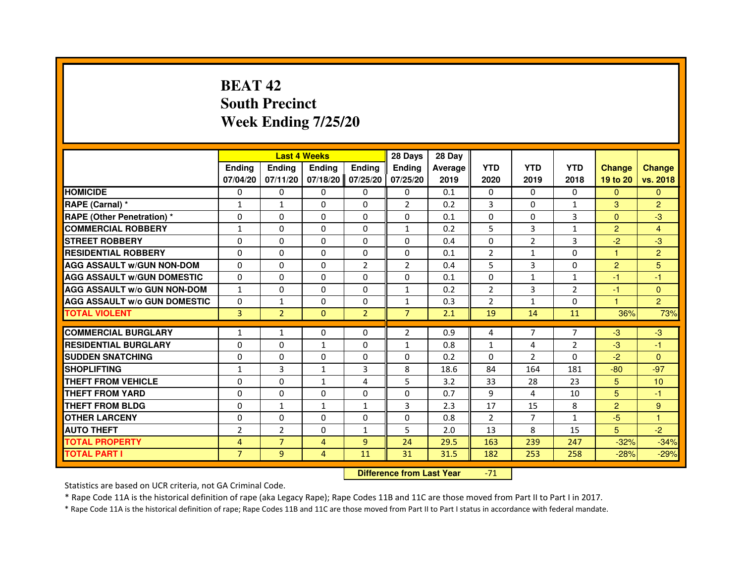# **BEAT 42 South PrecinctWeek Ending 7/25/20**

|                                     |                |                | <b>Last 4 Weeks</b> |                | 28 Days        | 28 Day  |                |                |                |                |                |
|-------------------------------------|----------------|----------------|---------------------|----------------|----------------|---------|----------------|----------------|----------------|----------------|----------------|
|                                     | <b>Endina</b>  | Ending         | <b>Endina</b>       | <b>Endina</b>  | <b>Endina</b>  | Average | <b>YTD</b>     | <b>YTD</b>     | <b>YTD</b>     | <b>Change</b>  | <b>Change</b>  |
|                                     | 07/04/20       | 07/11/20       | 07/18/20            | 07/25/20       | 07/25/20       | 2019    | 2020           | 2019           | 2018           | 19 to 20       | vs. 2018       |
| <b>HOMICIDE</b>                     | 0              | 0              | 0                   | 0              | 0              | 0.1     | 0              | $\Omega$       | $\Omega$       | $\Omega$       | $\Omega$       |
| RAPE (Carnal) *                     | $\mathbf{1}$   | $\mathbf{1}$   | $\Omega$            | $\Omega$       | 2              | 0.2     | $\overline{3}$ | $\Omega$       | $\mathbf{1}$   | 3              | $\overline{2}$ |
| <b>RAPE (Other Penetration)*</b>    | $\Omega$       | $\Omega$       | $\Omega$            | $\Omega$       | $\Omega$       | 0.1     | $\Omega$       | $\Omega$       | 3              | $\Omega$       | -3             |
| <b>COMMERCIAL ROBBERY</b>           | 1              | 0              | 0                   | 0              | $\mathbf{1}$   | 0.2     | 5              | 3              | $\mathbf{1}$   | $\overline{2}$ | 4              |
| <b>STREET ROBBERY</b>               | $\Omega$       | 0              | $\Omega$            | 0              | 0              | 0.4     | $\Omega$       | $\overline{2}$ | 3              | $-2$           | $-3$           |
| <b>RESIDENTIAL ROBBERY</b>          | $\Omega$       | $\Omega$       | $\Omega$            | $\Omega$       | $\Omega$       | 0.1     | $\overline{2}$ | $\mathbf{1}$   | $\Omega$       | 1              | $\overline{2}$ |
| <b>AGG ASSAULT W/GUN NON-DOM</b>    | $\Omega$       | $\Omega$       | $\Omega$            | $\overline{2}$ | $\overline{2}$ | 0.4     | 5              | $\overline{3}$ | $\Omega$       | $\overline{2}$ | 5              |
| <b>AGG ASSAULT W/GUN DOMESTIC</b>   | $\Omega$       | $\Omega$       | $\Omega$            | $\Omega$       | $\Omega$       | 0.1     | $\Omega$       | $\mathbf{1}$   | $\mathbf{1}$   | $-1$           | $-1$           |
| <b>AGG ASSAULT W/o GUN NON-DOM</b>  | 1              | 0              | $\Omega$            | $\Omega$       | 1              | 0.2     | $\overline{2}$ | 3              | 2              | $-1$           | $\Omega$       |
| <b>AGG ASSAULT W/o GUN DOMESTIC</b> | $\Omega$       | $\mathbf{1}$   | 0                   | 0              | $\mathbf{1}$   | 0.3     | $\overline{2}$ | $\mathbf{1}$   | 0              | 1              | $\overline{2}$ |
| <b>TOTAL VIOLENT</b>                | 3              | $\overline{2}$ | $\Omega$            | $\overline{2}$ | $\overline{7}$ | 2.1     | 19             | 14             | 11             | 36%            | 73%            |
|                                     |                |                |                     |                |                |         |                |                |                |                |                |
| <b>COMMERCIAL BURGLARY</b>          | 1              | 1              | $\Omega$            | 0              | $\overline{2}$ | 0.9     | 4              | $\overline{7}$ | $\overline{7}$ | $-3$           | $-3$           |
| <b>RESIDENTIAL BURGLARY</b>         | 0              | 0              | 1                   | 0              | $\mathbf{1}$   | 0.8     | $\mathbf{1}$   | 4              | 2              | $-3$           | $-1$           |
| <b>SUDDEN SNATCHING</b>             | $\Omega$       | $\Omega$       | $\Omega$            | $\Omega$       | $\Omega$       | 0.2     | $\Omega$       | $\mathfrak{p}$ | $\Omega$       | $-2$           | $\Omega$       |
| <b>SHOPLIFTING</b>                  | $\mathbf{1}$   | 3              | $\mathbf{1}$        | 3              | 8              | 18.6    | 84             | 164            | 181            | $-80$          | $-97$          |
| <b>THEFT FROM VEHICLE</b>           | 0              | 0              | $\mathbf{1}$        | 4              | 5              | 3.2     | 33             | 28             | 23             | 5              | 10             |
| <b>THEFT FROM YARD</b>              | $\Omega$       | $\Omega$       | $\Omega$            | $\Omega$       | $\Omega$       | 0.7     | 9              | 4              | 10             | 5              | $-1$           |
| <b>THEFT FROM BLDG</b>              | $\Omega$       | 1              | 1                   | 1              | 3              | 2.3     | 17             | 15             | 8              | $\overline{2}$ | 9              |
| <b>OTHER LARCENY</b>                | $\Omega$       | $\Omega$       | $\Omega$            | $\Omega$       | $\Omega$       | 0.8     | $\overline{2}$ | $\overline{7}$ | 1              | $-5$           | 1              |
| <b>AUTO THEFT</b>                   | $\overline{2}$ | $\overline{2}$ | $\Omega$            | 1              | 5              | 2.0     | 13             | 8              | 15             | 5              | $-2$           |
| <b>TOTAL PROPERTY</b>               | $\overline{4}$ | $\overline{7}$ | $\overline{4}$      | $\overline{9}$ | 24             | 29.5    | 163            | 239            | 247            | $-32%$         | $-34%$         |
| <b>TOTAL PART I</b>                 | $\overline{7}$ | 9              | 4                   | 11             | 31             | 31.5    | 182            | 253            | 258            | $-28%$         | $-29%$         |

 **Difference from Last Year**-71

Statistics are based on UCR criteria, not GA Criminal Code.

\* Rape Code 11A is the historical definition of rape (aka Legacy Rape); Rape Codes 11B and 11C are those moved from Part II to Part I in 2017.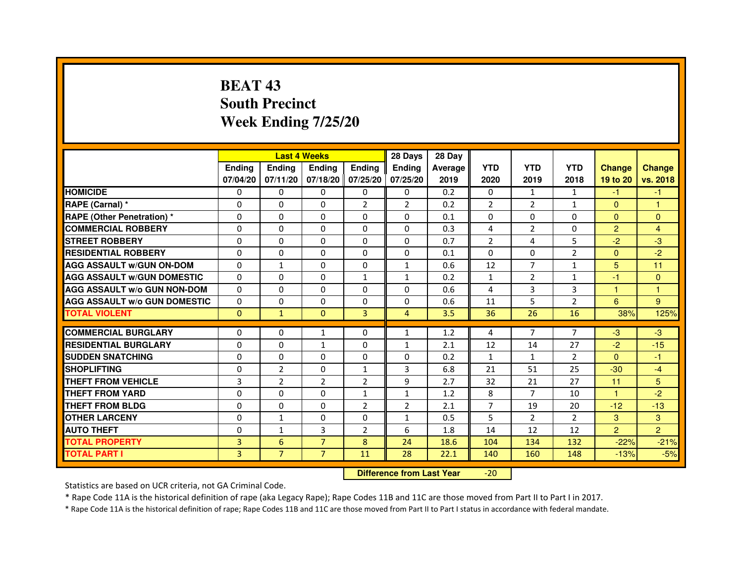# **BEAT 43 South PrecinctWeek Ending 7/25/20**

|                                     |               | <b>Last 4 Weeks</b> |                |                   | 28 Days        | 28 Day  |                |                |                |                |                |
|-------------------------------------|---------------|---------------------|----------------|-------------------|----------------|---------|----------------|----------------|----------------|----------------|----------------|
|                                     | <b>Ending</b> | <b>Endina</b>       | <b>Endina</b>  | Ending            | <b>Endina</b>  | Average | <b>YTD</b>     | <b>YTD</b>     | <b>YTD</b>     | <b>Change</b>  | <b>Change</b>  |
|                                     | 07/04/20      | 07/11/20            |                | 07/18/20 07/25/20 | 07/25/20       | 2019    | 2020           | 2019           | 2018           | 19 to 20       | vs. 2018       |
| <b>HOMICIDE</b>                     | 0             | 0                   | $\mathbf{0}$   | 0                 | 0              | 0.2     | $\mathbf{0}$   | 1              | 1              | -1             | $-1$           |
| RAPE (Carnal) *                     | 0             | $\Omega$            | $\Omega$       | $\overline{2}$    | $\overline{2}$ | 0.2     | $\overline{2}$ | $\overline{2}$ | $\mathbf{1}$   | $\Omega$       | $\mathbf{1}$   |
| <b>RAPE (Other Penetration) *</b>   | 0             | $\Omega$            | 0              | $\Omega$          | $\Omega$       | 0.1     | $\Omega$       | $\Omega$       | $\Omega$       | $\Omega$       | $\Omega$       |
| <b>COMMERCIAL ROBBERY</b>           | 0             | 0                   | 0              | 0                 | $\Omega$       | 0.3     | 4              | 2              | $\Omega$       | $\overline{2}$ | 4              |
| <b>STREET ROBBERY</b>               | 0             | 0                   | 0              | 0                 | 0              | 0.7     | $\overline{2}$ | 4              | 5              | $-2$           | -3             |
| <b>RESIDENTIAL ROBBERY</b>          | 0             | 0                   | $\Omega$       | $\Omega$          | $\Omega$       | 0.1     | $\Omega$       | $\Omega$       | $\overline{2}$ | $\Omega$       | $-2$           |
| <b>AGG ASSAULT w/GUN ON-DOM</b>     | $\Omega$      | $\mathbf{1}$        | $\Omega$       | $\Omega$          | $\mathbf{1}$   | 0.6     | 12             | $\overline{7}$ | $\mathbf{1}$   | 5              | 11             |
| <b>AGG ASSAULT W/GUN DOMESTIC</b>   | 0             | 0                   | 0              | $\mathbf{1}$      | $\mathbf{1}$   | 0.2     | $\mathbf{1}$   | 2              | $\mathbf{1}$   | $-1$           | $\Omega$       |
| <b>AGG ASSAULT W/o GUN NON-DOM</b>  | $\Omega$      | 0                   | 0              | $\Omega$          | $\Omega$       | 0.6     | 4              | 3              | 3              | 1              | 1              |
| <b>AGG ASSAULT W/o GUN DOMESTIC</b> | $\Omega$      | $\Omega$            | 0              | 0                 | 0              | 0.6     | 11             | 5              | $\overline{2}$ | 6              | 9              |
| <b>TOTAL VIOLENT</b>                | $\Omega$      | $\mathbf{1}$        | $\Omega$       | $\overline{3}$    | $\overline{4}$ | 3.5     | 36             | 26             | 16             | 38%            | 125%           |
|                                     |               |                     |                |                   |                |         |                |                |                |                |                |
| <b>COMMERCIAL BURGLARY</b>          | 0             | 0                   | 1              | 0                 | $\mathbf{1}$   | 1.2     | 4              | $\overline{7}$ | $\overline{7}$ | $-3$           | $-3$           |
| <b>RESIDENTIAL BURGLARY</b>         | 0             | $\Omega$            | 1              | $\Omega$          | 1              | 2.1     | 12             | 14             | 27             | $-2$           | $-15$          |
| <b>SUDDEN SNATCHING</b>             | 0             | 0                   | 0              | 0                 | $\Omega$       | 0.2     | $\mathbf{1}$   | $\mathbf{1}$   | $\overline{2}$ | $\Omega$       | $-1$           |
| <b>SHOPLIFTING</b>                  | 0             | $\overline{2}$      | 0              | $\mathbf{1}$      | 3              | 6.8     | 21             | 51             | 25             | $-30$          | $-4$           |
| <b>THEFT FROM VEHICLE</b>           | 3             | $\overline{2}$      | $\overline{2}$ | $\overline{2}$    | 9              | 2.7     | 32             | 21             | 27             | 11             | 5              |
| <b>THEFT FROM YARD</b>              | $\Omega$      | $\Omega$            | $\Omega$       | $\mathbf{1}$      | $\mathbf{1}$   | 1.2     | 8              | $\overline{7}$ | 10             | $\mathbf{1}$   | $-2$           |
| <b>THEFT FROM BLDG</b>              | 0             | 0                   | 0              | $\overline{2}$    | $\overline{2}$ | 2.1     | 7              | 19             | 20             | $-12$          | $-13$          |
| <b>OTHER LARCENY</b>                | 0             | $\mathbf{1}$        | $\Omega$       | $\Omega$          | $\mathbf{1}$   | 0.5     | 5              | 2              | $\mathcal{P}$  | 3              | 3              |
| <b>AUTO THEFT</b>                   | $\mathbf 0$   | 1                   | 3              | $\overline{2}$    | 6              | 1.8     | 14             | 12             | 12             | $\overline{2}$ | $\overline{2}$ |
| <b>TOTAL PROPERTY</b>               | 3             | 6                   | $\overline{7}$ | 8                 | 24             | 18.6    | 104            | 134            | 132            | $-22%$         | $-21%$         |
| <b>TOTAL PART I</b>                 | 3             | $\overline{7}$      | $\overline{7}$ | 11                | 28             | 22.1    | 140            | 160            | 148            | $-13%$         | $-5%$          |

 **Difference from Last Year**-20

Statistics are based on UCR criteria, not GA Criminal Code.

\* Rape Code 11A is the historical definition of rape (aka Legacy Rape); Rape Codes 11B and 11C are those moved from Part II to Part I in 2017.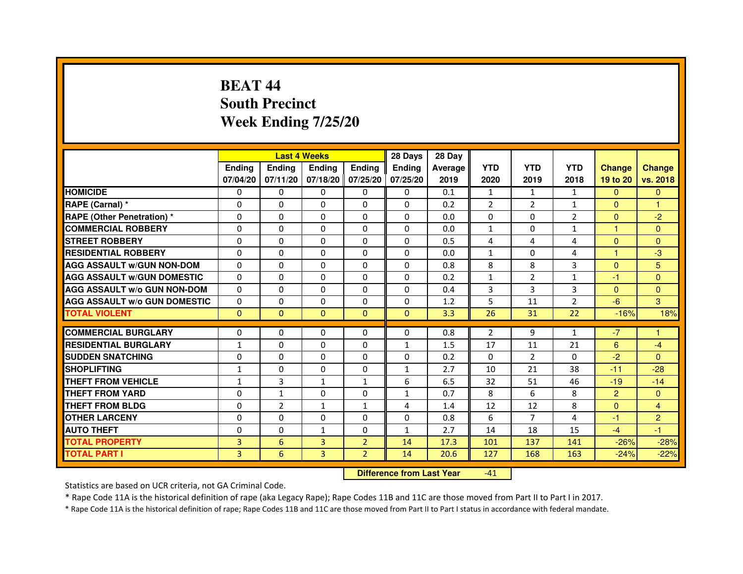# **BEAT 44 South PrecinctWeek Ending 7/25/20**

|                                     |                |                | <b>Last 4 Weeks</b> |                | 28 Days       | 28 Day  |                |                |                |                |                |
|-------------------------------------|----------------|----------------|---------------------|----------------|---------------|---------|----------------|----------------|----------------|----------------|----------------|
|                                     | <b>Endina</b>  | <b>Ending</b>  | <b>Endina</b>       | <b>Ending</b>  | <b>Endina</b> | Average | <b>YTD</b>     | <b>YTD</b>     | <b>YTD</b>     | <b>Change</b>  | <b>Change</b>  |
|                                     | 07/04/20       | 07/11/20       | 07/18/20 07/25/20   |                | 07/25/20      | 2019    | 2020           | 2019           | 2018           | 19 to 20       | vs. 2018       |
| <b>HOMICIDE</b>                     | 0              | 0              | 0                   | 0              | 0             | 0.1     | $\mathbf{1}$   | $\mathbf{1}$   | $\mathbf{1}$   | $\mathbf{0}$   | $\mathbf{0}$   |
| RAPE (Carnal) *                     | $\Omega$       | $\Omega$       | $\Omega$            | $\Omega$       | $\Omega$      | 0.2     | $\overline{2}$ | $\overline{2}$ | $\mathbf{1}$   | $\Omega$       | $\mathbf{1}$   |
| <b>RAPE (Other Penetration)*</b>    | $\Omega$       | $\Omega$       | $\Omega$            | $\Omega$       | 0             | 0.0     | 0              | $\Omega$       | $\overline{2}$ | $\Omega$       | $-2$           |
| <b>COMMERCIAL ROBBERY</b>           | 0              | 0              | 0                   | 0              | 0             | 0.0     | $\mathbf{1}$   | 0              | $\mathbf{1}$   | 1              | $\Omega$       |
| <b>STREET ROBBERY</b>               | 0              | 0              | 0                   | 0              | 0             | 0.5     | 4              | 4              | 4              | $\Omega$       | $\Omega$       |
| <b>RESIDENTIAL ROBBERY</b>          | $\Omega$       | $\Omega$       | $\Omega$            | 0              | 0             | 0.0     | $\mathbf{1}$   | $\Omega$       | 4              | $\mathbf{1}$   | -3             |
| <b>AGG ASSAULT W/GUN NON-DOM</b>    | $\Omega$       | $\Omega$       | $\Omega$            | $\Omega$       | $\Omega$      | 0.8     | 8              | 8              | 3              | $\Omega$       | 5              |
| <b>AGG ASSAULT w/GUN DOMESTIC</b>   | $\Omega$       | $\Omega$       | $\Omega$            | $\Omega$       | 0             | 0.2     | $\mathbf{1}$   | $\overline{2}$ | $\mathbf{1}$   | $-1$           | $\Omega$       |
| <b>AGG ASSAULT W/o GUN NON-DOM</b>  | $\Omega$       | $\Omega$       | $\Omega$            | $\Omega$       | $\Omega$      | 0.4     | 3              | 3              | 3              | $\Omega$       | $\Omega$       |
| <b>AGG ASSAULT W/o GUN DOMESTIC</b> | $\Omega$       | $\Omega$       | $\Omega$            | 0              | 0             | 1.2     | 5              | 11             | $\overline{2}$ | $-6$           | 3              |
| <b>TOTAL VIOLENT</b>                | $\Omega$       | $\Omega$       | $\Omega$            | $\Omega$       | $\Omega$      | 3.3     | 26             | 31             | 22             | $-16%$         | 18%            |
|                                     |                |                |                     |                |               |         |                |                |                |                |                |
| <b>COMMERCIAL BURGLARY</b>          | $\Omega$       | $\Omega$       | $\Omega$            | $\Omega$       | $\Omega$      | 0.8     | $\overline{2}$ | 9              | 1              | $-7$           | 1              |
| <b>RESIDENTIAL BURGLARY</b>         | $\mathbf{1}$   | 0              | $\Omega$            | 0              | 1             | 1.5     | 17             | 11             | 21             | 6              | $-4$           |
| <b>SUDDEN SNATCHING</b>             | $\Omega$       | $\Omega$       | $\Omega$            | 0              | 0             | 0.2     | $\Omega$       | $\overline{2}$ | $\Omega$       | $-2$           | $\Omega$       |
| <b>SHOPLIFTING</b>                  | $\mathbf{1}$   | 0              | $\Omega$            | 0              | $\mathbf{1}$  | 2.7     | 10             | 21             | 38             | $-11$          | $-28$          |
| <b>THEFT FROM VEHICLE</b>           | $\mathbf{1}$   | 3              | $\mathbf{1}$        | $\mathbf{1}$   | 6             | 6.5     | 32             | 51             | 46             | $-19$          | $-14$          |
| <b>THEFT FROM YARD</b>              | 0              | $\mathbf{1}$   | $\Omega$            | $\Omega$       | 1             | 0.7     | 8              | 6              | 8              | $\overline{2}$ | $\Omega$       |
| <b>THEFT FROM BLDG</b>              | 0              | $\overline{2}$ | $\mathbf{1}$        | 1              | 4             | 1.4     | 12             | 12             | 8              | $\Omega$       | 4              |
| <b>OTHER LARCENY</b>                | $\Omega$       | $\Omega$       | 0                   | $\Omega$       | 0             | 0.8     | 6              | 7              | 4              | $-1$           | $\overline{c}$ |
| <b>AUTO THEFT</b>                   | $\Omega$       | 0              | $\mathbf{1}$        | 0              | $\mathbf{1}$  | 2.7     | 14             | 18             | 15             | $-4$           | $-1$           |
| <b>TOTAL PROPERTY</b>               | 3              | 6              | 3                   | $\overline{2}$ | 14            | 17.3    | 101            | 137            | 141            | $-26%$         | $-28%$         |
| <b>TOTAL PART I</b>                 | $\overline{3}$ | 6              | 3                   | $\overline{2}$ | 14            | 20.6    | 127            | 168            | 163            | $-24%$         | $-22%$         |

 **Difference from Last Year**-41

Statistics are based on UCR criteria, not GA Criminal Code.

\* Rape Code 11A is the historical definition of rape (aka Legacy Rape); Rape Codes 11B and 11C are those moved from Part II to Part I in 2017.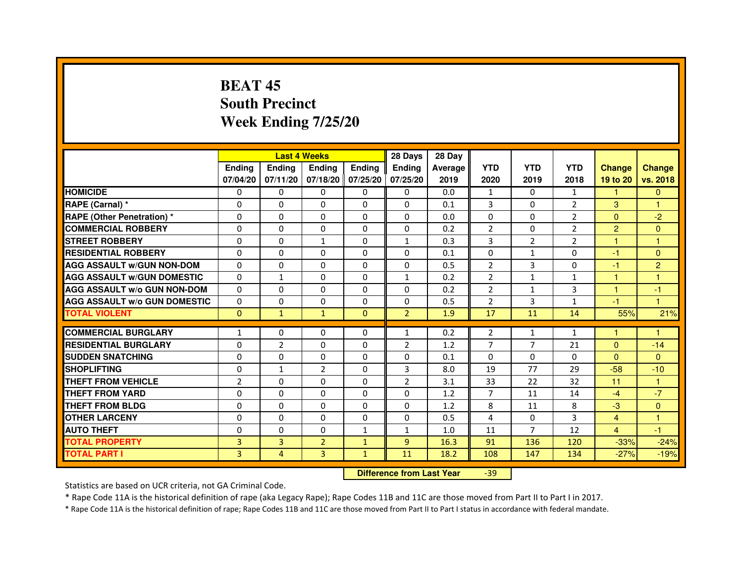# **BEAT 45 South PrecinctWeek Ending 7/25/20**

|                                     |                | <b>Last 4 Weeks</b> |                |                   | 28 Days        | 28 Day  |                |                |                |                |                |
|-------------------------------------|----------------|---------------------|----------------|-------------------|----------------|---------|----------------|----------------|----------------|----------------|----------------|
|                                     | <b>Ending</b>  | <b>Endina</b>       | <b>Endina</b>  | Ending            | <b>Endina</b>  | Average | <b>YTD</b>     | <b>YTD</b>     | <b>YTD</b>     | <b>Change</b>  | <b>Change</b>  |
|                                     | 07/04/20       | 07/11/20            |                | 07/18/20 07/25/20 | 07/25/20       | 2019    | 2020           | 2019           | 2018           | 19 to 20       | vs. 2018       |
| <b>HOMICIDE</b>                     | 0              | 0                   | $\mathbf{0}$   | 0                 | 0              | 0.0     | 1              | 0              | 1              | 1              | $\mathbf{0}$   |
| RAPE (Carnal) *                     | $\Omega$       | $\Omega$            | $\Omega$       | $\Omega$          | $\Omega$       | 0.1     | 3              | $\Omega$       | $\overline{2}$ | 3              | $\mathbf{1}$   |
| <b>RAPE (Other Penetration) *</b>   | 0              | $\Omega$            | 0              | $\mathbf{0}$      | $\Omega$       | 0.0     | $\Omega$       | $\Omega$       | $\overline{2}$ | $\Omega$       | $-2$           |
| <b>COMMERCIAL ROBBERY</b>           | 0              | 0                   | 0              | 0                 | $\Omega$       | 0.2     | 2              | 0              | 2              | $\overline{2}$ | $\Omega$       |
| <b>STREET ROBBERY</b>               | 0              | 0                   | $\mathbf{1}$   | 0                 | $\mathbf{1}$   | 0.3     | 3              | $\overline{2}$ | $\overline{2}$ | 1              | 1              |
| <b>RESIDENTIAL ROBBERY</b>          | 0              | $\Omega$            | 0              | $\Omega$          | $\Omega$       | 0.1     | $\Omega$       | $\mathbf{1}$   | $\Omega$       | $-1$           | $\Omega$       |
| <b>AGG ASSAULT W/GUN NON-DOM</b>    | $\Omega$       | $\mathbf 0$         | $\Omega$       | $\Omega$          | $\Omega$       | 0.5     | $\overline{2}$ | 3              | $\Omega$       | $-1$           | $\overline{2}$ |
| <b>AGG ASSAULT W/GUN DOMESTIC</b>   | 0              | $\mathbf{1}$        | 0              | 0                 | $\mathbf{1}$   | 0.2     | $\overline{2}$ | $\mathbf{1}$   | $\mathbf{1}$   | 1              | 1              |
| <b>AGG ASSAULT W/o GUN NON-DOM</b>  | 0              | 0                   | 0              | $\Omega$          | $\Omega$       | 0.2     | $\overline{2}$ | $\mathbf{1}$   | 3              | 1              | $-1$           |
| <b>AGG ASSAULT W/o GUN DOMESTIC</b> | $\Omega$       | $\Omega$            | 0              | $\Omega$          | 0              | 0.5     | $\overline{2}$ | 3              | $\mathbf{1}$   | $-1$           | 1              |
| <b>TOTAL VIOLENT</b>                | $\Omega$       | $\mathbf{1}$        | $\mathbf{1}$   | $\Omega$          | $\overline{2}$ | 1.9     | 17             | 11             | 14             | 55%            | 21%            |
|                                     |                |                     |                |                   |                |         |                |                |                |                |                |
| <b>COMMERCIAL BURGLARY</b>          | 1              | 0                   | 0              | 0                 | $\mathbf{1}$   | 0.2     | 2              | $\mathbf{1}$   | $\mathbf{1}$   | 1              | 1              |
| <b>RESIDENTIAL BURGLARY</b>         | 0              | $\overline{2}$      | 0              | $\Omega$          | 2              | 1.2     | $\overline{7}$ | 7              | 21             | $\Omega$       | $-14$          |
| <b>SUDDEN SNATCHING</b>             | 0              | 0                   | 0              | 0                 | 0              | 0.1     | $\Omega$       | $\Omega$       | $\Omega$       | $\Omega$       | $\Omega$       |
| <b>SHOPLIFTING</b>                  | 0              | $\mathbf{1}$        | $\overline{2}$ | $\Omega$          | 3              | 8.0     | 19             | 77             | 29             | $-58$          | $-10$          |
| <b>THEFT FROM VEHICLE</b>           | $\overline{2}$ | $\Omega$            | 0              | $\mathbf{0}$      | $\overline{2}$ | 3.1     | 33             | 22             | 32             | 11             | $\mathbf{1}$   |
| <b>THEFT FROM YARD</b>              | $\Omega$       | $\Omega$            | $\Omega$       | $\Omega$          | $\Omega$       | 1.2     | $\overline{7}$ | 11             | 14             | $-4$           | $-7$           |
| <b>THEFT FROM BLDG</b>              | 0              | 0                   | 0              | 0                 | 0              | 1.2     | 8              | 11             | 8              | $-3$           | $\mathbf{0}$   |
| <b>OTHER LARCENY</b>                | 0              | 0                   | $\Omega$       | $\Omega$          | $\Omega$       | 0.5     | $\overline{a}$ | $\Omega$       | 3              | $\overline{4}$ | 1              |
| <b>AUTO THEFT</b>                   | $\mathbf 0$    | 0                   | $\Omega$       | $\mathbf{1}$      | $\mathbf{1}$   | 1.0     | 11             | 7              | 12             | $\overline{4}$ | $-1$           |
| <b>TOTAL PROPERTY</b>               | 3              | 3                   | $\overline{2}$ | $\mathbf{1}$      | 9              | 16.3    | 91             | 136            | 120            | $-33%$         | $-24%$         |
| <b>TOTAL PART I</b>                 | 3              | 4                   | 3              | $\mathbf{1}$      | 11             | 18.2    | 108            | 147            | 134            | $-27%$         | $-19%$         |

 **Difference from Last Year**-39

Statistics are based on UCR criteria, not GA Criminal Code.

\* Rape Code 11A is the historical definition of rape (aka Legacy Rape); Rape Codes 11B and 11C are those moved from Part II to Part I in 2017.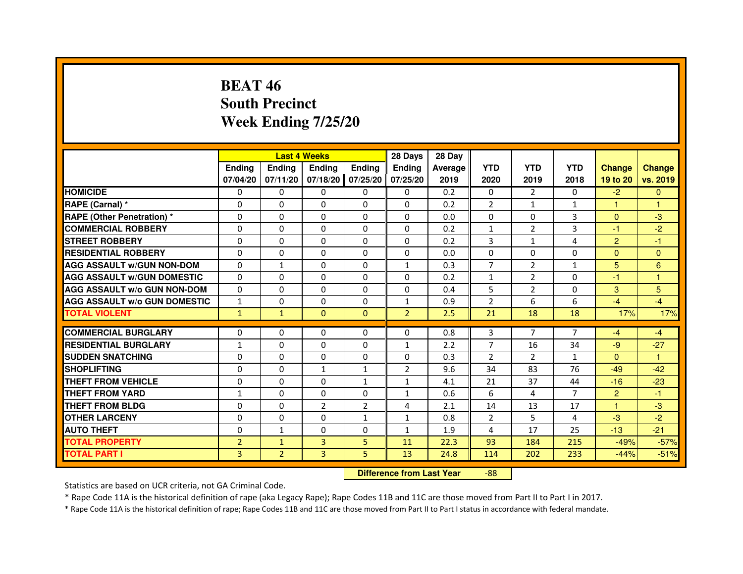# **BEAT 46 South PrecinctWeek Ending 7/25/20**

|                                     |                |                | <b>Last 4 Weeks</b> |                | 28 Days                          | 28 Day  |                |                |                |                |               |
|-------------------------------------|----------------|----------------|---------------------|----------------|----------------------------------|---------|----------------|----------------|----------------|----------------|---------------|
|                                     | <b>Ending</b>  | <b>Ending</b>  | <b>Ending</b>       | <b>Ending</b>  | <b>Ending</b>                    | Average | <b>YTD</b>     | <b>YTD</b>     | <b>YTD</b>     | <b>Change</b>  | <b>Change</b> |
|                                     | 07/04/20       | 07/11/20       | 07/18/20            | 07/25/20       | 07/25/20                         | 2019    | 2020           | 2019           | 2018           | 19 to 20       | vs. 2019      |
| <b>HOMICIDE</b>                     | $\Omega$       | $\Omega$       | $\Omega$            | $\Omega$       | 0                                | 0.2     | $\Omega$       | 2              | $\Omega$       | $-2$           | $\Omega$      |
| RAPE (Carnal) *                     | 0              | 0              | 0                   | 0              | 0                                | 0.2     | $\overline{2}$ | $\mathbf{1}$   | $\mathbf{1}$   | 1              | 1             |
| <b>RAPE (Other Penetration) *</b>   | $\Omega$       | $\Omega$       | $\Omega$            | $\Omega$       | $\Omega$                         | 0.0     | $\Omega$       | $\Omega$       | 3              | $\Omega$       | $-3$          |
| <b>COMMERCIAL ROBBERY</b>           | $\Omega$       | $\Omega$       | $\Omega$            | $\Omega$       | $\Omega$                         | 0.2     | $\mathbf{1}$   | 2              | 3              | $-1$           | $-2$          |
| <b>STREET ROBBERY</b>               | $\Omega$       | $\Omega$       | $\Omega$            | $\Omega$       | $\Omega$                         | 0.2     | 3              | $\mathbf{1}$   | 4              | $\overline{2}$ | $-1$          |
| <b>RESIDENTIAL ROBBERY</b>          | $\Omega$       | $\Omega$       | $\Omega$            | $\Omega$       | 0                                | 0.0     | $\Omega$       | $\Omega$       | 0              | $\Omega$       | $\Omega$      |
| <b>AGG ASSAULT W/GUN NON-DOM</b>    | $\Omega$       | $\mathbf{1}$   | $\Omega$            | $\Omega$       | $\mathbf{1}$                     | 0.3     | $\overline{7}$ | 2              | $\mathbf{1}$   | 5              | 6             |
| <b>AGG ASSAULT W/GUN DOMESTIC</b>   | $\Omega$       | $\Omega$       | $\Omega$            | $\Omega$       | $\Omega$                         | 0.2     | $\mathbf{1}$   | $\overline{2}$ | $\Omega$       | $-1$           | $\mathbf{1}$  |
| <b>AGG ASSAULT W/o GUN NON-DOM</b>  | $\Omega$       | 0              | 0                   | 0              | 0                                | 0.4     | 5              | $\overline{2}$ | 0              | 3              | 5             |
| <b>AGG ASSAULT W/o GUN DOMESTIC</b> | $\mathbf{1}$   | 0              | 0                   | $\Omega$       | $\mathbf{1}$                     | 0.9     | $\overline{2}$ | 6              | 6              | $-4$           | $-4$          |
| <b>TOTAL VIOLENT</b>                | $\mathbf{1}$   | $\mathbf{1}$   | $\mathbf{0}$        | $\mathbf{0}$   | $\overline{2}$                   | 2.5     | 21             | 18             | 18             | 17%            | 17%           |
| <b>COMMERCIAL BURGLARY</b>          | $\Omega$       | 0              | 0                   | 0              | 0                                | 0.8     | 3              | 7              | 7              | $-4$           | $-4$          |
| <b>RESIDENTIAL BURGLARY</b>         | $\mathbf{1}$   | $\Omega$       | $\Omega$            | $\Omega$       | $\mathbf{1}$                     | 2.2     | $\overline{7}$ | 16             | 34             | $-9$           | $-27$         |
| <b>SUDDEN SNATCHING</b>             | $\Omega$       | $\Omega$       | $\Omega$            | $\Omega$       | $\Omega$                         | 0.3     | $\overline{2}$ | $\mathcal{P}$  | $\mathbf{1}$   | $\Omega$       | 1             |
| <b>SHOPLIFTING</b>                  | 0              | 0              | 1                   | 1              | 2                                | 9.6     | 34             | 83             | 76             | $-49$          | $-42$         |
| THEFT FROM VEHICLE                  | $\Omega$       | $\Omega$       | $\Omega$            | $\mathbf{1}$   | $\mathbf{1}$                     | 4.1     | 21             | 37             | 44             | $-16$          | $-23$         |
| THEFT FROM YARD                     | $\mathbf{1}$   | 0              | $\Omega$            | 0              | $\mathbf{1}$                     | 0.6     | 6              | 4              | $\overline{7}$ | $\overline{2}$ | $-1$          |
| <b>THEFT FROM BLDG</b>              | $\Omega$       | $\Omega$       | $\overline{2}$      | $\overline{2}$ | 4                                | 2.1     | 14             | 13             | 17             | $\mathbf{1}$   | $-3$          |
| <b>OTHER LARCENY</b>                | $\Omega$       | $\Omega$       | $\Omega$            | $\mathbf{1}$   | $\mathbf{1}$                     | 0.8     | 2              | 5              | 4              | $-3$           | $-2$          |
| <b>AUTO THEFT</b>                   | $\Omega$       | $\mathbf{1}$   | $\Omega$            | $\Omega$       | $\mathbf{1}$                     | 1.9     | 4              | 17             | 25             | $-13$          | $-21$         |
| <b>TOTAL PROPERTY</b>               | $\overline{2}$ | $\mathbf{1}$   | $\overline{3}$      | 5              | 11                               | 22.3    | 93             | 184            | 215            | $-49%$         | $-57%$        |
| <b>TOTAL PART I</b>                 | 3              | $\overline{2}$ | 3                   | 5              | 13                               | 24.8    | 114            | 202            | 233            | $-44%$         | $-51%$        |
|                                     |                |                |                     |                | <b>Difference from Last Year</b> |         | $-88$          |                |                |                |               |

 **Difference from Last Year**

Statistics are based on UCR criteria, not GA Criminal Code.

\* Rape Code 11A is the historical definition of rape (aka Legacy Rape); Rape Codes 11B and 11C are those moved from Part II to Part I in 2017.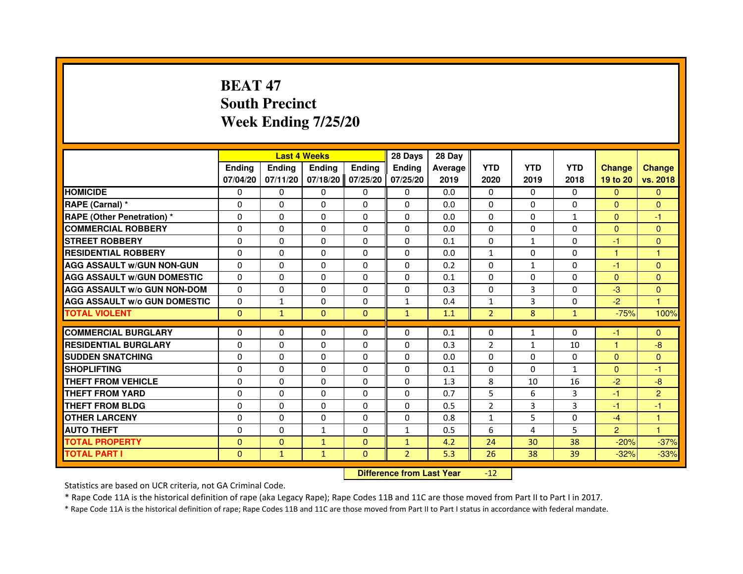# **BEAT 47 South PrecinctWeek Ending 7/25/20**

|                                     |               | <b>Last 4 Weeks</b>              |               |                | 28 Days        | 28 Day  |                |              |              |                |                      |
|-------------------------------------|---------------|----------------------------------|---------------|----------------|----------------|---------|----------------|--------------|--------------|----------------|----------------------|
|                                     | <b>Ending</b> | Ending                           | <b>Ending</b> | <b>Ending</b>  | Ending         | Average | <b>YTD</b>     | <b>YTD</b>   | <b>YTD</b>   | <b>Change</b>  | <b>Change</b>        |
|                                     | 07/04/20      | 07/11/20                         | 07/18/20      | 07/25/20       | 07/25/20       | 2019    | 2020           | 2019         | 2018         | 19 to 20       | vs. 2018             |
| <b>HOMICIDE</b>                     | 0             | $\Omega$                         | 0             | 0              | $\mathbf{0}$   | 0.0     | $\mathbf{0}$   | $\Omega$     | $\Omega$     | $\mathbf{0}$   | $\mathbf{0}$         |
| RAPE (Carnal) *                     | 0             | 0                                | 0             | 0              | 0              | 0.0     | 0              | 0            | 0            | $\Omega$       | $\mathbf{0}$         |
| RAPE (Other Penetration) *          | $\Omega$      | 0                                | $\Omega$      | $\Omega$       | $\Omega$       | 0.0     | $\Omega$       | $\Omega$     | $\mathbf{1}$ | $\Omega$       | -1                   |
| <b>COMMERCIAL ROBBERY</b>           | 0             | $\Omega$                         | $\Omega$      | $\Omega$       | $\Omega$       | 0.0     | $\Omega$       | $\Omega$     | $\Omega$     | $\overline{0}$ | $\mathbf{0}$         |
| <b>STREET ROBBERY</b>               | $\Omega$      | $\Omega$                         | $\Omega$      | $\Omega$       | $\Omega$       | 0.1     | $\Omega$       | $\mathbf{1}$ | $\Omega$     | $-1$           | $\mathbf{0}$         |
| <b>RESIDENTIAL ROBBERY</b>          | 0             | 0                                | 0             | 0              | 0              | 0.0     | $\mathbf{1}$   | 0            | 0            | $\mathbf{1}$   | $\mathbf{1}$         |
| <b>AGG ASSAULT w/GUN NON-GUN</b>    | $\Omega$      | $\Omega$                         | $\Omega$      | $\Omega$       | $\Omega$       | 0.2     | $\Omega$       | $\mathbf{1}$ | 0            | -1             | $\Omega$             |
| <b>AGG ASSAULT W/GUN DOMESTIC</b>   | $\Omega$      | $\Omega$                         | $\Omega$      | $\Omega$       | $\Omega$       | 0.1     | $\Omega$       | $\Omega$     | 0            | $\Omega$       | $\Omega$             |
| <b>AGG ASSAULT W/o GUN NON-DOM</b>  | $\Omega$      | $\Omega$                         | $\Omega$      | $\Omega$       | $\Omega$       | 0.3     | $\Omega$       | 3            | $\Omega$     | $-3$           | $\mathbf{0}$         |
| <b>AGG ASSAULT w/o GUN DOMESTIC</b> | $\Omega$      | $\mathbf{1}$                     | $\Omega$      | $\Omega$       | $\mathbf{1}$   | 0.4     | $\mathbf{1}$   | 3            | $\Omega$     | $-2$           | $\blacktriangleleft$ |
| <b>TOTAL VIOLENT</b>                | $\mathbf{0}$  | $\mathbf{1}$                     | $\mathbf{0}$  | $\overline{0}$ | $\mathbf{1}$   | 1.1     | $\overline{2}$ | 8            | $\mathbf{1}$ | $-75%$         | 100%                 |
| <b>COMMERCIAL BURGLARY</b>          | 0             | 0                                | 0             | 0              | 0              | 0.1     | 0              | $\mathbf{1}$ | 0            | $-1$           | $\mathbf{0}$         |
| <b>RESIDENTIAL BURGLARY</b>         | 0             | $\Omega$                         | $\Omega$      | $\Omega$       | 0              | 0.3     | $\overline{2}$ | $\mathbf{1}$ | 10           | $\mathbf{1}$   | $-8$                 |
| <b>SUDDEN SNATCHING</b>             | $\Omega$      | $\Omega$                         | $\Omega$      | $\Omega$       | $\Omega$       | 0.0     | $\Omega$       | $\Omega$     | $\Omega$     | $\Omega$       | $\overline{0}$       |
| <b>SHOPLIFTING</b>                  | 0             | $\Omega$                         | $\Omega$      | $\Omega$       | $\Omega$       | 0.1     | $\Omega$       | 0            | $\mathbf{1}$ | $\Omega$       | -1                   |
| <b>THEFT FROM VEHICLE</b>           | 0             | 0                                | $\Omega$      | $\Omega$       | 0              | 1.3     | 8              | 10           | 16           | $-2$           | $-8$                 |
| <b>THEFT FROM YARD</b>              | $\Omega$      | $\Omega$                         | $\Omega$      | $\Omega$       | $\Omega$       | 0.7     | 5              | 6            | 3            | $-1$           | $\overline{2}$       |
| <b>THEFT FROM BLDG</b>              | $\Omega$      | $\Omega$                         | $\Omega$      | $\Omega$       | $\Omega$       | 0.5     | $\overline{2}$ | 3            | 3            | $-1$           | $-1$                 |
| <b>OTHER LARCENY</b>                | 0             | $\Omega$                         | $\Omega$      | $\Omega$       | $\Omega$       | 0.8     | $\mathbf{1}$   | 5            | 0            | $-4$           | $\mathbf{1}$         |
| <b>AUTO THEFT</b>                   | $\Omega$      | $\Omega$                         | $\mathbf{1}$  | $\Omega$       | $\mathbf{1}$   | 0.5     | 6              | 4            | 5            | $\overline{2}$ | $\mathbf{1}$         |
| <b>TOTAL PROPERTY</b>               | $\Omega$      | $\mathbf 0$                      | $\mathbf{1}$  | $\Omega$       | $\mathbf{1}$   | 4.2     | 24             | 30           | 38           | $-20%$         | $-37%$               |
| <b>TOTAL PART I</b>                 | $\mathbf{0}$  | $\mathbf{1}$                     | $\mathbf{1}$  | $\mathbf{0}$   | $\overline{2}$ | 5.3     | 26             | 38           | 39           | $-32%$         | $-33%$               |
|                                     |               | <b>Difference from Last Year</b> |               | $-12$          |                |         |                |              |              |                |                      |

 **Difference from Last Year**

Statistics are based on UCR criteria, not GA Criminal Code.

\* Rape Code 11A is the historical definition of rape (aka Legacy Rape); Rape Codes 11B and 11C are those moved from Part II to Part I in 2017.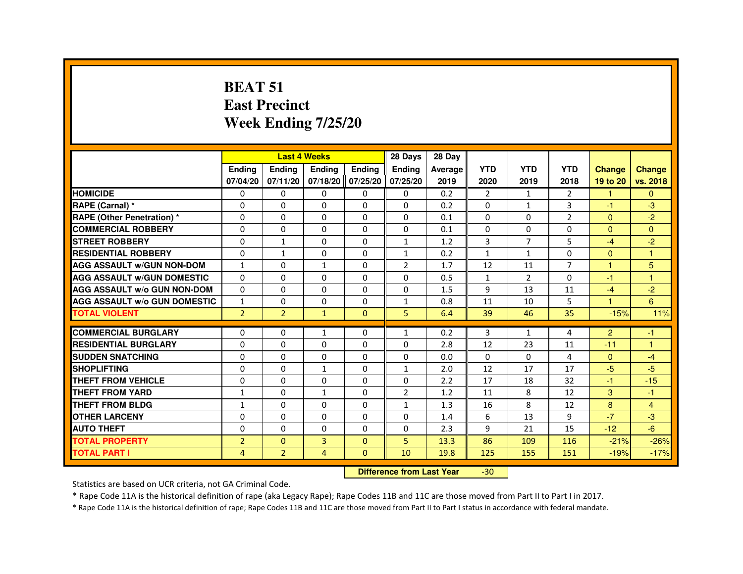#### **BEAT 51 East PrecinctWeek Ending 7/25/20**

|                                     |                |                                  | <b>Last 4 Weeks</b> |                   | 28 Days        | 28 Day  |                |                |                |                |                |
|-------------------------------------|----------------|----------------------------------|---------------------|-------------------|----------------|---------|----------------|----------------|----------------|----------------|----------------|
|                                     | <b>Ending</b>  | <b>Ending</b>                    | Ending              | <b>Ending</b>     | <b>Ending</b>  | Average | <b>YTD</b>     | <b>YTD</b>     | <b>YTD</b>     | <b>Change</b>  | <b>Change</b>  |
|                                     | 07/04/20       | 07/11/20                         |                     | 07/18/20 07/25/20 | 07/25/20       | 2019    | 2020           | 2019           | 2018           | 19 to 20       | vs. 2018       |
| <b>HOMICIDE</b>                     | 0              | $\Omega$                         | $\Omega$            | $\mathbf{0}$      | 0              | 0.2     | $\overline{2}$ | $\mathbf{1}$   | $\overline{2}$ | 1              | $\Omega$       |
| RAPE (Carnal) *                     | 0              | 0                                | 0                   | 0                 | 0              | 0.2     | 0              | $\mathbf{1}$   | 3              | $-1$           | $-3$           |
| <b>RAPE (Other Penetration) *</b>   | 0              | $\Omega$                         | 0                   | $\Omega$          | $\Omega$       | 0.1     | $\Omega$       | $\Omega$       | $\overline{2}$ | $\Omega$       | $-2$           |
| <b>COMMERCIAL ROBBERY</b>           | $\Omega$       | $\Omega$                         | $\Omega$            | $\Omega$          | $\Omega$       | 0.1     | $\Omega$       | $\Omega$       | $\Omega$       | $\Omega$       | $\Omega$       |
| <b>STREET ROBBERY</b>               | 0              | $\mathbf{1}$                     | $\Omega$            | 0                 | $\mathbf{1}$   | 1.2     | 3              | $\overline{7}$ | 5              | $-4$           | $-2$           |
| <b>RESIDENTIAL ROBBERY</b>          | 0              | $\mathbf{1}$                     | 0                   | 0                 | $\mathbf{1}$   | 0.2     | 1              | 1              | $\Omega$       | $\mathbf{0}$   | $\overline{1}$ |
| <b>AGG ASSAULT w/GUN NON-DOM</b>    | $\mathbf{1}$   | $\Omega$                         | $\mathbf{1}$        | $\Omega$          | $\overline{2}$ | 1.7     | 12             | 11             | $\overline{7}$ | $\mathbf{1}$   | 5              |
| <b>AGG ASSAULT W/GUN DOMESTIC</b>   | $\Omega$       | 0                                | $\Omega$            | $\Omega$          | $\Omega$       | 0.5     | $\mathbf{1}$   | $\overline{2}$ | $\Omega$       | $-1$           | $\overline{1}$ |
| <b>AGG ASSAULT w/o GUN NON-DOM</b>  | $\Omega$       | 0                                | 0                   | 0                 | 0              | 1.5     | 9              | 13             | 11             | $-4$           | $-2$           |
| <b>AGG ASSAULT W/o GUN DOMESTIC</b> | $\mathbf{1}$   | 0                                | 0                   | 0                 | $\mathbf{1}$   | 0.8     | 11             | 10             | 5              | $\overline{1}$ | 6              |
| <b>TOTAL VIOLENT</b>                | $\overline{2}$ | $\overline{2}$                   | $\mathbf{1}$        | $\mathbf{0}$      | 5              | 6.4     | 39             | 46             | 35             | $-15%$         | 11%            |
| <b>COMMERCIAL BURGLARY</b>          | 0              | 0                                | $\mathbf{1}$        | 0                 | $\mathbf{1}$   | 0.2     | 3              | $\mathbf{1}$   | 4              | $\overline{2}$ | -1             |
| <b>RESIDENTIAL BURGLARY</b>         | $\Omega$       | $\Omega$                         | $\Omega$            | $\Omega$          | $\Omega$       | 2.8     | 12             | 23             | 11             | $-11$          | $\overline{1}$ |
| <b>SUDDEN SNATCHING</b>             | 0              | $\Omega$                         | $\Omega$            | $\Omega$          | $\Omega$       | 0.0     | $\Omega$       | $\Omega$       | 4              | $\Omega$       | $-4$           |
| <b>SHOPLIFTING</b>                  | 0              | 0                                | 1                   | 0                 | $\mathbf{1}$   | 2.0     | 12             | 17             | 17             | $-5$           | $-5$           |
| THEFT FROM VEHICLE                  | 0              | 0                                | 0                   | 0                 | 0              | 2.2     | 17             | 18             | 32             | $-1$           | $-15$          |
| <b>THEFT FROM YARD</b>              | $\mathbf{1}$   | $\Omega$                         | $\mathbf{1}$        | $\Omega$          | $\overline{2}$ | 1.2     | 11             | 8              | 12             | 3              | $-1$           |
| THEFT FROM BLDG                     | $\mathbf{1}$   | $\Omega$                         | $\Omega$            | $\Omega$          | $\mathbf{1}$   | 1.3     | 16             | 8              | 12             | 8              | $\overline{4}$ |
| <b>OTHER LARCENY</b>                | $\Omega$       | $\Omega$                         | $\Omega$            | $\Omega$          | $\Omega$       | 1.4     | 6              | 13             | 9              | $-7$           | $-3$           |
| <b>AUTO THEFT</b>                   | 0              | 0                                | 0                   | 0                 | 0              | 2.3     | 9              | 21             | 15             | $-12$          | $-6$           |
| <b>TOTAL PROPERTY</b>               | $\overline{2}$ | $\Omega$                         | $\overline{3}$      | $\Omega$          | 5              | 13.3    | 86             | 109            | 116            | $-21%$         | $-26%$         |
| <b>TOTAL PART I</b>                 | 4              | $\overline{2}$                   | 4                   | $\mathbf{0}$      | 10             | 19.8    | 125            | 155            | 151            | $-19%$         | $-17%$         |
|                                     |                | <b>Difference from Last Year</b> |                     | $-30$             |                |         |                |                |                |                |                |

 **Difference from Last Year**

Statistics are based on UCR criteria, not GA Criminal Code.

\* Rape Code 11A is the historical definition of rape (aka Legacy Rape); Rape Codes 11B and 11C are those moved from Part II to Part I in 2017.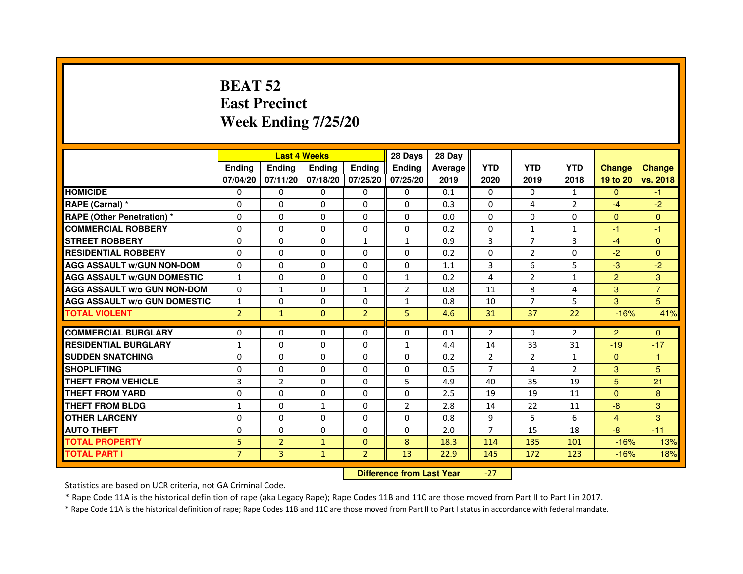# **BEAT 52 East PrecinctWeek Ending 7/25/20**

|                                     |                | <b>Last 4 Weeks</b>              |               |                   | 28 Days        | 28 Day  |                |                |              |                |                |
|-------------------------------------|----------------|----------------------------------|---------------|-------------------|----------------|---------|----------------|----------------|--------------|----------------|----------------|
|                                     | <b>Ending</b>  | Ending                           | <b>Ending</b> | <b>Ending</b>     | <b>Ending</b>  | Average | <b>YTD</b>     | <b>YTD</b>     | <b>YTD</b>   | <b>Change</b>  | <b>Change</b>  |
|                                     | 07/04/20       | 07/11/20                         |               | 07/18/20 07/25/20 | 07/25/20       | 2019    | 2020           | 2019           | 2018         | 19 to 20       | vs. 2018       |
| <b>HOMICIDE</b>                     | 0              | 0                                | $\mathbf{0}$  | 0                 | 0              | 0.1     | $\Omega$       | $\Omega$       | $\mathbf{1}$ | $\mathbf{0}$   | $-1$           |
| RAPE (Carnal) *                     | 0              | $\mathbf{0}$                     | 0             | 0                 | $\Omega$       | 0.3     | 0              | 4              | 2            | $-4$           | $-2$           |
| <b>RAPE (Other Penetration) *</b>   | 0              | 0                                | 0             | $\mathbf{0}$      | $\Omega$       | 0.0     | $\Omega$       | $\mathbf{0}$   | $\Omega$     | $\Omega$       | $\Omega$       |
| <b>COMMERCIAL ROBBERY</b>           | $\mathbf 0$    | 0                                | $\Omega$      | $\mathbf{0}$      | $\mathbf{0}$   | 0.2     | $\mathbf{0}$   | $\mathbf{1}$   | $\mathbf{1}$ | $-1$           | $-1$           |
| <b>STREET ROBBERY</b>               | 0              | $\Omega$                         | $\Omega$      | $\mathbf{1}$      | $\mathbf{1}$   | 0.9     | 3              | $\overline{7}$ | 3            | $-4$           | $\Omega$       |
| <b>RESIDENTIAL ROBBERY</b>          | 0              | 0                                | $\Omega$      | 0                 | $\Omega$       | 0.2     | $\Omega$       | 2              | $\Omega$     | $-2$           | $\Omega$       |
| <b>AGG ASSAULT W/GUN NON-DOM</b>    | $\Omega$       | $\Omega$                         | 0             | $\mathbf{0}$      | $\Omega$       | 1.1     | 3              | 6              | 5            | $-3$           | $-2$           |
| <b>AGG ASSAULT W/GUN DOMESTIC</b>   | $\mathbf{1}$   | $\Omega$                         | $\Omega$      | $\mathbf{0}$      | $\mathbf{1}$   | 0.2     | 4              | $\overline{2}$ | $\mathbf{1}$ | $\overline{2}$ | 3              |
| <b>AGG ASSAULT W/o GUN NON-DOM</b>  | $\Omega$       | $\mathbf{1}$                     | $\Omega$      | $\mathbf{1}$      | 2              | 0.8     | 11             | 8              | 4            | 3              | $\overline{7}$ |
| <b>AGG ASSAULT W/o GUN DOMESTIC</b> | $\mathbf{1}$   | 0                                | 0             | $\Omega$          | $\mathbf{1}$   | 0.8     | 10             | 7              | 5            | 3              | 5              |
| <b>TOTAL VIOLENT</b>                | $\overline{2}$ | $\mathbf{1}$                     | $\mathbf{0}$  | $\overline{2}$    | 5              | 4.6     | 31             | 37             | 22           | $-16%$         | 41%            |
| <b>COMMERCIAL BURGLARY</b>          | 0              | 0                                | 0             | 0                 | 0              | 0.1     | 2              | 0              | 2            | $\overline{2}$ | $\mathbf{0}$   |
| <b>RESIDENTIAL BURGLARY</b>         | $\mathbf{1}$   | 0                                | $\Omega$      | $\mathbf{0}$      | $\mathbf{1}$   | 4.4     | 14             | 33             | 31           | $-19$          | $-17$          |
| <b>SUDDEN SNATCHING</b>             | 0              | $\Omega$                         | $\Omega$      | $\Omega$          | $\Omega$       | 0.2     | $\overline{2}$ | $\overline{2}$ | $\mathbf{1}$ | $\Omega$       | $\mathbf{1}$   |
| <b>SHOPLIFTING</b>                  | 0              | $\mathbf{0}$                     | 0             | $\mathbf{0}$      | $\mathbf{0}$   | 0.5     | 7              | 4              | 2            | 3              | 5              |
| THEFT FROM VEHICLE                  | 3              | $\overline{2}$                   | 0             | $\Omega$          | 5              | 4.9     | 40             | 35             | 19           | 5 <sup>5</sup> | 21             |
| <b>THEFT FROM YARD</b>              | $\mathbf 0$    | 0                                | $\Omega$      | $\Omega$          | $\Omega$       | 2.5     | 19             | 19             | 11           | $\Omega$       | 8              |
| <b>THEFT FROM BLDG</b>              | 1              | $\Omega$                         | $\mathbf{1}$  | $\mathbf{0}$      | $\overline{2}$ | 2.8     | 14             | 22             | 11           | $-8$           | 3              |
| <b>OTHER LARCENY</b>                | 0              | $\Omega$                         | $\Omega$      | $\mathbf{0}$      | $\Omega$       | 0.8     | 9              | 5              | 6            | $\overline{4}$ | 3              |
| <b>AUTO THEFT</b>                   | $\Omega$       | $\Omega$                         | $\Omega$      | $\mathbf{0}$      | $\Omega$       | 2.0     | $\overline{7}$ | 15             | 18           | $-8$           | $-11$          |
| <b>TOTAL PROPERTY</b>               | 5              | $\overline{2}$                   | $\mathbf{1}$  | $\mathbf{0}$      | 8              | 18.3    | 114            | 135            | 101          | $-16%$         | 13%            |
| <b>TOTAL PART I</b>                 | $\overline{7}$ | 3                                | $\mathbf{1}$  | $\overline{2}$    | 13             | 22.9    | 145            | 172            | 123          | $-16%$         | 18%            |
|                                     |                | <b>Difference from Last Year</b> |               | $-27$             |                |         |                |                |              |                |                |

 **Difference from Last Year**

Statistics are based on UCR criteria, not GA Criminal Code.

\* Rape Code 11A is the historical definition of rape (aka Legacy Rape); Rape Codes 11B and 11C are those moved from Part II to Part I in 2017.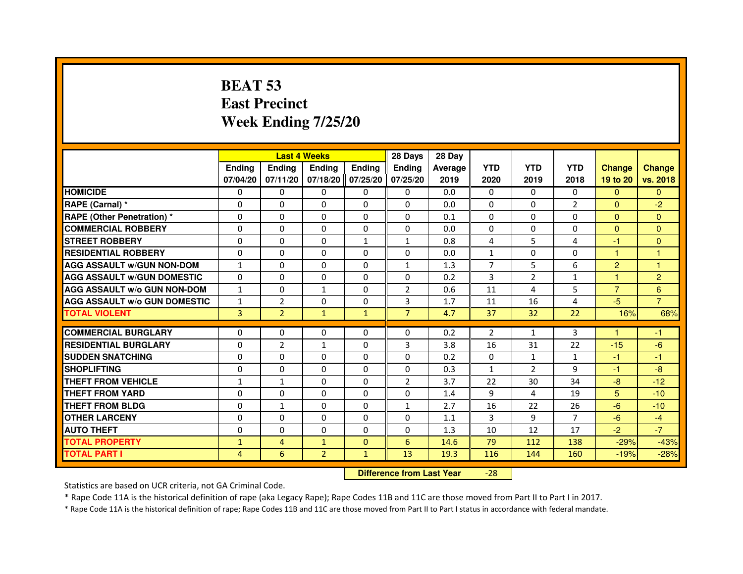# **BEAT 53 East PrecinctWeek Ending 7/25/20**

|                                     |                |                | <b>Last 4 Weeks</b> |               | 28 Days                          | 28 Day  |                |                |                |                |                |
|-------------------------------------|----------------|----------------|---------------------|---------------|----------------------------------|---------|----------------|----------------|----------------|----------------|----------------|
|                                     | Ending         | <b>Ending</b>  | <b>Ending</b>       | <b>Ending</b> | <b>Ending</b>                    | Average | <b>YTD</b>     | <b>YTD</b>     | <b>YTD</b>     | <b>Change</b>  | <b>Change</b>  |
|                                     | 07/04/20       | 07/11/20       | 07/18/20            | 07/25/20      | 07/25/20                         | 2019    | 2020           | 2019           | 2018           | 19 to 20       | vs. 2018       |
| <b>HOMICIDE</b>                     | 0              | $\Omega$       | $\Omega$            | 0             | 0                                | 0.0     | $\Omega$       | $\Omega$       | $\Omega$       | $\mathbf{0}$   | $\mathbf{0}$   |
| RAPE (Carnal) *                     | 0              | 0              | 0                   | $\Omega$      | 0                                | 0.0     | $\mathbf{0}$   | $\Omega$       | $\overline{2}$ | $\Omega$       | $-2$           |
| <b>RAPE (Other Penetration) *</b>   | $\Omega$       | $\Omega$       | $\Omega$            | $\Omega$      | $\Omega$                         | 0.1     | $\Omega$       | $\mathbf{0}$   | $\Omega$       | $\Omega$       | $\mathbf{0}$   |
| <b>COMMERCIAL ROBBERY</b>           | $\Omega$       | $\Omega$       | $\Omega$            | $\Omega$      | $\Omega$                         | 0.0     | $\Omega$       | $\mathbf{0}$   | $\mathbf 0$    | $\Omega$       | $\Omega$       |
| <b>STREET ROBBERY</b>               | $\Omega$       | $\Omega$       | 0                   | $\mathbf{1}$  | $\mathbf{1}$                     | 0.8     | 4              | 5              | 4              | $-1$           | $\mathbf{0}$   |
| <b>RESIDENTIAL ROBBERY</b>          | $\Omega$       | $\Omega$       | 0                   | $\Omega$      | $\Omega$                         | 0.0     | $\mathbf{1}$   | $\mathbf{0}$   | 0              | 1              | 1              |
| <b>AGG ASSAULT w/GUN NON-DOM</b>    | $\mathbf{1}$   | $\Omega$       | 0                   | $\Omega$      | $\mathbf{1}$                     | 1.3     | $\overline{7}$ | 5              | 6              | $\overline{2}$ | $\overline{1}$ |
| <b>AGG ASSAULT W/GUN DOMESTIC</b>   | $\Omega$       | $\Omega$       | $\Omega$            | $\Omega$      | $\Omega$                         | 0.2     | 3              | $\overline{2}$ | $\mathbf{1}$   | $\mathbf{1}$   | $\overline{2}$ |
| <b>AGG ASSAULT w/o GUN NON-DOM</b>  | $\mathbf{1}$   | 0              | $\mathbf{1}$        | 0             | $\overline{2}$                   | 0.6     | 11             | 4              | 5              | $\overline{7}$ | 6              |
| <b>AGG ASSAULT W/o GUN DOMESTIC</b> | $\mathbf{1}$   | $\overline{2}$ | 0                   | $\Omega$      | 3                                | 1.7     | 11             | 16             | 4              | $-5$           | $\overline{7}$ |
| <b>TOTAL VIOLENT</b>                | 3              | $\overline{2}$ | $\mathbf{1}$        | $\mathbf{1}$  | $\overline{7}$                   | 4.7     | 37             | 32             | 22             | 16%            | 68%            |
| <b>COMMERCIAL BURGLARY</b>          | $\Omega$       | 0              | 0                   | 0             | 0                                | 0.2     | $\overline{2}$ | $\mathbf{1}$   | 3              | 1              | -1             |
| <b>RESIDENTIAL BURGLARY</b>         | $\Omega$       | $\overline{2}$ | $\mathbf{1}$        | $\Omega$      | 3                                | 3.8     | 16             | 31             | 22             | $-15$          | $-6$           |
| <b>SUDDEN SNATCHING</b>             | $\Omega$       | $\Omega$       | $\Omega$            | $\Omega$      | $\Omega$                         | 0.2     | $\Omega$       | $\mathbf{1}$   | $\mathbf{1}$   | $-1$           | $-1$           |
| <b>SHOPLIFTING</b>                  | 0              | 0              | 0                   | 0             | 0                                | 0.3     | 1              | $\overline{2}$ | 9              | $-1$           | $-8$           |
| <b>THEFT FROM VEHICLE</b>           | 1              | $\mathbf{1}$   | 0                   | $\Omega$      | $\overline{2}$                   | 3.7     | 22             | 30             | 34             | $-8$           | $-12$          |
| <b>THEFT FROM YARD</b>              | 0              | 0              | $\Omega$            | 0             | 0                                | 1.4     | 9              | 4              | 19             | 5 <sup>5</sup> | $-10$          |
| <b>THEFT FROM BLDG</b>              | $\Omega$       | $\mathbf{1}$   | $\Omega$            | $\Omega$      | $\mathbf{1}$                     | 2.7     | 16             | 22             | 26             | $-6$           | $-10$          |
| <b>OTHER LARCENY</b>                | $\Omega$       | $\Omega$       | 0                   | $\Omega$      | 0                                | 1.1     | 3              | 9              | $\overline{7}$ | $-6$           | $-4$           |
| <b>AUTO THEFT</b>                   | $\Omega$       | $\Omega$       | $\Omega$            | $\Omega$      | $\Omega$                         | 1.3     | 10             | 12             | 17             | $-2$           | $-7$           |
| <b>TOTAL PROPERTY</b>               | $\mathbf{1}$   | $\overline{4}$ | $\mathbf{1}$        | $\Omega$      | 6                                | 14.6    | 79             | 112            | 138            | $-29%$         | $-43%$         |
| <b>TOTAL PART I</b>                 | $\overline{4}$ | 6              | $\overline{2}$      | $\mathbf{1}$  | 13                               | 19.3    | 116            | 144            | 160            | $-19%$         | $-28%$         |
|                                     |                |                |                     |               | <b>Difference from Last Year</b> |         | $-28$          |                |                |                |                |

Statistics are based on UCR criteria, not GA Criminal Code.

\* Rape Code 11A is the historical definition of rape (aka Legacy Rape); Rape Codes 11B and 11C are those moved from Part II to Part I in 2017.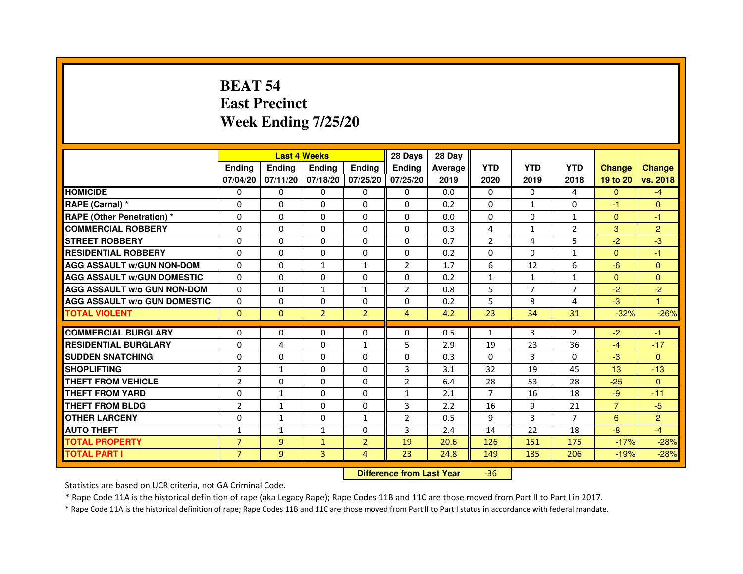# **BEAT 54 East PrecinctWeek Ending 7/25/20**

|                                     |                | <b>Last 4 Weeks</b> |                |                   | 28 Days        | 28 Day  |                |                |                |                |                |
|-------------------------------------|----------------|---------------------|----------------|-------------------|----------------|---------|----------------|----------------|----------------|----------------|----------------|
|                                     | <b>Endina</b>  | <b>Ending</b>       | <b>Ending</b>  | <b>Endina</b>     | <b>Endina</b>  | Average | <b>YTD</b>     | <b>YTD</b>     | <b>YTD</b>     | <b>Change</b>  | <b>Change</b>  |
|                                     | 07/04/20       | 07/11/20            |                | 07/18/20 07/25/20 | 07/25/20       | 2019    | 2020           | 2019           | 2018           | 19 to 20       | vs. 2018       |
| <b>HOMICIDE</b>                     | 0              | 0                   | 0              | 0                 | 0              | 0.0     | $\mathbf{0}$   | 0              | 4              | $\mathbf{0}$   | $-4$           |
| RAPE (Carnal) *                     | $\Omega$       | $\Omega$            | $\Omega$       | $\Omega$          | $\Omega$       | 0.2     | $\Omega$       | $\mathbf{1}$   | $\Omega$       | $-1$           | $\Omega$       |
| <b>RAPE (Other Penetration) *</b>   | $\Omega$       | $\Omega$            | $\Omega$       | $\Omega$          | $\Omega$       | 0.0     | $\Omega$       | 0              | $\mathbf{1}$   | $\Omega$       | $-1$           |
| <b>COMMERCIAL ROBBERY</b>           | 0              | 0                   | $\Omega$       | 0                 | $\Omega$       | 0.3     | 4              | $\mathbf{1}$   | 2              | 3              | $\overline{2}$ |
| <b>STREET ROBBERY</b>               | $\Omega$       | 0                   | $\Omega$       | 0                 | 0              | 0.7     | $\overline{2}$ | 4              | 5              | $-2$           | $-3$           |
| <b>RESIDENTIAL ROBBERY</b>          | $\Omega$       | $\Omega$            | $\Omega$       | 0                 | 0              | 0.2     | 0              | $\Omega$       | $\mathbf{1}$   | $\Omega$       | $-1$           |
| <b>AGG ASSAULT w/GUN NON-DOM</b>    | $\Omega$       | 0                   | $\mathbf{1}$   | $\mathbf{1}$      | $\overline{2}$ | 1.7     | 6              | 12             | 6              | $-6$           | $\mathbf{0}$   |
| <b>AGG ASSAULT W/GUN DOMESTIC</b>   | $\Omega$       | 0                   | 0              | 0                 | 0              | 0.2     | $\mathbf{1}$   | $\mathbf{1}$   | $\mathbf{1}$   | $\mathbf{0}$   | $\Omega$       |
| <b>AGG ASSAULT W/o GUN NON-DOM</b>  | $\Omega$       | $\Omega$            | $\mathbf{1}$   | $\mathbf{1}$      | $\overline{2}$ | 0.8     | 5              | $\overline{7}$ | 7              | $-2$           | $-2$           |
| <b>AGG ASSAULT W/o GUN DOMESTIC</b> | $\Omega$       | $\Omega$            | $\Omega$       | 0                 | 0              | 0.2     | 5              | 8              | 4              | $-3$           | 1.             |
| <b>TOTAL VIOLENT</b>                | $\Omega$       | $\Omega$            | $\overline{2}$ | $\overline{2}$    | 4              | 4.2     | 23             | 34             | 31             | $-32%$         | $-26%$         |
|                                     |                |                     |                |                   |                |         |                |                |                |                |                |
| <b>COMMERCIAL BURGLARY</b>          | $\Omega$       | $\Omega$            | $\Omega$       | $\Omega$          | $\Omega$       | 0.5     | $\mathbf{1}$   | 3              | $\overline{2}$ | $-2$           | $-1$           |
| <b>RESIDENTIAL BURGLARY</b>         | $\Omega$       | 4                   | $\Omega$       | 1                 | 5              | 2.9     | 19             | 23             | 36             | $-4$           | $-17$          |
| <b>SUDDEN SNATCHING</b>             | 0              | $\Omega$            | 0              | 0                 | 0              | 0.3     | $\Omega$       | 3              | $\Omega$       | $-3$           | $\Omega$       |
| <b>SHOPLIFTING</b>                  | $\overline{2}$ | 1                   | 0              | 0                 | 3              | 3.1     | 32             | 19             | 45             | 13             | $-13$          |
| <b>THEFT FROM VEHICLE</b>           | $\overline{2}$ | $\Omega$            | $\Omega$       | $\Omega$          | $\overline{2}$ | 6.4     | 28             | 53             | 28             | $-25$          | $\Omega$       |
| <b>THEFT FROM YARD</b>              | 0              | $\mathbf{1}$        | $\Omega$       | $\Omega$          | 1              | 2.1     | $\overline{7}$ | 16             | 18             | $-9$           | $-11$          |
| <b>THEFT FROM BLDG</b>              | $\overline{2}$ | $\mathbf{1}$        | 0              | 0                 | 3              | 2.2     | 16             | 9              | 21             | $\overline{7}$ | $-5$           |
| <b>OTHER LARCENY</b>                | $\Omega$       | $\mathbf{1}$        | $\Omega$       | $\mathbf{1}$      | $\overline{2}$ | 0.5     | 9              | 3              | 7              | 6              | $\overline{2}$ |
| <b>AUTO THEFT</b>                   | 1              | 1                   | 1              | 0                 | 3              | 2.4     | 14             | 22             | 18             | $-8$           | $-4$           |
| <b>TOTAL PROPERTY</b>               | $\overline{7}$ | 9                   | $\mathbf{1}$   | $\overline{2}$    | 19             | 20.6    | 126            | 151            | 175            | $-17%$         | $-28%$         |
| <b>TOTAL PART I</b>                 | $\overline{7}$ | 9                   | 3              | $\overline{4}$    | 23             | 24.8    | 149            | 185            | 206            | $-19%$         | $-28%$         |

 **Difference from Last Year**-36

Statistics are based on UCR criteria, not GA Criminal Code.

\* Rape Code 11A is the historical definition of rape (aka Legacy Rape); Rape Codes 11B and 11C are those moved from Part II to Part I in 2017.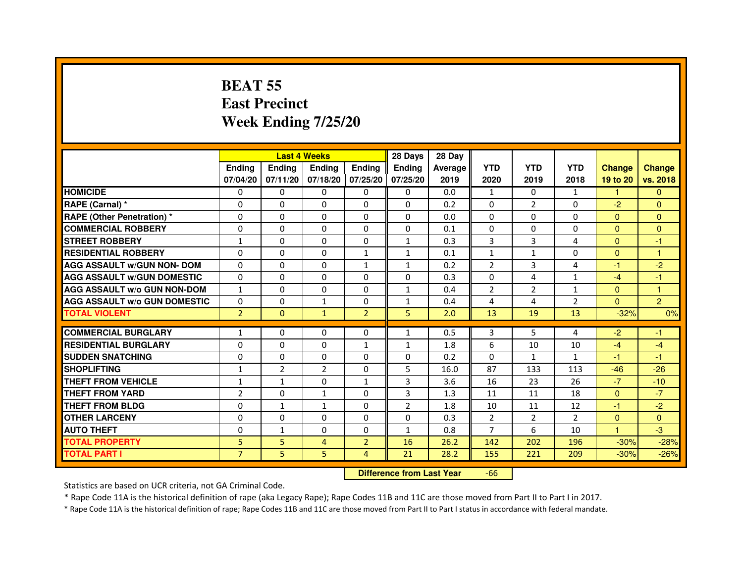# **BEAT 55 East PrecinctWeek Ending 7/25/20**

|                                     |                |                                  | <b>Last 4 Weeks</b> |                | 28 Days        | 28 Day  |                |                |                |               |                |
|-------------------------------------|----------------|----------------------------------|---------------------|----------------|----------------|---------|----------------|----------------|----------------|---------------|----------------|
|                                     | <b>Ending</b>  | <b>Ending</b>                    | <b>Ending</b>       | <b>Ending</b>  | <b>Ending</b>  | Average | <b>YTD</b>     | <b>YTD</b>     | <b>YTD</b>     | <b>Change</b> | <b>Change</b>  |
|                                     | 07/04/20       | 07/11/20                         | 07/18/20            | 07/25/20       | 07/25/20       | 2019    | 2020           | 2019           | 2018           | 19 to 20      | vs. 2018       |
| <b>HOMICIDE</b>                     | $\Omega$       | $\Omega$                         | $\Omega$            | 0              | 0              | 0.0     | $\mathbf{1}$   | $\Omega$       | $\mathbf{1}$   | $\mathbf{1}$  | $\Omega$       |
| RAPE (Carnal) *                     | $\Omega$       | $\Omega$                         | $\Omega$            | 0              | 0              | 0.2     | 0              | $\overline{2}$ | 0              | $-2$          | $\mathbf{0}$   |
| <b>RAPE (Other Penetration) *</b>   | $\mathbf{0}$   | $\Omega$                         | $\Omega$            | $\Omega$       | $\Omega$       | 0.0     | $\Omega$       | $\Omega$       | $\Omega$       | $\Omega$      | $\overline{0}$ |
| <b>COMMERCIAL ROBBERY</b>           | $\mathbf{0}$   | $\Omega$                         | $\Omega$            | $\Omega$       | 0              | 0.1     | 0              | $\Omega$       | $\Omega$       | $\mathbf{0}$  | $\mathbf{0}$   |
| <b>STREET ROBBERY</b>               | 1              | $\Omega$                         | $\Omega$            | $\Omega$       | $\mathbf{1}$   | 0.3     | 3              | 3              | 4              | $\Omega$      | $-1$           |
| <b>RESIDENTIAL ROBBERY</b>          | $\Omega$       | $\Omega$                         | $\Omega$            | $\mathbf{1}$   | $\mathbf{1}$   | 0.1     | $\mathbf{1}$   | $\mathbf{1}$   | $\Omega$       | $\Omega$      | 1              |
| <b>AGG ASSAULT w/GUN NON- DOM</b>   | $\mathbf{0}$   | $\Omega$                         | $\Omega$            | $\mathbf{1}$   | $\mathbf{1}$   | 0.2     | $\overline{2}$ | 3              | 4              | $-1$          | $-2$           |
| <b>AGG ASSAULT w/GUN DOMESTIC</b>   | $\Omega$       | $\Omega$                         | $\Omega$            | $\Omega$       | $\Omega$       | 0.3     | $\Omega$       | 4              | $\mathbf{1}$   | $-4$          | $-1$           |
| <b>AGG ASSAULT w/o GUN NON-DOM</b>  | $\mathbf{1}$   | $\Omega$                         | $\Omega$            | $\Omega$       | $\mathbf{1}$   | 0.4     | $\overline{2}$ | $\overline{2}$ | $\mathbf{1}$   | $\Omega$      | $\mathbf{1}$   |
| <b>AGG ASSAULT W/o GUN DOMESTIC</b> | $\Omega$       | $\Omega$                         | $\mathbf{1}$        | $\Omega$       | $\mathbf{1}$   | 0.4     | 4              | 4              | $\overline{2}$ | $\Omega$      | $\overline{2}$ |
| <b>TOTAL VIOLENT</b>                | 2 <sup>1</sup> | $\mathbf{0}$                     | $\mathbf{1}$        | $\overline{2}$ | 5              | 2.0     | 13             | 19             | 13             | $-32%$        | 0%             |
| <b>COMMERCIAL BURGLARY</b>          | 1              | $\mathbf{0}$                     | $\mathbf{0}$        | 0              | $\mathbf{1}$   | 0.5     | 3              | 5              | 4              | $-2$          | $-1$           |
| <b>RESIDENTIAL BURGLARY</b>         | $\Omega$       | $\Omega$                         | $\Omega$            | $\mathbf{1}$   | $\mathbf{1}$   | 1.8     | 6              | 10             | 10             | $-4$          | $-4$           |
| <b>SUDDEN SNATCHING</b>             | $\Omega$       | $\Omega$                         | $\Omega$            | $\Omega$       | $\Omega$       | 0.2     | $\Omega$       | $\mathbf{1}$   | $\mathbf{1}$   | $-1$          | $-1$           |
| <b>SHOPLIFTING</b>                  | $\mathbf{1}$   | $\overline{2}$                   | 2                   | $\Omega$       | 5              | 16.0    | 87             | 133            | 113            | $-46$         | $-26$          |
| THEFT FROM VEHICLE                  | 1              | $\mathbf{1}$                     | $\Omega$            | 1              | 3              | 3.6     | 16             | 23             | 26             | $-7$          | $-10$          |
| <b>THEFT FROM YARD</b>              | $\overline{2}$ | $\Omega$                         | $\mathbf{1}$        | $\Omega$       | 3              | 1.3     | 11             | 11             | 18             | $\Omega$      | $-7$           |
| <b>THEFT FROM BLDG</b>              | $\Omega$       | $\mathbf{1}$                     | $\mathbf{1}$        | $\Omega$       | $\overline{2}$ | 1.8     | 10             | 11             | 12             | $-1$          | $-2$           |
| <b>OTHER LARCENY</b>                | $\mathbf{0}$   | $\Omega$                         | $\Omega$            | $\Omega$       | $\Omega$       | 0.3     | $\overline{2}$ | $\overline{2}$ | $\overline{2}$ | $\mathbf{0}$  | $\Omega$       |
| <b>AUTO THEFT</b>                   | $\Omega$       | $\mathbf{1}$                     | $\Omega$            | $\Omega$       | $\mathbf{1}$   | 0.8     | $\overline{7}$ | 6              | 10             | $\mathbf{1}$  | $-3$           |
| <b>TOTAL PROPERTY</b>               | 5              | $\overline{5}$                   | 4                   | $\overline{2}$ | 16             | 26.2    | 142            | 202            | 196            | $-30%$        | $-28%$         |
| <b>TOTAL PART I</b>                 | $\overline{7}$ | 5                                | 5                   | $\overline{4}$ | 21             | 28.2    | 155            | 221            | 209            | $-30%$        | $-26%$         |
|                                     |                | <b>Difference from Last Year</b> |                     | $-66$          |                |         |                |                |                |               |                |

 **Difference from Last Year**

Statistics are based on UCR criteria, not GA Criminal Code.

\* Rape Code 11A is the historical definition of rape (aka Legacy Rape); Rape Codes 11B and 11C are those moved from Part II to Part I in 2017.